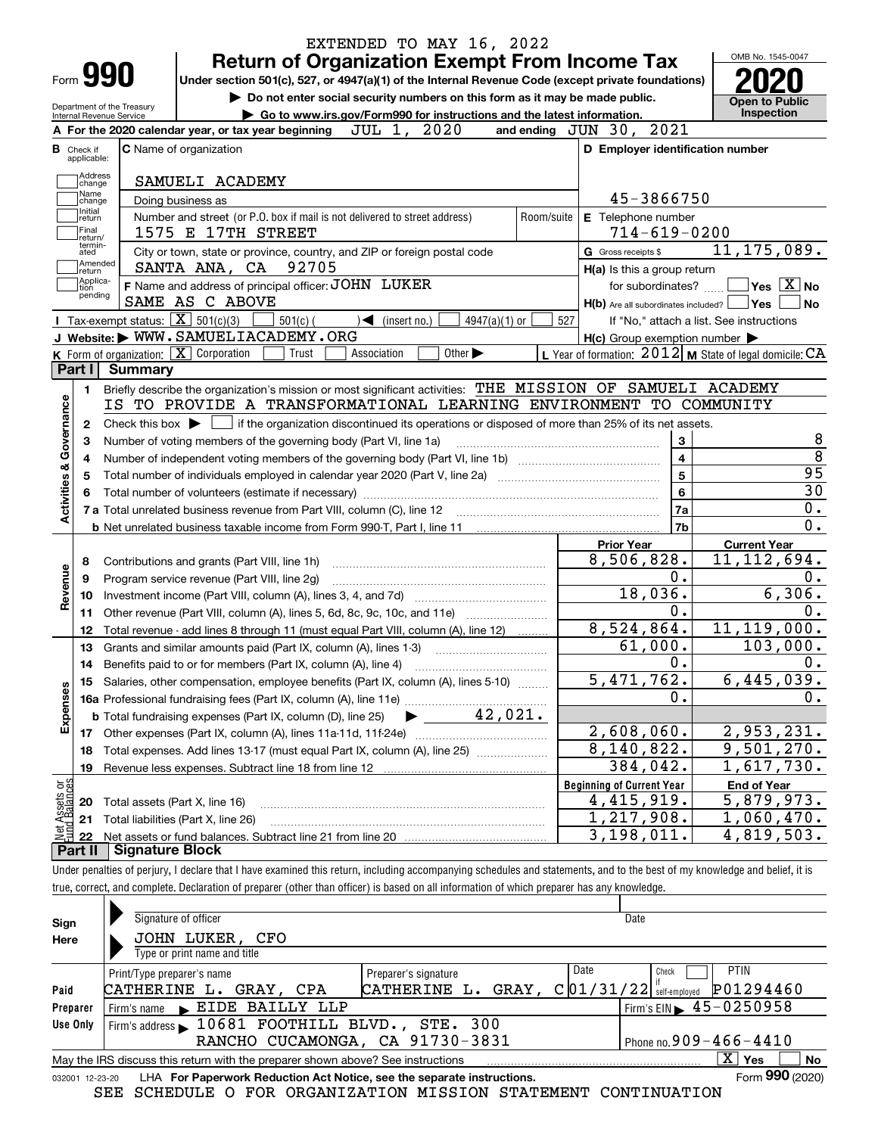| Form <b>990</b>                                                                           | <b>Return of Organization Exempt From Income Tax</b><br>Under section 501(c), 527, or 4947(a)(1) of the Internal Revenue Code (except private foundations)<br>Do not enter social security numbers on this form as it may be made public. |                         |                                                                                                                                                                                      |
|-------------------------------------------------------------------------------------------|-------------------------------------------------------------------------------------------------------------------------------------------------------------------------------------------------------------------------------------------|-------------------------|--------------------------------------------------------------------------------------------------------------------------------------------------------------------------------------|
| Department of the Treasury<br>Internal Revenue Service                                    | Go to www.irs.gov/Form990 for instructions and the latest information.                                                                                                                                                                    |                         | <b>Open to Public</b><br>Inspection                                                                                                                                                  |
|                                                                                           | 2020<br>JUL 1,<br>and ending $JUN$ $30$ ,<br>A For the 2020 calendar year, or tax year beginning                                                                                                                                          | 2021                    |                                                                                                                                                                                      |
| <b>B</b> Check if<br>applicable:                                                          | <b>C</b> Name of organization<br>D Employer identification number                                                                                                                                                                         |                         |                                                                                                                                                                                      |
| Address                                                                                   |                                                                                                                                                                                                                                           |                         |                                                                                                                                                                                      |
| change<br>Name                                                                            | SAMUELI ACADEMY                                                                                                                                                                                                                           |                         |                                                                                                                                                                                      |
| change<br>Initial                                                                         | 45-3866750<br>Doing business as                                                                                                                                                                                                           |                         |                                                                                                                                                                                      |
| return<br>Final                                                                           | Number and street (or P.O. box if mail is not delivered to street address)<br>E Telephone number<br>Room/suite<br>$714 - 619 - 0200$<br>1575 E 17TH STREET                                                                                |                         |                                                                                                                                                                                      |
| return/<br>termin-                                                                        |                                                                                                                                                                                                                                           |                         | 11, 175, 089.                                                                                                                                                                        |
| ated<br>Amended                                                                           | City or town, state or province, country, and ZIP or foreign postal code<br>G Gross receipts \$<br>92705<br>SANTA ANA, CA                                                                                                                 |                         |                                                                                                                                                                                      |
| return<br> Applica-                                                                       | H(a) Is this a group return<br>F Name and address of principal officer: JOHN LUKER<br>for subordinates?                                                                                                                                   |                         | $Yes$ $X$ No                                                                                                                                                                         |
| tion<br>pending                                                                           | SAME AS C ABOVE<br>$H(b)$ Are all subordinates included? $\Box$ Yes $\Box$                                                                                                                                                                |                         | <b>No</b>                                                                                                                                                                            |
|                                                                                           | Tax-exempt status: $\boxed{\mathbf{X}}$ 501(c)(3)<br>$4947(a)(1)$ or<br>$501(c)$ (<br>$\mathcal{A}$ (insert no.)<br>527                                                                                                                   |                         | If "No," attach a list. See instructions                                                                                                                                             |
|                                                                                           | J Website: WWW.SAMUELIACADEMY.ORG<br>$H(c)$ Group exemption number $\blacktriangleright$                                                                                                                                                  |                         |                                                                                                                                                                                      |
|                                                                                           | K Form of organization: X Corporation<br>Other $\blacktriangleright$<br>L Year of formation: $2012$ M State of legal domicile: $CA$<br>Association<br>Trust                                                                               |                         |                                                                                                                                                                                      |
| Part I<br><b>Summary</b>                                                                  |                                                                                                                                                                                                                                           |                         |                                                                                                                                                                                      |
| 1.                                                                                        | Briefly describe the organization's mission or most significant activities: THE MISSION OF SAMUELI ACADEMY                                                                                                                                |                         |                                                                                                                                                                                      |
| Governance                                                                                | IS TO PROVIDE A TRANSFORMATIONAL LEARNING ENVIRONMENT TO COMMUNITY                                                                                                                                                                        |                         |                                                                                                                                                                                      |
| $\mathbf{2}$                                                                              | Check this box $\blacktriangleright$ $\Box$ if the organization discontinued its operations or disposed of more than 25% of its net assets.                                                                                               |                         |                                                                                                                                                                                      |
| З                                                                                         | Number of voting members of the governing body (Part VI, line 1a)                                                                                                                                                                         | 3                       |                                                                                                                                                                                      |
| 4                                                                                         |                                                                                                                                                                                                                                           | $\overline{\mathbf{4}}$ |                                                                                                                                                                                      |
| 5                                                                                         |                                                                                                                                                                                                                                           | 5                       | $\overline{95}$                                                                                                                                                                      |
| 6                                                                                         |                                                                                                                                                                                                                                           |                         |                                                                                                                                                                                      |
|                                                                                           |                                                                                                                                                                                                                                           | 6                       |                                                                                                                                                                                      |
|                                                                                           | 7 a Total unrelated business revenue from Part VIII, column (C), line 12                                                                                                                                                                  | 7a                      |                                                                                                                                                                                      |
|                                                                                           |                                                                                                                                                                                                                                           | 7b                      |                                                                                                                                                                                      |
|                                                                                           | <b>Prior Year</b>                                                                                                                                                                                                                         |                         | <b>Current Year</b>                                                                                                                                                                  |
| 8                                                                                         | 8,506,828.<br>Contributions and grants (Part VIII, line 1h)                                                                                                                                                                               |                         |                                                                                                                                                                                      |
| 9                                                                                         | Program service revenue (Part VIII, line 2g)                                                                                                                                                                                              | 0.                      |                                                                                                                                                                                      |
| 10                                                                                        | 18,036.                                                                                                                                                                                                                                   |                         |                                                                                                                                                                                      |
| 11                                                                                        | Other revenue (Part VIII, column (A), lines 5, 6d, 8c, 9c, 10c, and 11e)                                                                                                                                                                  | 0.                      |                                                                                                                                                                                      |
| 12                                                                                        | 8,524,864.<br>Total revenue - add lines 8 through 11 (must equal Part VIII, column (A), line 12)                                                                                                                                          |                         |                                                                                                                                                                                      |
| 13                                                                                        | 61,000.<br>Grants and similar amounts paid (Part IX, column (A), lines 1-3)                                                                                                                                                               |                         |                                                                                                                                                                                      |
| 14                                                                                        | Benefits paid to or for members (Part IX, column (A), line 4)                                                                                                                                                                             | 0.                      |                                                                                                                                                                                      |
| 15                                                                                        | 5,471,762.<br>Salaries, other compensation, employee benefits (Part IX, column (A), lines 5-10)                                                                                                                                           |                         |                                                                                                                                                                                      |
|                                                                                           |                                                                                                                                                                                                                                           | 0.                      |                                                                                                                                                                                      |
|                                                                                           | 42,021.<br><b>b</b> Total fundraising expenses (Part IX, column (D), line 25)                                                                                                                                                             |                         |                                                                                                                                                                                      |
| 17                                                                                        | 2,608,060.                                                                                                                                                                                                                                |                         |                                                                                                                                                                                      |
| 18                                                                                        | 8,140,822.<br>Total expenses. Add lines 13-17 (must equal Part IX, column (A), line 25)                                                                                                                                                   |                         |                                                                                                                                                                                      |
| 19                                                                                        | 384,042.                                                                                                                                                                                                                                  |                         | $\overline{30}$<br>$0$ .<br>$\overline{0}$ .<br>11, 112, 694.<br>0.<br>6,306.<br>0.<br>11, 119, 000.<br>103,000.<br>0.<br>6,445,039.<br>0.<br>2,953,231.<br>9,501,270.<br>1,617,730. |
|                                                                                           | <b>Beginning of Current Year</b>                                                                                                                                                                                                          |                         | <b>End of Year</b>                                                                                                                                                                   |
| 20                                                                                        | 4, 415, 919.<br>Total assets (Part X, line 16)                                                                                                                                                                                            |                         | 5,879,973.                                                                                                                                                                           |
| 21                                                                                        | 1,217,908.<br>Total liabilities (Part X, line 26)                                                                                                                                                                                         |                         | 1,060,470.                                                                                                                                                                           |
| 22                                                                                        | $\overline{3,198,011}$ .                                                                                                                                                                                                                  |                         | 4,819,503.                                                                                                                                                                           |
| Activities &<br>Revenue<br>Expenses<br>t Assets or<br>d Balances<br><u> 홍급</u><br>Part II | <b>Signature Block</b>                                                                                                                                                                                                                    |                         |                                                                                                                                                                                      |
|                                                                                           | Under penalties of perjury, I declare that I have examined this return, including accompanying schedules and statements, and to the best of my knowledge and belief, it is                                                                |                         |                                                                                                                                                                                      |
|                                                                                           | true, correct, and complete. Declaration of preparer (other than officer) is based on all information of which preparer has any knowledge.                                                                                                |                         |                                                                                                                                                                                      |

| Sign            | Signature of officer                                                                                    |                                                                        |      | Date                                              |                           |  |  |  |  |  |
|-----------------|---------------------------------------------------------------------------------------------------------|------------------------------------------------------------------------|------|---------------------------------------------------|---------------------------|--|--|--|--|--|
| Here            | JOHN LUKER, CFO                                                                                         |                                                                        |      |                                                   |                           |  |  |  |  |  |
|                 | Type or print name and title                                                                            |                                                                        |      |                                                   |                           |  |  |  |  |  |
|                 | Print/Type preparer's name                                                                              | Preparer's signature                                                   | Date | Check                                             | <b>PTIN</b>               |  |  |  |  |  |
| Paid            | P01294460<br>$C$ 01/31/22 self-employed<br>CATHERINE L.<br><b>CATHERINE</b><br>GRAY.<br>GRAY, CPA<br>L. |                                                                        |      |                                                   |                           |  |  |  |  |  |
| Preparer        | EIDE BAILLY LLP<br>Firm's name                                                                          |                                                                        |      | $1$ Firm's EIN $\blacktriangleright$ 45 - 0250958 |                           |  |  |  |  |  |
| Use Only        | Firm's address 10681 FOOTHILL BLVD., STE. 300                                                           |                                                                        |      |                                                   |                           |  |  |  |  |  |
|                 |                                                                                                         | RANCHO CUCAMONGA, CA 91730-3831                                        |      | Phone no. $909 - 466 - 4410$                      |                           |  |  |  |  |  |
|                 | May the IRS discuss this return with the preparer shown above? See instructions                         |                                                                        |      |                                                   | $\mathbf{X}$<br>No<br>Yes |  |  |  |  |  |
| 032001 12-23-20 |                                                                                                         | LHA For Paperwork Reduction Act Notice, see the separate instructions. |      |                                                   | Form 990 (2020)           |  |  |  |  |  |

SEE SCHEDULE O FOR ORGANIZATION MISSION STATEMENT CONTINUATION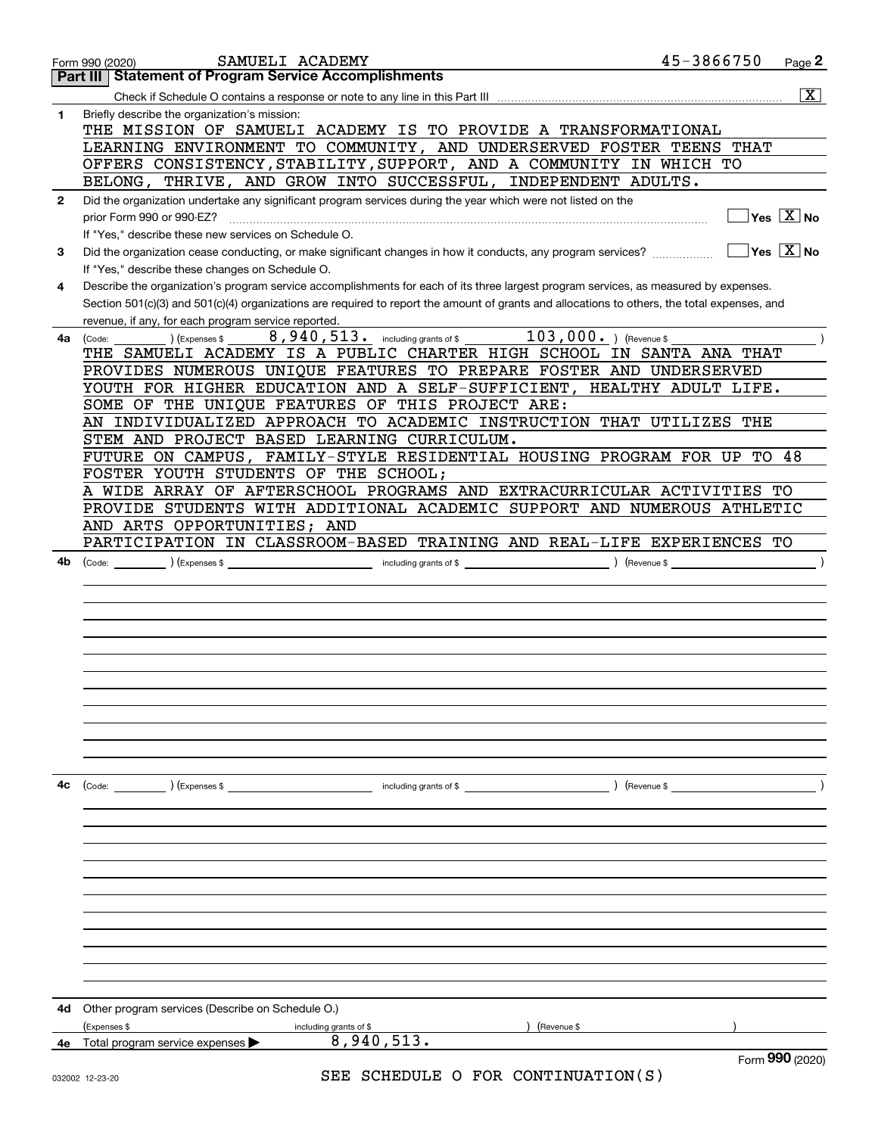|              | 45-3866750<br>SAMUELI ACADEMY<br>Form 990 (2020)                                                                                                                                                                                                                                                                                            | Page 2                                               |
|--------------|---------------------------------------------------------------------------------------------------------------------------------------------------------------------------------------------------------------------------------------------------------------------------------------------------------------------------------------------|------------------------------------------------------|
|              | <b>Statement of Program Service Accomplishments</b><br>Part III                                                                                                                                                                                                                                                                             |                                                      |
|              |                                                                                                                                                                                                                                                                                                                                             | $\overline{\mathbf{x}}$                              |
| 1            | Briefly describe the organization's mission:<br>THE MISSION OF SAMUELI ACADEMY IS TO PROVIDE A TRANSFORMATIONAL<br>LEARNING ENVIRONMENT TO COMMUNITY, AND UNDERSERVED FOSTER TEENS THAT                                                                                                                                                     |                                                      |
|              | OFFERS CONSISTENCY, STABILITY, SUPPORT, AND A COMMUNITY IN WHICH TO                                                                                                                                                                                                                                                                         |                                                      |
|              | BELONG, THRIVE, AND GROW INTO SUCCESSFUL, INDEPENDENT ADULTS.                                                                                                                                                                                                                                                                               |                                                      |
| $\mathbf{2}$ | Did the organization undertake any significant program services during the year which were not listed on the<br>prior Form 990 or 990-EZ?<br>If "Yes," describe these new services on Schedule O.                                                                                                                                           | $Yes$ $X$ No                                         |
| 3            | Did the organization cease conducting, or make significant changes in how it conducts, any program services?                                                                                                                                                                                                                                | $\overline{\mathsf{Yes}}$ $\overline{\mathsf{X}}$ No |
|              | If "Yes," describe these changes on Schedule O.                                                                                                                                                                                                                                                                                             |                                                      |
| 4            | Describe the organization's program service accomplishments for each of its three largest program services, as measured by expenses.<br>Section 501(c)(3) and 501(c)(4) organizations are required to report the amount of grants and allocations to others, the total expenses, and<br>revenue, if any, for each program service reported. |                                                      |
| 4a           | $\overline{103,000.}$ (Revenue \$<br>$8,940,513$ and $\overline{\phantom{a}}$ including grants of \$<br>(Expenses \$<br>(Code:                                                                                                                                                                                                              |                                                      |
|              | THE SAMUELI ACADEMY IS A PUBLIC CHARTER HIGH SCHOOL IN SANTA ANA THAT                                                                                                                                                                                                                                                                       |                                                      |
|              | PROVIDES NUMEROUS UNIQUE FEATURES TO PREPARE FOSTER AND UNDERSERVED                                                                                                                                                                                                                                                                         |                                                      |
|              | YOUTH FOR HIGHER EDUCATION AND A SELF-SUFFICIENT, HEALTHY ADULT LIFE.                                                                                                                                                                                                                                                                       |                                                      |
|              | SOME OF THE UNIQUE FEATURES OF THIS PROJECT ARE:<br>AN INDIVIDUALIZED APPROACH TO ACADEMIC INSTRUCTION THAT UTILIZES THE                                                                                                                                                                                                                    |                                                      |
|              | STEM AND PROJECT BASED LEARNING CURRICULUM.                                                                                                                                                                                                                                                                                                 |                                                      |
|              | FUTURE ON CAMPUS, FAMILY-STYLE RESIDENTIAL HOUSING PROGRAM FOR UP TO 48                                                                                                                                                                                                                                                                     |                                                      |
|              | FOSTER YOUTH STUDENTS OF THE SCHOOL;                                                                                                                                                                                                                                                                                                        |                                                      |
|              | A WIDE ARRAY OF AFTERSCHOOL PROGRAMS AND EXTRACURRICULAR ACTIVITIES TO                                                                                                                                                                                                                                                                      |                                                      |
|              | PROVIDE STUDENTS WITH ADDITIONAL ACADEMIC SUPPORT AND NUMEROUS ATHLETIC                                                                                                                                                                                                                                                                     |                                                      |
|              | AND ARTS OPPORTUNITIES; AND                                                                                                                                                                                                                                                                                                                 |                                                      |
|              | PARTICIPATION IN CLASSROOM-BASED TRAINING AND REAL-LIFE EXPERIENCES TO                                                                                                                                                                                                                                                                      |                                                      |
| 4b           | $\left($ Expenses \$ $\right)$<br>$($ Revenue \$<br>(Code:<br>including grants of $$$                                                                                                                                                                                                                                                       |                                                      |
|              |                                                                                                                                                                                                                                                                                                                                             |                                                      |
|              |                                                                                                                                                                                                                                                                                                                                             |                                                      |
|              |                                                                                                                                                                                                                                                                                                                                             |                                                      |
|              |                                                                                                                                                                                                                                                                                                                                             |                                                      |
|              |                                                                                                                                                                                                                                                                                                                                             |                                                      |
|              |                                                                                                                                                                                                                                                                                                                                             |                                                      |
|              |                                                                                                                                                                                                                                                                                                                                             |                                                      |
|              |                                                                                                                                                                                                                                                                                                                                             |                                                      |
|              |                                                                                                                                                                                                                                                                                                                                             |                                                      |
|              |                                                                                                                                                                                                                                                                                                                                             |                                                      |
|              |                                                                                                                                                                                                                                                                                                                                             |                                                      |
| 4с           | (Code: ) (Expenses \$<br>including grants of \$<br>) (Revenue \$                                                                                                                                                                                                                                                                            |                                                      |
|              |                                                                                                                                                                                                                                                                                                                                             |                                                      |
|              |                                                                                                                                                                                                                                                                                                                                             |                                                      |
|              |                                                                                                                                                                                                                                                                                                                                             |                                                      |
|              |                                                                                                                                                                                                                                                                                                                                             |                                                      |
|              |                                                                                                                                                                                                                                                                                                                                             |                                                      |
|              |                                                                                                                                                                                                                                                                                                                                             |                                                      |
|              |                                                                                                                                                                                                                                                                                                                                             |                                                      |
|              |                                                                                                                                                                                                                                                                                                                                             |                                                      |
|              |                                                                                                                                                                                                                                                                                                                                             |                                                      |
|              |                                                                                                                                                                                                                                                                                                                                             |                                                      |
|              |                                                                                                                                                                                                                                                                                                                                             |                                                      |
| 4d           | Other program services (Describe on Schedule O.)                                                                                                                                                                                                                                                                                            |                                                      |
|              | (Expenses \$<br>(Revenue \$<br>including grants of \$                                                                                                                                                                                                                                                                                       |                                                      |
| 4е           | 8,940,513.<br>Total program service expenses ▶                                                                                                                                                                                                                                                                                              |                                                      |
|              | SER SCHEDIILE O FOR CONTINUIATION(S)                                                                                                                                                                                                                                                                                                        | Form 990 (2020)                                      |

SEE SCHEDULE O FOR CONTINUATION(S)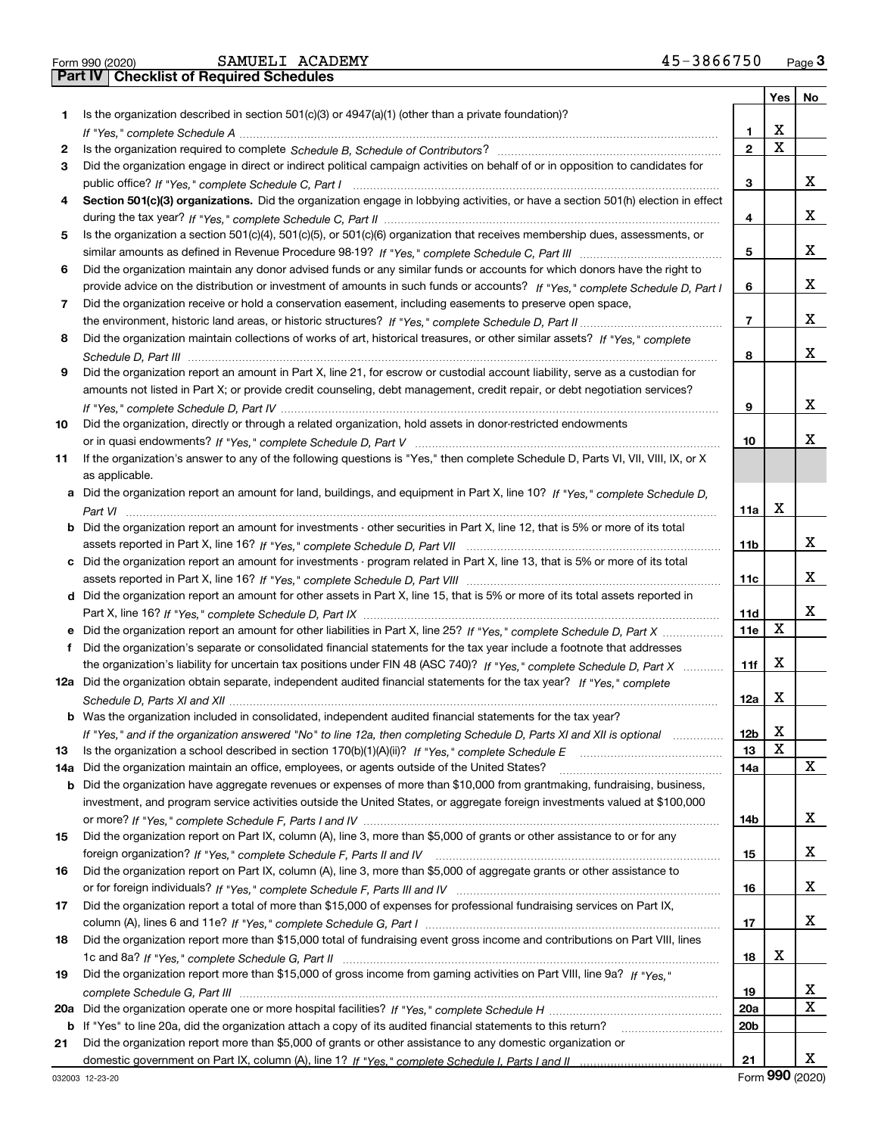| Form 990 (2020 |  |  |
|----------------|--|--|

|     |                                                                                                                                       |                 | Yes   No |    |
|-----|---------------------------------------------------------------------------------------------------------------------------------------|-----------------|----------|----|
| 1.  | Is the organization described in section $501(c)(3)$ or $4947(a)(1)$ (other than a private foundation)?                               |                 |          |    |
|     |                                                                                                                                       | 1.              | х        |    |
| 2   |                                                                                                                                       | $\mathbf{2}$    | X        |    |
| 3   | Did the organization engage in direct or indirect political campaign activities on behalf of or in opposition to candidates for       |                 |          |    |
|     |                                                                                                                                       | 3               |          | x  |
| 4   | Section 501(c)(3) organizations. Did the organization engage in lobbying activities, or have a section 501(h) election in effect      |                 |          |    |
|     |                                                                                                                                       | 4               |          | x  |
| 5   | Is the organization a section 501(c)(4), 501(c)(5), or 501(c)(6) organization that receives membership dues, assessments, or          |                 |          |    |
|     |                                                                                                                                       | 5               |          | x  |
| 6   | Did the organization maintain any donor advised funds or any similar funds or accounts for which donors have the right to             |                 |          |    |
|     | provide advice on the distribution or investment of amounts in such funds or accounts? If "Yes," complete Schedule D, Part I          | 6               |          | x  |
| 7.  | Did the organization receive or hold a conservation easement, including easements to preserve open space,                             |                 |          |    |
|     |                                                                                                                                       | $\overline{7}$  |          | x  |
| 8   | Did the organization maintain collections of works of art, historical treasures, or other similar assets? If "Yes," complete          |                 |          |    |
|     |                                                                                                                                       | 8               |          | x  |
| 9   | Did the organization report an amount in Part X, line 21, for escrow or custodial account liability, serve as a custodian for         |                 |          |    |
|     |                                                                                                                                       |                 |          |    |
|     | amounts not listed in Part X; or provide credit counseling, debt management, credit repair, or debt negotiation services?             |                 |          | x  |
|     |                                                                                                                                       | 9               |          |    |
| 10  | Did the organization, directly or through a related organization, hold assets in donor-restricted endowments                          |                 |          |    |
|     |                                                                                                                                       | 10              |          | х  |
| 11  | If the organization's answer to any of the following questions is "Yes," then complete Schedule D, Parts VI, VII, VIII, IX, or X      |                 |          |    |
|     | as applicable.                                                                                                                        |                 |          |    |
|     | a Did the organization report an amount for land, buildings, and equipment in Part X, line 10? If "Yes," complete Schedule D,         |                 |          |    |
|     |                                                                                                                                       | 11a             | x        |    |
|     | <b>b</b> Did the organization report an amount for investments - other securities in Part X, line 12, that is 5% or more of its total |                 |          |    |
|     |                                                                                                                                       | 11 <sub>b</sub> |          | x  |
|     | c Did the organization report an amount for investments - program related in Part X, line 13, that is 5% or more of its total         |                 |          |    |
|     |                                                                                                                                       | 11c             |          | x  |
|     | d Did the organization report an amount for other assets in Part X, line 15, that is 5% or more of its total assets reported in       |                 |          |    |
|     |                                                                                                                                       | 11d             |          | х  |
|     | e Did the organization report an amount for other liabilities in Part X, line 25? If "Yes," complete Schedule D, Part X               | 11e             | x        |    |
| f   | Did the organization's separate or consolidated financial statements for the tax year include a footnote that addresses               |                 |          |    |
|     | the organization's liability for uncertain tax positions under FIN 48 (ASC 740)? If "Yes," complete Schedule D, Part X                | 11f             | x        |    |
|     | 12a Did the organization obtain separate, independent audited financial statements for the tax year? If "Yes," complete               |                 |          |    |
|     |                                                                                                                                       | 12a             | x        |    |
|     | <b>b</b> Was the organization included in consolidated, independent audited financial statements for the tax year?                    |                 |          |    |
|     | If "Yes," and if the organization answered "No" to line 12a, then completing Schedule D, Parts XI and XII is optional                 | 12 <sub>b</sub> | х        |    |
| 13  |                                                                                                                                       | 13              | X        |    |
|     | 14a Did the organization maintain an office, employees, or agents outside of the United States?                                       | 14a             |          | x  |
|     | <b>b</b> Did the organization have aggregate revenues or expenses of more than \$10,000 from grantmaking, fundraising, business,      |                 |          |    |
|     | investment, and program service activities outside the United States, or aggregate foreign investments valued at \$100,000            |                 |          |    |
|     |                                                                                                                                       | 14b             |          | X. |
| 15  | Did the organization report on Part IX, column (A), line 3, more than \$5,000 of grants or other assistance to or for any             |                 |          |    |
|     |                                                                                                                                       | 15              |          | x  |
| 16  | Did the organization report on Part IX, column (A), line 3, more than \$5,000 of aggregate grants or other assistance to              |                 |          |    |
|     |                                                                                                                                       | 16              |          | x  |
| 17  | Did the organization report a total of more than \$15,000 of expenses for professional fundraising services on Part IX,               |                 |          |    |
|     |                                                                                                                                       | 17              |          | X. |
|     | Did the organization report more than \$15,000 total of fundraising event gross income and contributions on Part VIII, lines          |                 |          |    |
| 18  |                                                                                                                                       |                 | х        |    |
|     |                                                                                                                                       | 18              |          |    |
| 19  | Did the organization report more than \$15,000 of gross income from gaming activities on Part VIII, line 9a? If "Yes."                |                 |          |    |
|     |                                                                                                                                       | 19              |          | X  |
| 20a |                                                                                                                                       | 20a             |          | x  |
|     | <b>b</b> If "Yes" to line 20a, did the organization attach a copy of its audited financial statements to this return?                 | 20 <sub>b</sub> |          |    |
| 21  | Did the organization report more than \$5,000 of grants or other assistance to any domestic organization or                           |                 |          |    |
|     |                                                                                                                                       | 21              |          | X. |

Form (2020) **990**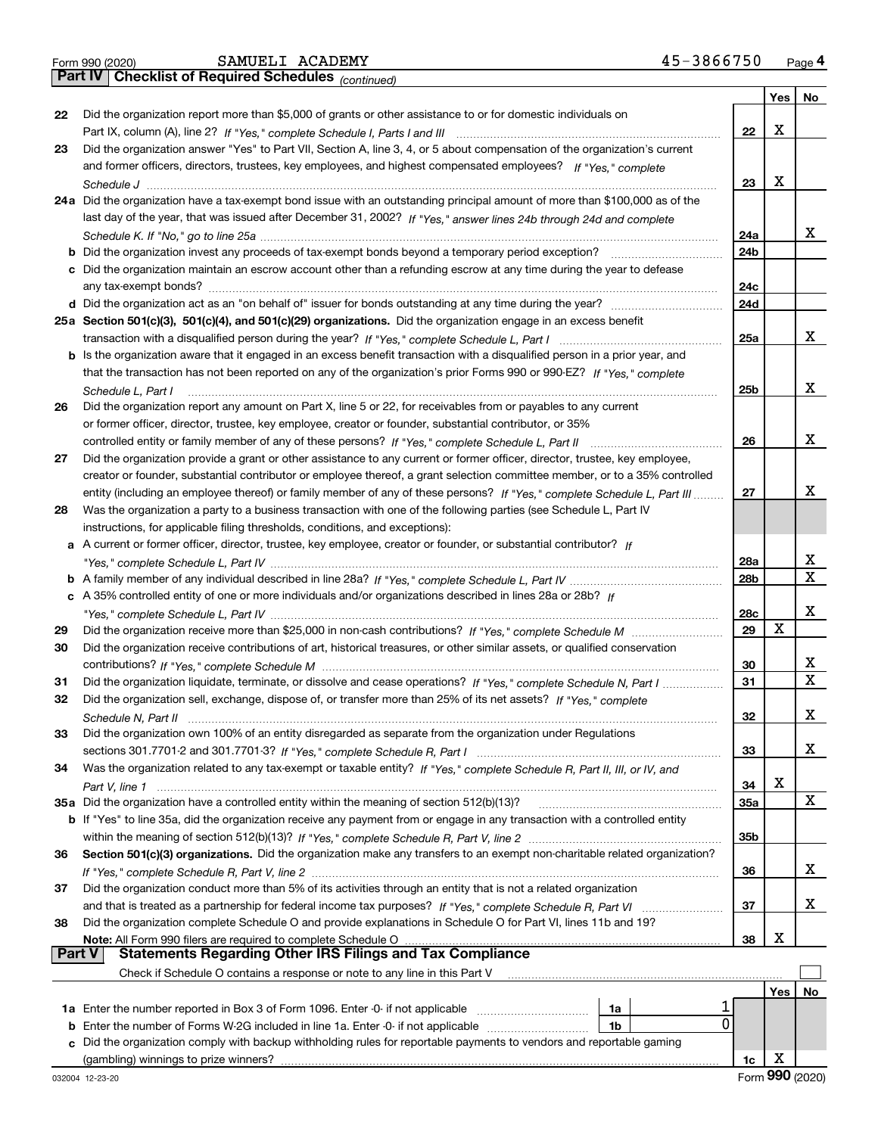|  | Form 990 (2020) |
|--|-----------------|
|  |                 |

*(continued)*

|    |                                                                                                                                                                                                                             |            | Yes∣ | No          |
|----|-----------------------------------------------------------------------------------------------------------------------------------------------------------------------------------------------------------------------------|------------|------|-------------|
| 22 | Did the organization report more than \$5,000 of grants or other assistance to or for domestic individuals on                                                                                                               |            |      |             |
|    |                                                                                                                                                                                                                             | 22         | Х    |             |
| 23 | Did the organization answer "Yes" to Part VII, Section A, line 3, 4, or 5 about compensation of the organization's current                                                                                                  |            |      |             |
|    | and former officers, directors, trustees, key employees, and highest compensated employees? If "Yes." complete                                                                                                              |            |      |             |
|    |                                                                                                                                                                                                                             | 23         | Х    |             |
|    | 24a Did the organization have a tax-exempt bond issue with an outstanding principal amount of more than \$100,000 as of the                                                                                                 |            |      |             |
|    | last day of the year, that was issued after December 31, 2002? If "Yes," answer lines 24b through 24d and complete                                                                                                          |            |      | x           |
|    |                                                                                                                                                                                                                             | 24a<br>24b |      |             |
| b  | Did the organization invest any proceeds of tax-exempt bonds beyond a temporary period exception?<br>c Did the organization maintain an escrow account other than a refunding escrow at any time during the year to defease |            |      |             |
|    |                                                                                                                                                                                                                             | 24с        |      |             |
|    |                                                                                                                                                                                                                             | 24d        |      |             |
|    | 25a Section 501(c)(3), 501(c)(4), and 501(c)(29) organizations. Did the organization engage in an excess benefit                                                                                                            |            |      |             |
|    |                                                                                                                                                                                                                             | 25a        |      | x           |
|    | b Is the organization aware that it engaged in an excess benefit transaction with a disqualified person in a prior year, and                                                                                                |            |      |             |
|    | that the transaction has not been reported on any of the organization's prior Forms 990 or 990-EZ? If "Yes," complete                                                                                                       |            |      |             |
|    | Schedule L. Part I                                                                                                                                                                                                          | 25b        |      | х           |
| 26 | Did the organization report any amount on Part X, line 5 or 22, for receivables from or payables to any current                                                                                                             |            |      |             |
|    | or former officer, director, trustee, key employee, creator or founder, substantial contributor, or 35%                                                                                                                     |            |      |             |
|    |                                                                                                                                                                                                                             | 26         |      | х           |
| 27 | Did the organization provide a grant or other assistance to any current or former officer, director, trustee, key employee,                                                                                                 |            |      |             |
|    | creator or founder, substantial contributor or employee thereof, a grant selection committee member, or to a 35% controlled                                                                                                 |            |      |             |
|    | entity (including an employee thereof) or family member of any of these persons? If "Yes," complete Schedule L, Part III                                                                                                    | 27         |      | х           |
| 28 | Was the organization a party to a business transaction with one of the following parties (see Schedule L, Part IV                                                                                                           |            |      |             |
|    | instructions, for applicable filing thresholds, conditions, and exceptions):                                                                                                                                                |            |      |             |
|    | a A current or former officer, director, trustee, key employee, creator or founder, or substantial contributor? If                                                                                                          |            |      |             |
|    |                                                                                                                                                                                                                             | 28a        |      | х           |
|    |                                                                                                                                                                                                                             | 28b        |      | х           |
|    | c A 35% controlled entity of one or more individuals and/or organizations described in lines 28a or 28b? If                                                                                                                 |            |      |             |
|    |                                                                                                                                                                                                                             | 28c        | X    | х           |
| 29 |                                                                                                                                                                                                                             | 29         |      |             |
| 30 | Did the organization receive contributions of art, historical treasures, or other similar assets, or qualified conservation                                                                                                 | 30         |      | х           |
| 31 | Did the organization liquidate, terminate, or dissolve and cease operations? If "Yes," complete Schedule N, Part I                                                                                                          | 31         |      | $\mathbf X$ |
| 32 | Did the organization sell, exchange, dispose of, or transfer more than 25% of its net assets? If "Yes," complete                                                                                                            |            |      |             |
|    |                                                                                                                                                                                                                             | 32         |      | х           |
| 33 | Did the organization own 100% of an entity disregarded as separate from the organization under Regulations                                                                                                                  |            |      |             |
|    |                                                                                                                                                                                                                             | 33         |      | X           |
| 34 | Was the organization related to any tax-exempt or taxable entity? If "Yes," complete Schedule R, Part II, III, or IV, and                                                                                                   |            |      |             |
|    |                                                                                                                                                                                                                             | 34         | х    |             |
|    | 35a Did the organization have a controlled entity within the meaning of section 512(b)(13)?                                                                                                                                 | 35a        |      | X           |
|    | b If "Yes" to line 35a, did the organization receive any payment from or engage in any transaction with a controlled entity                                                                                                 |            |      |             |
|    |                                                                                                                                                                                                                             | 35b        |      |             |
| 36 | Section 501(c)(3) organizations. Did the organization make any transfers to an exempt non-charitable related organization?                                                                                                  |            |      |             |
|    |                                                                                                                                                                                                                             | 36         |      | X           |
| 37 | Did the organization conduct more than 5% of its activities through an entity that is not a related organization                                                                                                            |            |      |             |
|    |                                                                                                                                                                                                                             | 37         |      | x           |
| 38 | Did the organization complete Schedule O and provide explanations in Schedule O for Part VI, lines 11b and 19?                                                                                                              |            |      |             |
|    | Note: All Form 990 filers are required to complete Schedule O<br><b>Part V</b>                                                                                                                                              | 38         | х    |             |
|    | <b>Statements Regarding Other IRS Filings and Tax Compliance</b>                                                                                                                                                            |            |      |             |
|    | Check if Schedule O contains a response or note to any line in this Part V                                                                                                                                                  |            |      |             |
|    | 1a                                                                                                                                                                                                                          |            | Yes  | No          |
| b  | 1a Enter the number reported in Box 3 of Form 1096. Enter -0- if not applicable<br>0<br>Enter the number of Forms W-2G included in line 1a. Enter -0- if not applicable<br>1b                                               |            |      |             |
| c  | Did the organization comply with backup withholding rules for reportable payments to vendors and reportable gaming                                                                                                          |            |      |             |
|    |                                                                                                                                                                                                                             | 1c         | Х    |             |
|    |                                                                                                                                                                                                                             |            |      |             |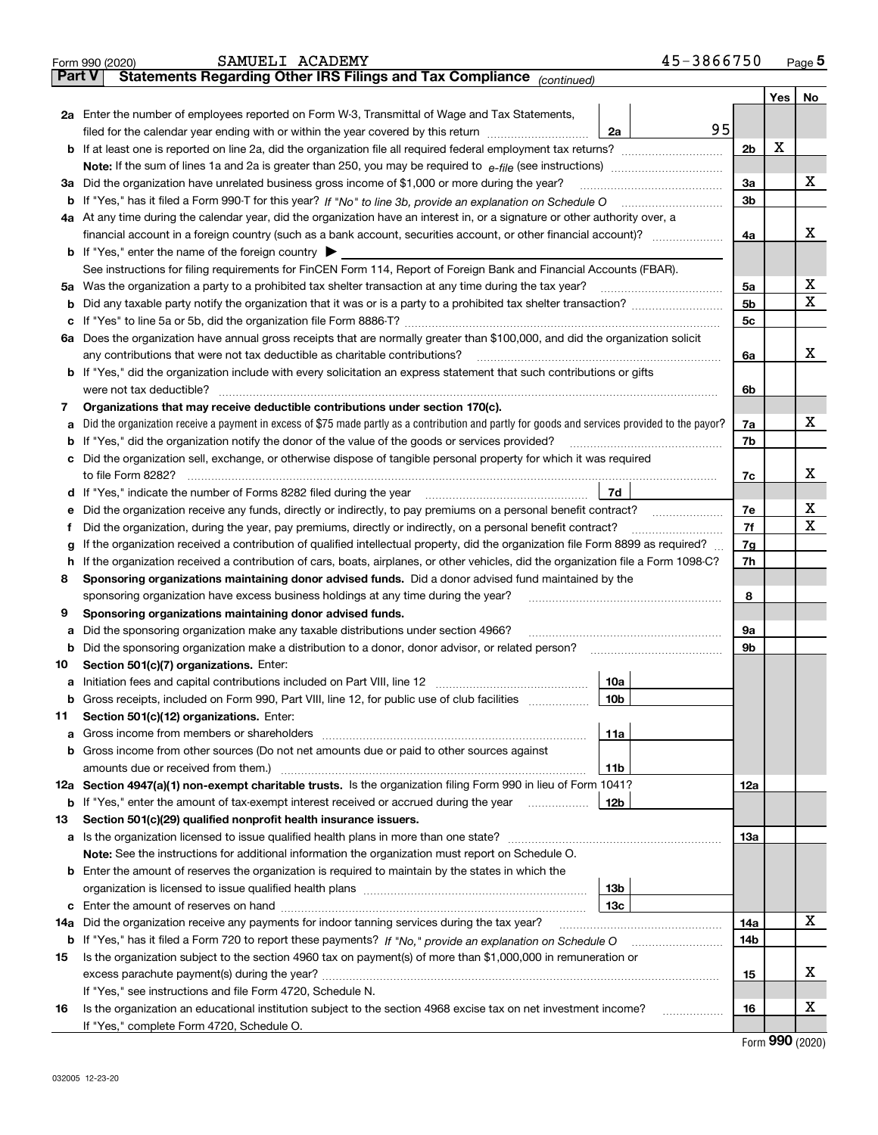|        | 45-3866750<br>SAMUELI ACADEMY<br>Form 990 (2020)                                                                                                                                          |                |   | Page $5$ |
|--------|-------------------------------------------------------------------------------------------------------------------------------------------------------------------------------------------|----------------|---|----------|
| Part V | Statements Regarding Other IRS Filings and Tax Compliance (continued)                                                                                                                     |                |   |          |
|        |                                                                                                                                                                                           |                |   | Yes   No |
|        | 2a Enter the number of employees reported on Form W-3, Transmittal of Wage and Tax Statements,                                                                                            |                |   |          |
|        | 95<br>filed for the calendar year ending with or within the year covered by this return [11] [11] filed for the calendar year ending with or within the year covered by this return<br>2a |                |   |          |
|        |                                                                                                                                                                                           | 2 <sub>b</sub> | X |          |
|        | Note: If the sum of lines 1a and 2a is greater than 250, you may be required to $e$ -file (see instructions) <i></i>                                                                      |                |   |          |
|        | 3a Did the organization have unrelated business gross income of \$1,000 or more during the year?                                                                                          | 3a             |   | х        |
|        |                                                                                                                                                                                           | 3 <sub>b</sub> |   |          |
|        | 4a At any time during the calendar year, did the organization have an interest in, or a signature or other authority over, a                                                              |                |   |          |
|        |                                                                                                                                                                                           | 4a             |   | x        |
|        | <b>b</b> If "Yes," enter the name of the foreign country                                                                                                                                  |                |   |          |
|        | See instructions for filing requirements for FinCEN Form 114, Report of Foreign Bank and Financial Accounts (FBAR).                                                                       |                |   |          |
|        | 5a Was the organization a party to a prohibited tax shelter transaction at any time during the tax year?                                                                                  | 5a             |   | х        |
|        |                                                                                                                                                                                           | 5 <sub>b</sub> |   | x        |
| с      |                                                                                                                                                                                           | 5c             |   |          |
|        | 6a Does the organization have annual gross receipts that are normally greater than \$100,000, and did the organization solicit                                                            |                |   |          |
|        | any contributions that were not tax deductible as charitable contributions?                                                                                                               | 6a             |   | x        |
|        | b If "Yes," did the organization include with every solicitation an express statement that such contributions or gifts                                                                    |                |   |          |
|        | were not tax deductible?                                                                                                                                                                  | 6b             |   |          |
| 7      | Organizations that may receive deductible contributions under section 170(c).                                                                                                             |                |   |          |
| a      | Did the organization receive a payment in excess of \$75 made partly as a contribution and partly for goods and services provided to the payor?                                           | 7a             |   | х        |
| b      | If "Yes," did the organization notify the donor of the value of the goods or services provided?                                                                                           | 7b             |   |          |
|        | c Did the organization sell, exchange, or otherwise dispose of tangible personal property for which it was required                                                                       |                |   |          |
|        |                                                                                                                                                                                           | 7c             |   | x        |
|        | 7d                                                                                                                                                                                        |                |   |          |
| е      | Did the organization receive any funds, directly or indirectly, to pay premiums on a personal benefit contract?                                                                           | 7e             |   | х        |
| Ť      | Did the organization, during the year, pay premiums, directly or indirectly, on a personal benefit contract?                                                                              | 7f             |   | x        |
| g      | If the organization received a contribution of qualified intellectual property, did the organization file Form 8899 as required?                                                          | 7g             |   |          |
| h.     | If the organization received a contribution of cars, boats, airplanes, or other vehicles, did the organization file a Form 1098-C?                                                        | 7h             |   |          |
| 8      | Sponsoring organizations maintaining donor advised funds. Did a donor advised fund maintained by the                                                                                      |                |   |          |
|        | sponsoring organization have excess business holdings at any time during the year?                                                                                                        | 8              |   |          |
| 9      | Sponsoring organizations maintaining donor advised funds.                                                                                                                                 |                |   |          |
| а      | Did the sponsoring organization make any taxable distributions under section 4966?                                                                                                        | 9а             |   |          |
| b      | Did the sponsoring organization make a distribution to a donor, donor advisor, or related person?                                                                                         | 9b             |   |          |
| 10     | Section 501(c)(7) organizations. Enter:                                                                                                                                                   |                |   |          |
|        | 10a                                                                                                                                                                                       |                |   |          |
| b      | Gross receipts, included on Form 990, Part VIII, line 12, for public use of club facilities manuscum<br>10b                                                                               |                |   |          |
| 11     | Section 501(c)(12) organizations. Enter:                                                                                                                                                  |                |   |          |
| а      | 11a                                                                                                                                                                                       |                |   |          |
| b      | Gross income from other sources (Do not net amounts due or paid to other sources against                                                                                                  |                |   |          |
|        | amounts due or received from them.)<br>11b<br>12a Section 4947(a)(1) non-exempt charitable trusts. Is the organization filing Form 990 in lieu of Form 1041?                              |                |   |          |
|        | 12b                                                                                                                                                                                       | 12a            |   |          |
|        | <b>b</b> If "Yes," enter the amount of tax-exempt interest received or accrued during the year                                                                                            |                |   |          |
| 13     | Section 501(c)(29) qualified nonprofit health insurance issuers.<br><b>a</b> Is the organization licensed to issue qualified health plans in more than one state?                         | 13а            |   |          |
|        | Note: See the instructions for additional information the organization must report on Schedule O.                                                                                         |                |   |          |
|        | <b>b</b> Enter the amount of reserves the organization is required to maintain by the states in which the                                                                                 |                |   |          |
|        | 13 <sub>b</sub>                                                                                                                                                                           |                |   |          |
|        | 13c                                                                                                                                                                                       |                |   |          |
| c      | 14a Did the organization receive any payments for indoor tanning services during the tax year?                                                                                            | 14a            |   | х        |
|        |                                                                                                                                                                                           | 14b            |   |          |
| 15     | Is the organization subject to the section 4960 tax on payment(s) of more than \$1,000,000 in remuneration or                                                                             |                |   |          |
|        |                                                                                                                                                                                           | 15             |   | х        |
|        | If "Yes," see instructions and file Form 4720, Schedule N.                                                                                                                                |                |   |          |
| 16     | Is the organization an educational institution subject to the section 4968 excise tax on net investment income?                                                                           | 16             |   | х        |
|        | .<br>If "Yes," complete Form 4720, Schedule O.                                                                                                                                            |                |   |          |
|        |                                                                                                                                                                                           |                |   |          |

Form (2020) **990**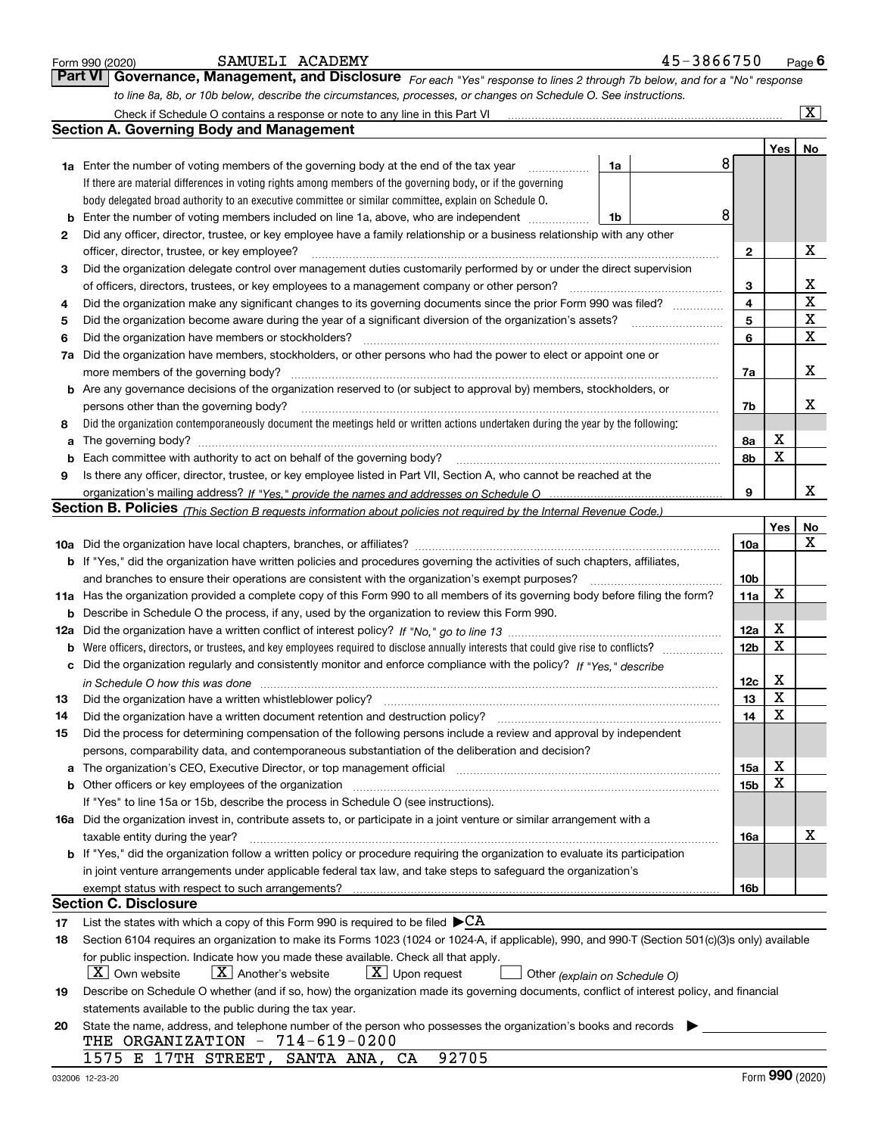|    | Form 990 (2020) | SAMUELI ACADEMY                                                                                                                                                       |    | 45-3866750 |                 |                         | $Page$ <sup>6</sup>     |
|----|-----------------|-----------------------------------------------------------------------------------------------------------------------------------------------------------------------|----|------------|-----------------|-------------------------|-------------------------|
|    | Part VI         | Governance, Management, and Disclosure For each "Yes" response to lines 2 through 7b below, and for a "No" response                                                   |    |            |                 |                         |                         |
|    |                 | to line 8a, 8b, or 10b below, describe the circumstances, processes, or changes on Schedule O. See instructions.                                                      |    |            |                 |                         |                         |
|    |                 | Check if Schedule O contains a response or note to any line in this Part VI [11] [12] Check if Schedule O contains a response or note to any line in this Part VI     |    |            |                 |                         | $\overline{\mathtt{x}}$ |
|    |                 | <b>Section A. Governing Body and Management</b>                                                                                                                       |    |            |                 |                         |                         |
|    |                 |                                                                                                                                                                       |    |            |                 | Yes                     | No                      |
|    |                 | <b>1a</b> Enter the number of voting members of the governing body at the end of the tax year<br>.                                                                    | 1a |            | 8               |                         |                         |
|    |                 | If there are material differences in voting rights among members of the governing body, or if the governing                                                           |    |            |                 |                         |                         |
|    |                 | body delegated broad authority to an executive committee or similar committee, explain on Schedule O.                                                                 |    |            |                 |                         |                         |
| b  |                 | Enter the number of voting members included on line 1a, above, who are independent                                                                                    | 1b |            | 8               |                         |                         |
| 2  |                 | Did any officer, director, trustee, or key employee have a family relationship or a business relationship with any other                                              |    |            |                 |                         |                         |
|    |                 | officer, director, trustee, or key employee?                                                                                                                          |    |            | 2               |                         | х                       |
| 3  |                 | Did the organization delegate control over management duties customarily performed by or under the direct supervision                                                 |    |            |                 |                         |                         |
|    |                 | of officers, directors, trustees, or key employees to a management company or other person?                                                                           |    |            | з               |                         | х                       |
| 4  |                 | Did the organization make any significant changes to its governing documents since the prior Form 990 was filed?                                                      |    |            | 4               |                         | $\mathbf x$             |
| 5  |                 |                                                                                                                                                                       |    |            | 5               |                         | X                       |
| 6  |                 | Did the organization have members or stockholders?                                                                                                                    |    |            | 6               |                         | $\mathbf X$             |
| 7a |                 | Did the organization have members, stockholders, or other persons who had the power to elect or appoint one or                                                        |    |            |                 |                         |                         |
|    |                 | more members of the governing body?                                                                                                                                   |    |            | 7a              |                         | х                       |
|    |                 | <b>b</b> Are any governance decisions of the organization reserved to (or subject to approval by) members, stockholders, or                                           |    |            |                 |                         |                         |
|    |                 | persons other than the governing body?                                                                                                                                |    |            | 7b              |                         | х                       |
| 8  |                 | Did the organization contemporaneously document the meetings held or written actions undertaken during the year by the following:                                     |    |            |                 |                         |                         |
| a  |                 |                                                                                                                                                                       |    |            | 8а              | х                       |                         |
| b  |                 | Each committee with authority to act on behalf of the governing body?                                                                                                 |    |            | 8b              | х                       |                         |
| 9  |                 | Is there any officer, director, trustee, or key employee listed in Part VII, Section A, who cannot be reached at the                                                  |    |            |                 |                         |                         |
|    |                 |                                                                                                                                                                       |    |            | 9               |                         | х                       |
|    |                 | Section B. Policies <sub>(This</sub> Section B requests information about policies not required by the Internal Revenue Code.)                                        |    |            |                 |                         |                         |
|    |                 |                                                                                                                                                                       |    |            |                 | Yes                     | No<br>X                 |
|    |                 | b If "Yes," did the organization have written policies and procedures governing the activities of such chapters, affiliates,                                          |    |            | 10a             |                         |                         |
|    |                 | and branches to ensure their operations are consistent with the organization's exempt purposes?                                                                       |    |            | 10 <sub>b</sub> |                         |                         |
|    |                 | 11a Has the organization provided a complete copy of this Form 990 to all members of its governing body before filing the form?                                       |    |            | 11a             | X                       |                         |
|    |                 | <b>b</b> Describe in Schedule O the process, if any, used by the organization to review this Form 990.                                                                |    |            |                 |                         |                         |
|    |                 |                                                                                                                                                                       |    |            | 12a             | х                       |                         |
|    |                 |                                                                                                                                                                       |    |            | 12 <sub>b</sub> | X                       |                         |
| с  |                 | Did the organization regularly and consistently monitor and enforce compliance with the policy? If "Yes," describe                                                    |    |            |                 |                         |                         |
|    |                 | in Schedule O how this was done measurement control to the state of the state of the state of the state of the                                                        |    |            | 12c             | x                       |                         |
|    |                 |                                                                                                                                                                       |    |            | 13              | $\overline{\textbf{x}}$ |                         |
| 14 |                 | Did the organization have a written document retention and destruction policy?                                                                                        |    |            | 14              | Χ                       |                         |
| 15 |                 | Did the process for determining compensation of the following persons include a review and approval by independent                                                    |    |            |                 |                         |                         |
|    |                 | persons, comparability data, and contemporaneous substantiation of the deliberation and decision?                                                                     |    |            |                 |                         |                         |
| a  |                 | The organization's CEO, Executive Director, or top management official manufactured content of the organization's CEO, Executive Director, or top management official |    |            | 15a             | х                       |                         |
|    |                 | Other officers or key employees of the organization                                                                                                                   |    |            | 15b             | X                       |                         |
|    |                 | If "Yes" to line 15a or 15b, describe the process in Schedule O (see instructions).                                                                                   |    |            |                 |                         |                         |
|    |                 | 16a Did the organization invest in, contribute assets to, or participate in a joint venture or similar arrangement with a                                             |    |            |                 |                         |                         |
|    |                 | taxable entity during the year?                                                                                                                                       |    |            | 16a             |                         | x                       |
|    |                 | b If "Yes," did the organization follow a written policy or procedure requiring the organization to evaluate its participation                                        |    |            |                 |                         |                         |
|    |                 | in joint venture arrangements under applicable federal tax law, and take steps to safequard the organization's                                                        |    |            |                 |                         |                         |
|    |                 |                                                                                                                                                                       |    |            | 16b             |                         |                         |
|    |                 | <b>Section C. Disclosure</b>                                                                                                                                          |    |            |                 |                         |                         |
| 17 |                 | List the states with which a copy of this Form 990 is required to be filed $\blacktriangleright$ CA                                                                   |    |            |                 |                         |                         |
| 18 |                 | Section 6104 requires an organization to make its Forms 1023 (1024 or 1024-A, if applicable), 990, and 990-T (Section 501(c)(3)s only) available                      |    |            |                 |                         |                         |
|    |                 | for public inspection. Indicate how you made these available. Check all that apply.                                                                                   |    |            |                 |                         |                         |
|    |                 | $X$ Own website<br>$X$ Another's website<br>$X$ Upon request<br>Other (explain on Schedule O)                                                                         |    |            |                 |                         |                         |
| 19 |                 | Describe on Schedule O whether (and if so, how) the organization made its governing documents, conflict of interest policy, and financial                             |    |            |                 |                         |                         |
|    |                 | statements available to the public during the tax year.                                                                                                               |    |            |                 |                         |                         |
| 20 |                 | State the name, address, and telephone number of the person who possesses the organization's books and records                                                        |    |            |                 |                         |                         |
|    |                 | THE ORGANIZATION - $714-619-0200$                                                                                                                                     |    |            |                 |                         |                         |
|    |                 | 1575 E 17TH STREET,<br>92705<br>SANTA ANA, CA                                                                                                                         |    |            |                 |                         |                         |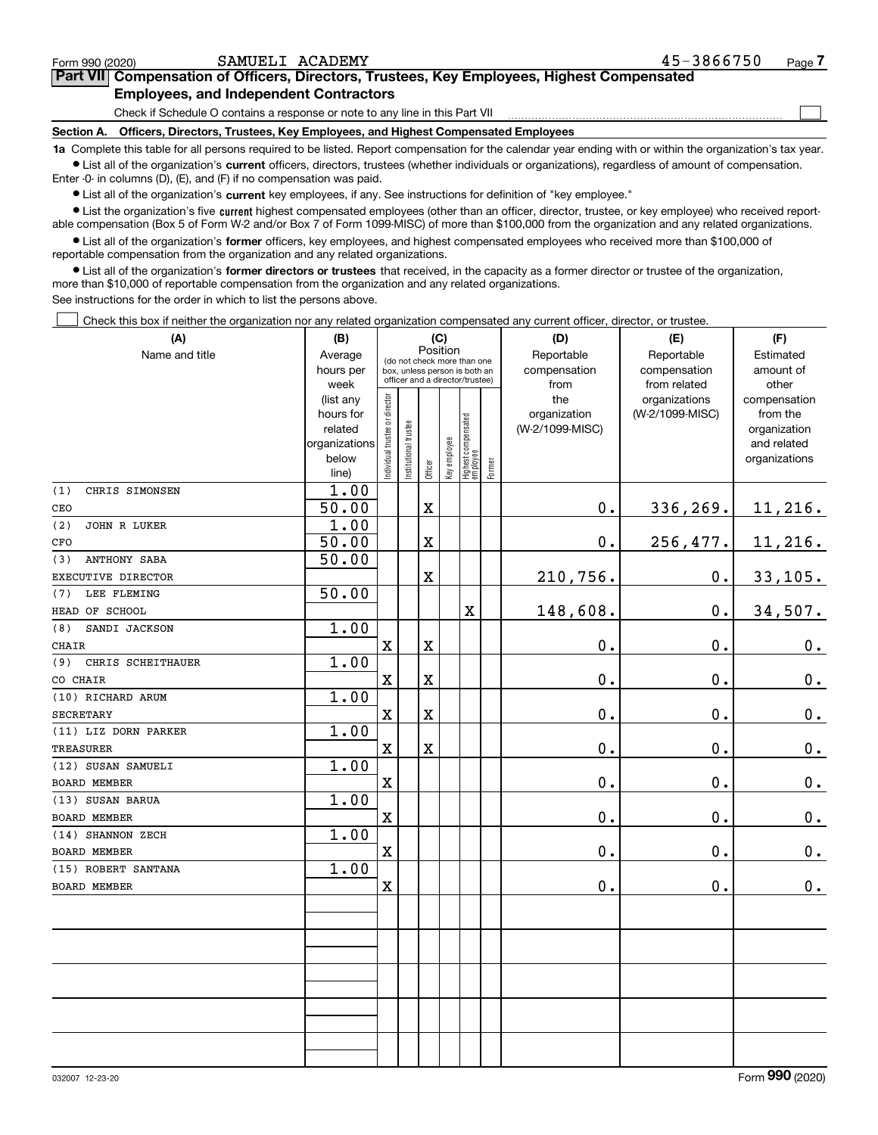## **7Part VII Compensation of Officers, Directors, Trustees, Key Employees, Highest Compensated Employees, and Independent Contractors**

Check if Schedule O contains a response or note to any line in this Part VII

**Section A. Officers, Directors, Trustees, Key Employees, and Highest Compensated Employees**

**1a**  Complete this table for all persons required to be listed. Report compensation for the calendar year ending with or within the organization's tax year. **•** List all of the organization's current officers, directors, trustees (whether individuals or organizations), regardless of amount of compensation.

Enter -0- in columns (D), (E), and (F) if no compensation was paid.

 $\bullet$  List all of the organization's  $\,$ current key employees, if any. See instructions for definition of "key employee."

**•** List the organization's five current highest compensated employees (other than an officer, director, trustee, or key employee) who received reportable compensation (Box 5 of Form W-2 and/or Box 7 of Form 1099-MISC) of more than \$100,000 from the organization and any related organizations.

**•** List all of the organization's former officers, key employees, and highest compensated employees who received more than \$100,000 of reportable compensation from the organization and any related organizations.

**former directors or trustees**  ¥ List all of the organization's that received, in the capacity as a former director or trustee of the organization, more than \$10,000 of reportable compensation from the organization and any related organizations.

See instructions for the order in which to list the persons above.

Check this box if neither the organization nor any related organization compensated any current officer, director, or trustee.  $\mathcal{L}^{\text{max}}$ 

| (A)                        | (B)                  |                                |                       |                         | (C)                         |                                                                  |            | (D)             | (E)             | (F)                         |
|----------------------------|----------------------|--------------------------------|-----------------------|-------------------------|-----------------------------|------------------------------------------------------------------|------------|-----------------|-----------------|-----------------------------|
| Name and title             | Average              |                                | Position              |                         | (do not check more than one |                                                                  | Reportable | Reportable      | Estimated       |                             |
|                            | hours per            |                                |                       |                         |                             | box, unless person is both an<br>officer and a director/trustee) |            | compensation    | compensation    | amount of                   |
|                            | week                 |                                |                       |                         |                             |                                                                  |            | from            | from related    | other                       |
|                            | (list any            |                                |                       |                         |                             |                                                                  |            | the             | organizations   | compensation                |
|                            | hours for<br>related |                                |                       |                         |                             |                                                                  |            | organization    | (W-2/1099-MISC) | from the                    |
|                            | organizations        |                                |                       |                         |                             |                                                                  |            | (W-2/1099-MISC) |                 | organization<br>and related |
|                            | below                |                                |                       |                         |                             |                                                                  |            |                 |                 | organizations               |
|                            | line)                | Individual trustee or director | Institutional trustee | Officer                 | Key employee                | Highest compensated<br>employee                                  | Former     |                 |                 |                             |
| (1)<br>CHRIS SIMONSEN      | 1.00                 |                                |                       |                         |                             |                                                                  |            |                 |                 |                             |
| CEO                        | 50.00                |                                |                       | $\mathbf X$             |                             |                                                                  |            | 0.              | 336,269.        | 11,216.                     |
| (2)<br>JOHN R LUKER        | 1.00                 |                                |                       |                         |                             |                                                                  |            |                 |                 |                             |
| CFO                        | 50.00                |                                |                       | $\mathbf X$             |                             |                                                                  |            | $\mathbf 0$ .   | 256,477.        | 11,216.                     |
| <b>ANTHONY SABA</b><br>(3) | 50.00                |                                |                       |                         |                             |                                                                  |            |                 |                 |                             |
| EXECUTIVE DIRECTOR         |                      |                                |                       | $\mathbf X$             |                             |                                                                  |            | 210,756.        | $\mathbf 0$ .   | 33, 105.                    |
| LEE FLEMING<br>(7)         | 50.00                |                                |                       |                         |                             |                                                                  |            |                 |                 |                             |
| HEAD OF SCHOOL             |                      |                                |                       |                         |                             | $\overline{\mathbf{X}}$                                          |            | 148,608.        | $\mathbf 0$ .   | $34,507$ .                  |
| SANDI JACKSON<br>(8)       | 1.00                 |                                |                       |                         |                             |                                                                  |            |                 |                 |                             |
| <b>CHAIR</b>               |                      | $\mathbf x$                    |                       | $\mathbf X$             |                             |                                                                  |            | 0.              | 0.              | 0.                          |
| (9)<br>CHRIS SCHEITHAUER   | 1.00                 |                                |                       |                         |                             |                                                                  |            |                 |                 |                             |
| CO CHAIR                   |                      | $\mathbf X$                    |                       | $\mathbf X$             |                             |                                                                  |            | $0$ .           | 0.              | 0.                          |
| (10) RICHARD ARUM          | 1.00                 |                                |                       |                         |                             |                                                                  |            |                 |                 |                             |
| <b>SECRETARY</b>           |                      | $\mathbf x$                    |                       | $\rm X$                 |                             |                                                                  |            | 0.              | 0.              | $\pmb{0}$ .                 |
| (11) LIZ DORN PARKER       | 1.00                 |                                |                       |                         |                             |                                                                  |            |                 |                 |                             |
| <b>TREASURER</b>           |                      | $\mathbf X$                    |                       | $\overline{\textbf{X}}$ |                             |                                                                  |            | 0.              | 0.              | 0.                          |
| (12) SUSAN SAMUELI         | 1.00                 |                                |                       |                         |                             |                                                                  |            |                 |                 |                             |
| BOARD MEMBER               |                      | $\mathbf X$                    |                       |                         |                             |                                                                  |            | $\mathbf 0$ .   | $\mathbf 0$ .   | 0.                          |
| (13) SUSAN BARUA           | 1.00                 |                                |                       |                         |                             |                                                                  |            |                 |                 |                             |
| BOARD MEMBER               |                      | $\mathbf X$                    |                       |                         |                             |                                                                  |            | 0.              | $\mathbf 0$ .   | 0.                          |
| (14) SHANNON ZECH          | 1.00                 |                                |                       |                         |                             |                                                                  |            |                 |                 |                             |
| <b>BOARD MEMBER</b>        |                      | $\mathbf x$                    |                       |                         |                             |                                                                  |            | 0.              | 0.              | 0.                          |
| (15) ROBERT SANTANA        | 1.00                 |                                |                       |                         |                             |                                                                  |            |                 |                 |                             |
| BOARD MEMBER               |                      | $\mathbf X$                    |                       |                         |                             |                                                                  |            | 0.              | 0.              | 0.                          |
|                            |                      |                                |                       |                         |                             |                                                                  |            |                 |                 |                             |
|                            |                      |                                |                       |                         |                             |                                                                  |            |                 |                 |                             |
|                            |                      |                                |                       |                         |                             |                                                                  |            |                 |                 |                             |
|                            |                      |                                |                       |                         |                             |                                                                  |            |                 |                 |                             |
|                            |                      |                                |                       |                         |                             |                                                                  |            |                 |                 |                             |
|                            |                      |                                |                       |                         |                             |                                                                  |            |                 |                 |                             |
|                            |                      |                                |                       |                         |                             |                                                                  |            |                 |                 |                             |
|                            |                      |                                |                       |                         |                             |                                                                  |            |                 |                 |                             |
|                            |                      |                                |                       |                         |                             |                                                                  |            |                 |                 |                             |
|                            |                      |                                |                       |                         |                             |                                                                  |            |                 |                 |                             |

Form 990 (2020) Page SAMUELI ACADEMY 45-3866750

 $\mathcal{L}^{\text{max}}$ 

|  | Form 990 (2020) |  |
|--|-----------------|--|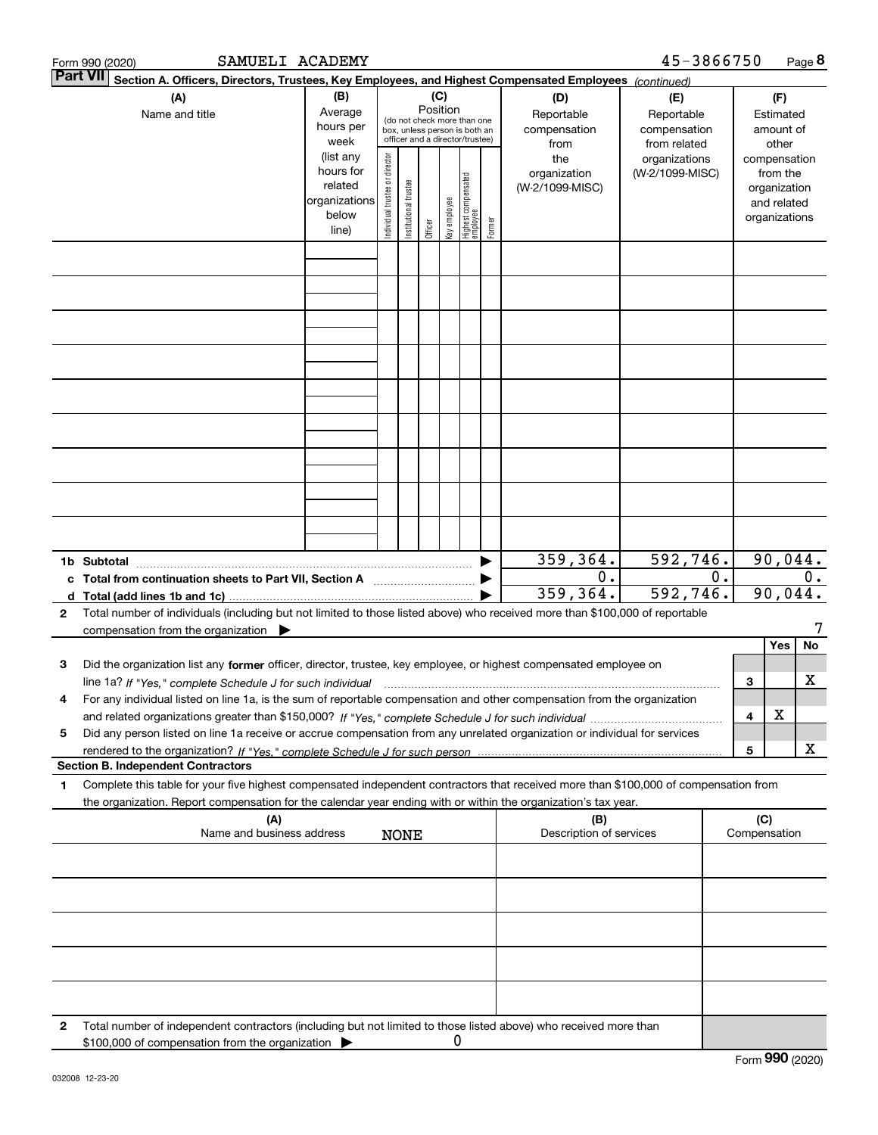|        | SAMUELI ACADEMY<br>Form 990 (2020)                                                                                                                                                                                                                                  |                                                                      |                                |                       |                 |              |                                                                                                 |        |                                           | 45-3866750                                        |       |     |                                                                          | Page 8  |
|--------|---------------------------------------------------------------------------------------------------------------------------------------------------------------------------------------------------------------------------------------------------------------------|----------------------------------------------------------------------|--------------------------------|-----------------------|-----------------|--------------|-------------------------------------------------------------------------------------------------|--------|-------------------------------------------|---------------------------------------------------|-------|-----|--------------------------------------------------------------------------|---------|
|        | <b>Part VII</b><br>Section A. Officers, Directors, Trustees, Key Employees, and Highest Compensated Employees (continued)                                                                                                                                           |                                                                      |                                |                       |                 |              |                                                                                                 |        |                                           |                                                   |       |     |                                                                          |         |
|        | (A)<br>Name and title                                                                                                                                                                                                                                               | (B)<br>Average<br>hours per<br>week                                  |                                |                       | (C)<br>Position |              | (do not check more than one<br>box, unless person is both an<br>officer and a director/trustee) |        | (D)<br>Reportable<br>compensation<br>from | (E)<br>Reportable<br>compensation<br>from related |       |     | (F)<br>Estimated<br>amount of<br>other                                   |         |
|        |                                                                                                                                                                                                                                                                     | (list any<br>hours for<br>related<br>organizations<br>below<br>line) | Individual trustee or director | Institutional trustee | Officer         | key employee | Highest compensated<br>employee                                                                 | Former | the<br>organization<br>(W-2/1099-MISC)    | organizations<br>(W-2/1099-MISC)                  |       |     | compensation<br>from the<br>organization<br>and related<br>organizations |         |
|        |                                                                                                                                                                                                                                                                     |                                                                      |                                |                       |                 |              |                                                                                                 |        |                                           |                                                   |       |     |                                                                          |         |
|        |                                                                                                                                                                                                                                                                     |                                                                      |                                |                       |                 |              |                                                                                                 |        |                                           |                                                   |       |     |                                                                          |         |
|        |                                                                                                                                                                                                                                                                     |                                                                      |                                |                       |                 |              |                                                                                                 |        |                                           |                                                   |       |     |                                                                          |         |
|        |                                                                                                                                                                                                                                                                     |                                                                      |                                |                       |                 |              |                                                                                                 |        |                                           |                                                   |       |     |                                                                          |         |
|        |                                                                                                                                                                                                                                                                     |                                                                      |                                |                       |                 |              |                                                                                                 |        |                                           |                                                   |       |     |                                                                          |         |
|        |                                                                                                                                                                                                                                                                     |                                                                      |                                |                       |                 |              |                                                                                                 |        |                                           |                                                   |       |     |                                                                          |         |
|        |                                                                                                                                                                                                                                                                     |                                                                      |                                |                       |                 |              |                                                                                                 |        |                                           |                                                   |       |     |                                                                          |         |
|        |                                                                                                                                                                                                                                                                     |                                                                      |                                |                       |                 |              |                                                                                                 |        |                                           |                                                   |       |     |                                                                          |         |
|        | 1b Subtotal                                                                                                                                                                                                                                                         |                                                                      |                                |                       |                 |              |                                                                                                 |        | 359, 364.                                 | 592,746.                                          |       |     |                                                                          | 90,044. |
| c<br>d | Total from continuation sheets to Part VII, Section A                                                                                                                                                                                                               |                                                                      |                                |                       |                 |              |                                                                                                 |        | 0.<br>359,364.                            | 592,746.                                          | $0$ . |     | 90,044.                                                                  | $0$ .   |
| 2      | Total number of individuals (including but not limited to those listed above) who received more than \$100,000 of reportable<br>compensation from the organization $\blacktriangleright$                                                                            |                                                                      |                                |                       |                 |              |                                                                                                 |        |                                           |                                                   |       |     |                                                                          |         |
|        |                                                                                                                                                                                                                                                                     |                                                                      |                                |                       |                 |              |                                                                                                 |        |                                           |                                                   |       |     | Yes                                                                      | No      |
| з      | Did the organization list any former officer, director, trustee, key employee, or highest compensated employee on                                                                                                                                                   |                                                                      |                                |                       |                 |              |                                                                                                 |        |                                           |                                                   |       |     |                                                                          |         |
| 4      | line 1a? If "Yes," complete Schedule J for such individual manufactured contained and the Ves," complete Schedule J for such individual<br>For any individual listed on line 1a, is the sum of reportable compensation and other compensation from the organization |                                                                      |                                |                       |                 |              |                                                                                                 |        |                                           |                                                   |       | 3   |                                                                          | x       |
|        |                                                                                                                                                                                                                                                                     |                                                                      |                                |                       |                 |              |                                                                                                 |        |                                           |                                                   |       | 4   | х                                                                        |         |
| 5      | Did any person listed on line 1a receive or accrue compensation from any unrelated organization or individual for services                                                                                                                                          |                                                                      |                                |                       |                 |              |                                                                                                 |        |                                           |                                                   |       | 5   |                                                                          | x       |
|        | <b>Section B. Independent Contractors</b>                                                                                                                                                                                                                           |                                                                      |                                |                       |                 |              |                                                                                                 |        |                                           |                                                   |       |     |                                                                          |         |
| 1      | Complete this table for your five highest compensated independent contractors that received more than \$100,000 of compensation from<br>the organization. Report compensation for the calendar year ending with or within the organization's tax year.              |                                                                      |                                |                       |                 |              |                                                                                                 |        |                                           |                                                   |       |     |                                                                          |         |
|        | (A)<br>Name and business address                                                                                                                                                                                                                                    |                                                                      |                                | <b>NONE</b>           |                 |              |                                                                                                 |        | (B)<br>Description of services            |                                                   |       | (C) | Compensation                                                             |         |
|        |                                                                                                                                                                                                                                                                     |                                                                      |                                |                       |                 |              |                                                                                                 |        |                                           |                                                   |       |     |                                                                          |         |
|        |                                                                                                                                                                                                                                                                     |                                                                      |                                |                       |                 |              |                                                                                                 |        |                                           |                                                   |       |     |                                                                          |         |
|        |                                                                                                                                                                                                                                                                     |                                                                      |                                |                       |                 |              |                                                                                                 |        |                                           |                                                   |       |     |                                                                          |         |
|        |                                                                                                                                                                                                                                                                     |                                                                      |                                |                       |                 |              |                                                                                                 |        |                                           |                                                   |       |     |                                                                          |         |
| 2      | Total number of independent contractors (including but not limited to those listed above) who received more than                                                                                                                                                    |                                                                      |                                |                       |                 |              |                                                                                                 |        |                                           |                                                   |       |     |                                                                          |         |
|        | \$100,000 of compensation from the organization                                                                                                                                                                                                                     |                                                                      |                                |                       |                 | 0            |                                                                                                 |        |                                           |                                                   |       |     |                                                                          |         |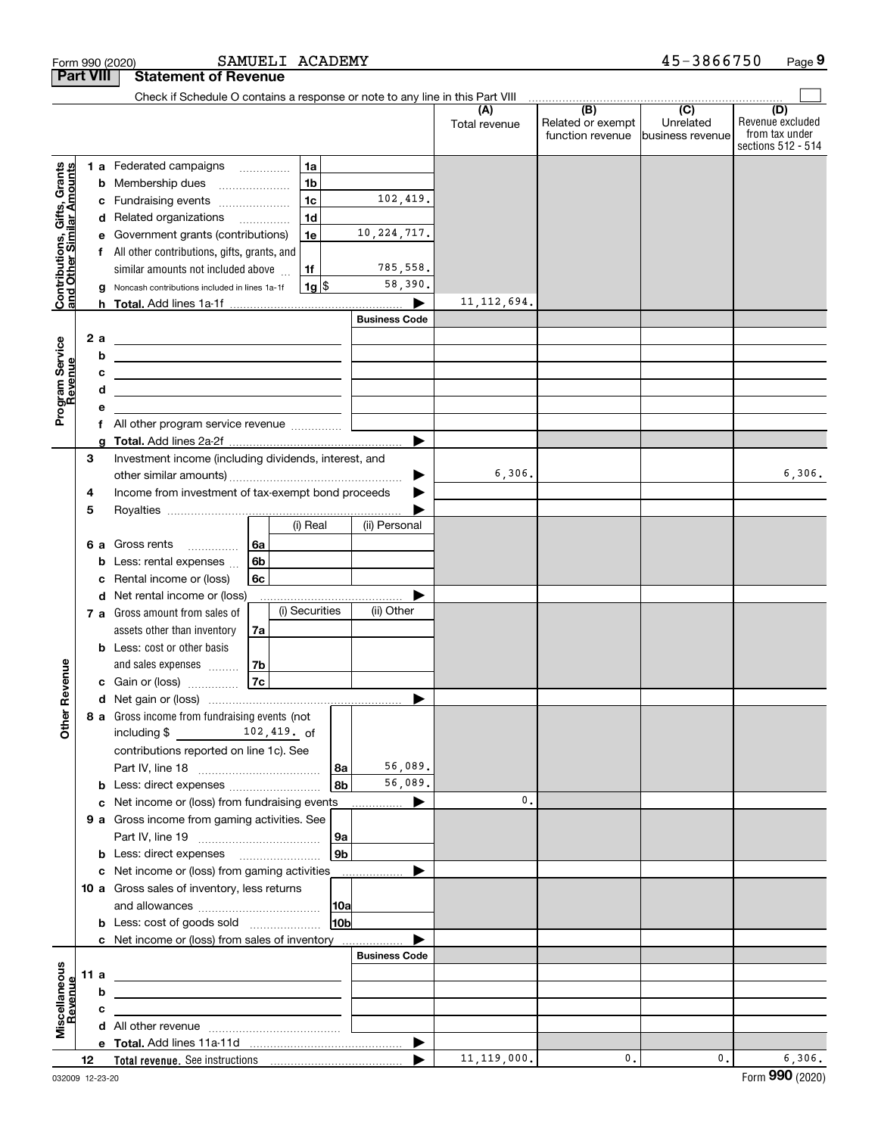|                                                                                         | <b>Part VIII</b>                 | <b>Statement of Revenue</b>                                                                                                                                                                                                                                                                                                                                                                                                                                                                                                                                                                                                                                                                                                                                                                                                                                                                                                                    |                                                                                 |                                                                          |                      |                                                           |                                                   |                                                                 |
|-----------------------------------------------------------------------------------------|----------------------------------|------------------------------------------------------------------------------------------------------------------------------------------------------------------------------------------------------------------------------------------------------------------------------------------------------------------------------------------------------------------------------------------------------------------------------------------------------------------------------------------------------------------------------------------------------------------------------------------------------------------------------------------------------------------------------------------------------------------------------------------------------------------------------------------------------------------------------------------------------------------------------------------------------------------------------------------------|---------------------------------------------------------------------------------|--------------------------------------------------------------------------|----------------------|-----------------------------------------------------------|---------------------------------------------------|-----------------------------------------------------------------|
|                                                                                         |                                  | Check if Schedule O contains a response or note to any line in this Part VIII                                                                                                                                                                                                                                                                                                                                                                                                                                                                                                                                                                                                                                                                                                                                                                                                                                                                  |                                                                                 |                                                                          |                      |                                                           |                                                   |                                                                 |
|                                                                                         |                                  |                                                                                                                                                                                                                                                                                                                                                                                                                                                                                                                                                                                                                                                                                                                                                                                                                                                                                                                                                |                                                                                 |                                                                          | (A)<br>Total revenue | $\overline{(B)}$<br>Related or exempt<br>function revenue | $\overline{(C)}$<br>Unrelated<br>business revenue | (D)<br>Revenue excluded<br>from tax under<br>sections 512 - 514 |
| Contributions, Gifts, Grants<br>and Other Similar Amounts<br>Program Service<br>Revenue | b<br>c<br>d<br>a<br>2a<br>b<br>d | 1 a Federated campaigns<br>.<br>Membership dues<br>Fundraising events<br>Related organizations<br>.<br>Government grants (contributions)<br>All other contributions, gifts, grants, and<br>similar amounts not included above<br>Noncash contributions included in lines 1a-1f<br><u> 1989 - Johann Harry Harry Harry Harry Harry Harry Harry Harry Harry Harry Harry Harry Harry Harry Harry Harry</u><br><u>and the state of the state of the state of the state of the state of the state of the state of the state of the state of the state of the state of the state of the state of the state of the state of the state of the state</u><br><u>and the contract of the contract of the contract of the contract of the contract of the contract of the contract of the contract of the contract of the contract of the contract of the contract of the contract of the contr</u><br><u> 1989 - Johann Barbara, martxa alemaniar arg</u> | 1a<br>1 <sub>b</sub><br>1 <sub>c</sub><br>1 <sub>d</sub><br>1e<br>1f<br>$1g$ \$ | 102,419.<br>10, 224, 717.<br>785,558.<br>58,390.<br><b>Business Code</b> | 11, 112, 694.        |                                                           |                                                   |                                                                 |
|                                                                                         |                                  | f All other program service revenue                                                                                                                                                                                                                                                                                                                                                                                                                                                                                                                                                                                                                                                                                                                                                                                                                                                                                                            |                                                                                 |                                                                          |                      |                                                           |                                                   |                                                                 |
|                                                                                         | 3<br>4<br>5                      | Investment income (including dividends, interest, and<br>Income from investment of tax-exempt bond proceeds                                                                                                                                                                                                                                                                                                                                                                                                                                                                                                                                                                                                                                                                                                                                                                                                                                    |                                                                                 |                                                                          | 6,306.               |                                                           |                                                   | 6,306.                                                          |
| Revenue<br><b>Other</b>                                                                 | 6а<br>b<br>c<br>d                | Gross rents<br>6a<br>.<br>6b<br>Less: rental expenses<br>6c<br>Rental income or (loss)<br>Net rental income or (loss)                                                                                                                                                                                                                                                                                                                                                                                                                                                                                                                                                                                                                                                                                                                                                                                                                          | (i) Real<br>(i) Securities                                                      | (ii) Personal<br>(ii) Other                                              |                      |                                                           |                                                   |                                                                 |
|                                                                                         |                                  | 7 a Gross amount from sales of<br>assets other than inventory<br>7a<br><b>b</b> Less: cost or other basis<br>and sales expenses<br>7b<br>7c<br>c Gain or (loss)                                                                                                                                                                                                                                                                                                                                                                                                                                                                                                                                                                                                                                                                                                                                                                                |                                                                                 | ▶                                                                        |                      |                                                           |                                                   |                                                                 |
|                                                                                         |                                  | 8 a Gross income from fundraising events (not<br>including $$$<br>102,419. of<br>contributions reported on line 1c). See<br><b>b</b> Less: direct expenses <i>manually contained</i>                                                                                                                                                                                                                                                                                                                                                                                                                                                                                                                                                                                                                                                                                                                                                           | l 8a<br>8b                                                                      | 56,089.<br>56,089.                                                       |                      |                                                           |                                                   |                                                                 |
|                                                                                         |                                  | c Net income or (loss) from fundraising events<br>9 a Gross income from gaming activities. See<br><b>b</b> Less: direct expenses <b>manually</b>                                                                                                                                                                                                                                                                                                                                                                                                                                                                                                                                                                                                                                                                                                                                                                                               | 9a<br>9 <sub>b</sub>                                                            | ▶<br>.                                                                   | 0.                   |                                                           |                                                   |                                                                 |
|                                                                                         |                                  | c Net income or (loss) from gaming activities<br>10 a Gross sales of inventory, less returns<br><b>b</b> Less: cost of goods sold                                                                                                                                                                                                                                                                                                                                                                                                                                                                                                                                                                                                                                                                                                                                                                                                              | 10a <br>10ь                                                                     | .                                                                        |                      |                                                           |                                                   |                                                                 |
| Miscellaneous<br>Revenue                                                                | 11 a<br>b<br>с                   | c Net income or (loss) from sales of inventory<br><u> 1989 - Johann Barbara, martxa alemaniar arg</u><br>the control of the control of the control of the control of the control of the control of                                                                                                                                                                                                                                                                                                                                                                                                                                                                                                                                                                                                                                                                                                                                             |                                                                                 | <b>Business Code</b>                                                     |                      |                                                           |                                                   |                                                                 |
|                                                                                         | 12                               |                                                                                                                                                                                                                                                                                                                                                                                                                                                                                                                                                                                                                                                                                                                                                                                                                                                                                                                                                |                                                                                 |                                                                          | 11, 119, 000.        | $\mathbf{0}$ .                                            | 0.                                                | 6,306.                                                          |

Form 990 (2020) **SAMUELI ACADEMY** 4 5-3 8 6 6 7 5 0 Page

**9**

45-3866750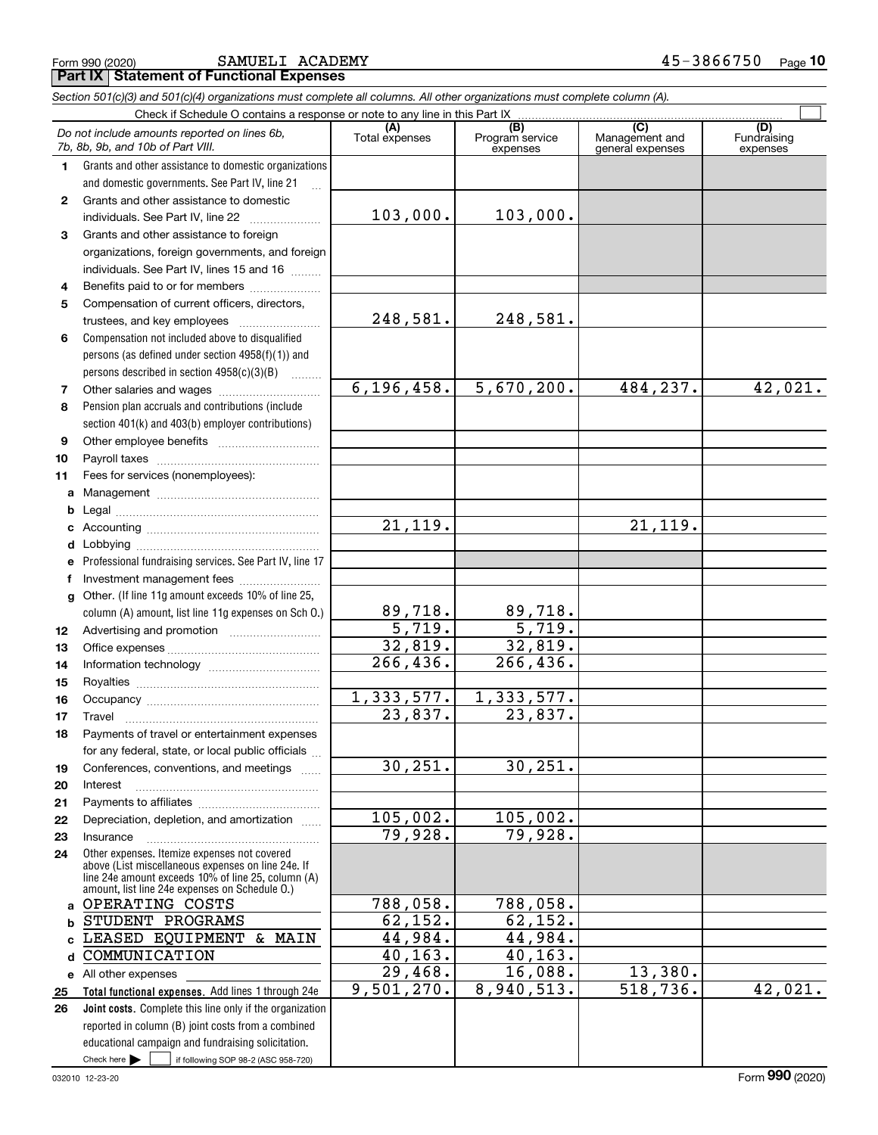Form 990 (2020) SAMUELI ACADEMY 4 5-3 8 6 6 7 5 0 <sub>Page</sub> **Part IX Statement of Functional Expenses**

|              | Section 501(c)(3) and 501(c)(4) organizations must complete all columns. All other organizations must complete column (A).                                                                                 |                       |                                    |                                           |                                |  |  |  |  |  |  |  |
|--------------|------------------------------------------------------------------------------------------------------------------------------------------------------------------------------------------------------------|-----------------------|------------------------------------|-------------------------------------------|--------------------------------|--|--|--|--|--|--|--|
|              | Check if Schedule O contains a response or note to any line in this Part IX                                                                                                                                |                       |                                    |                                           |                                |  |  |  |  |  |  |  |
|              | Do not include amounts reported on lines 6b,<br>7b, 8b, 9b, and 10b of Part VIII.                                                                                                                          | (A)<br>Total expenses | (B)<br>Program service<br>expenses | (C)<br>Management and<br>general expenses | (D)<br>Fundraising<br>expenses |  |  |  |  |  |  |  |
| 1.           | Grants and other assistance to domestic organizations                                                                                                                                                      |                       |                                    |                                           |                                |  |  |  |  |  |  |  |
|              | and domestic governments. See Part IV, line 21                                                                                                                                                             |                       |                                    |                                           |                                |  |  |  |  |  |  |  |
| $\mathbf{2}$ | Grants and other assistance to domestic                                                                                                                                                                    |                       |                                    |                                           |                                |  |  |  |  |  |  |  |
|              | individuals. See Part IV, line 22                                                                                                                                                                          | 103,000.              | 103,000.                           |                                           |                                |  |  |  |  |  |  |  |
| 3            | Grants and other assistance to foreign                                                                                                                                                                     |                       |                                    |                                           |                                |  |  |  |  |  |  |  |
|              | organizations, foreign governments, and foreign                                                                                                                                                            |                       |                                    |                                           |                                |  |  |  |  |  |  |  |
|              | individuals. See Part IV, lines 15 and 16                                                                                                                                                                  |                       |                                    |                                           |                                |  |  |  |  |  |  |  |
| 4            | Benefits paid to or for members                                                                                                                                                                            |                       |                                    |                                           |                                |  |  |  |  |  |  |  |
| 5            | Compensation of current officers, directors,                                                                                                                                                               |                       |                                    |                                           |                                |  |  |  |  |  |  |  |
|              | trustees, and key employees                                                                                                                                                                                | 248,581.              | 248,581.                           |                                           |                                |  |  |  |  |  |  |  |
| 6            | Compensation not included above to disqualified                                                                                                                                                            |                       |                                    |                                           |                                |  |  |  |  |  |  |  |
|              | persons (as defined under section 4958(f)(1)) and                                                                                                                                                          |                       |                                    |                                           |                                |  |  |  |  |  |  |  |
|              | persons described in section 4958(c)(3)(B)                                                                                                                                                                 |                       |                                    |                                           |                                |  |  |  |  |  |  |  |
| 7            | Other salaries and wages                                                                                                                                                                                   | 6, 196, 458.          | 5,670,200.                         | 484,237.                                  | 42,021.                        |  |  |  |  |  |  |  |
| 8            | Pension plan accruals and contributions (include                                                                                                                                                           |                       |                                    |                                           |                                |  |  |  |  |  |  |  |
|              | section 401(k) and 403(b) employer contributions)                                                                                                                                                          |                       |                                    |                                           |                                |  |  |  |  |  |  |  |
| 9            |                                                                                                                                                                                                            |                       |                                    |                                           |                                |  |  |  |  |  |  |  |
| 10           |                                                                                                                                                                                                            |                       |                                    |                                           |                                |  |  |  |  |  |  |  |
| 11           | Fees for services (nonemployees):                                                                                                                                                                          |                       |                                    |                                           |                                |  |  |  |  |  |  |  |
| a            |                                                                                                                                                                                                            |                       |                                    |                                           |                                |  |  |  |  |  |  |  |
| b            |                                                                                                                                                                                                            |                       |                                    |                                           |                                |  |  |  |  |  |  |  |
| c            |                                                                                                                                                                                                            | 21, 119.              |                                    | 21, 119.                                  |                                |  |  |  |  |  |  |  |
| d            |                                                                                                                                                                                                            |                       |                                    |                                           |                                |  |  |  |  |  |  |  |
| е            | Professional fundraising services. See Part IV, line 17                                                                                                                                                    |                       |                                    |                                           |                                |  |  |  |  |  |  |  |
| f            | Investment management fees                                                                                                                                                                                 |                       |                                    |                                           |                                |  |  |  |  |  |  |  |
| g            | Other. (If line 11g amount exceeds 10% of line 25,                                                                                                                                                         |                       |                                    |                                           |                                |  |  |  |  |  |  |  |
|              | column (A) amount, list line 11g expenses on Sch O.)                                                                                                                                                       | 89,718.               | 89,718.                            |                                           |                                |  |  |  |  |  |  |  |
| 12           |                                                                                                                                                                                                            | $\overline{5,719.}$   | 5,719.                             |                                           |                                |  |  |  |  |  |  |  |
| 13           |                                                                                                                                                                                                            | 32,819.               | 32,819.                            |                                           |                                |  |  |  |  |  |  |  |
| 14           |                                                                                                                                                                                                            | 266, 436.             | 266, 436.                          |                                           |                                |  |  |  |  |  |  |  |
| 15           |                                                                                                                                                                                                            |                       |                                    |                                           |                                |  |  |  |  |  |  |  |
| 16           |                                                                                                                                                                                                            | 1,333,577.            | 1,333,577.                         |                                           |                                |  |  |  |  |  |  |  |
| 17           |                                                                                                                                                                                                            | 23,837.               | 23,837.                            |                                           |                                |  |  |  |  |  |  |  |
| 18           | Payments of travel or entertainment expenses                                                                                                                                                               |                       |                                    |                                           |                                |  |  |  |  |  |  |  |
|              | for any federal, state, or local public officials                                                                                                                                                          |                       |                                    |                                           |                                |  |  |  |  |  |  |  |
| 19           | Conferences, conventions, and meetings                                                                                                                                                                     | 30, 251.              | 30, 251.                           |                                           |                                |  |  |  |  |  |  |  |
| 20           | Interest                                                                                                                                                                                                   |                       |                                    |                                           |                                |  |  |  |  |  |  |  |
| 21           |                                                                                                                                                                                                            | 105,002.              |                                    |                                           |                                |  |  |  |  |  |  |  |
| 22           | Depreciation, depletion, and amortization                                                                                                                                                                  | 79,928.               | 105,002.<br>79,928.                |                                           |                                |  |  |  |  |  |  |  |
| 23           | Insurance                                                                                                                                                                                                  |                       |                                    |                                           |                                |  |  |  |  |  |  |  |
| 24           | Other expenses. Itemize expenses not covered<br>above (List miscellaneous expenses on line 24e. If<br>line 24e amount exceeds 10% of line 25, column (A)<br>amount, list line 24e expenses on Schedule 0.) |                       |                                    |                                           |                                |  |  |  |  |  |  |  |
| a            | OPERATING COSTS                                                                                                                                                                                            | 788,058.              | 788,058.                           |                                           |                                |  |  |  |  |  |  |  |
| b            | STUDENT PROGRAMS                                                                                                                                                                                           | 62,152.               | 62,152.                            |                                           |                                |  |  |  |  |  |  |  |
| C            | LEASED EQUIPMENT & MAIN                                                                                                                                                                                    | 44,984.               | 44,984.                            |                                           |                                |  |  |  |  |  |  |  |
| d            | COMMUNICATION                                                                                                                                                                                              | 40, 163.              | 40, 163.                           |                                           |                                |  |  |  |  |  |  |  |
|              | e All other expenses                                                                                                                                                                                       | 29,468.               | 16,088.                            | 13,380.                                   |                                |  |  |  |  |  |  |  |
| 25           | Total functional expenses. Add lines 1 through 24e                                                                                                                                                         | 9,501,270.            | 8,940,513.                         | $\overline{518,736}$ .                    | 42,021.                        |  |  |  |  |  |  |  |
| 26           | Joint costs. Complete this line only if the organization                                                                                                                                                   |                       |                                    |                                           |                                |  |  |  |  |  |  |  |
|              | reported in column (B) joint costs from a combined                                                                                                                                                         |                       |                                    |                                           |                                |  |  |  |  |  |  |  |
|              | educational campaign and fundraising solicitation.                                                                                                                                                         |                       |                                    |                                           |                                |  |  |  |  |  |  |  |
|              | Check here $\blacktriangleright$<br>if following SOP 98-2 (ASC 958-720)                                                                                                                                    |                       |                                    |                                           |                                |  |  |  |  |  |  |  |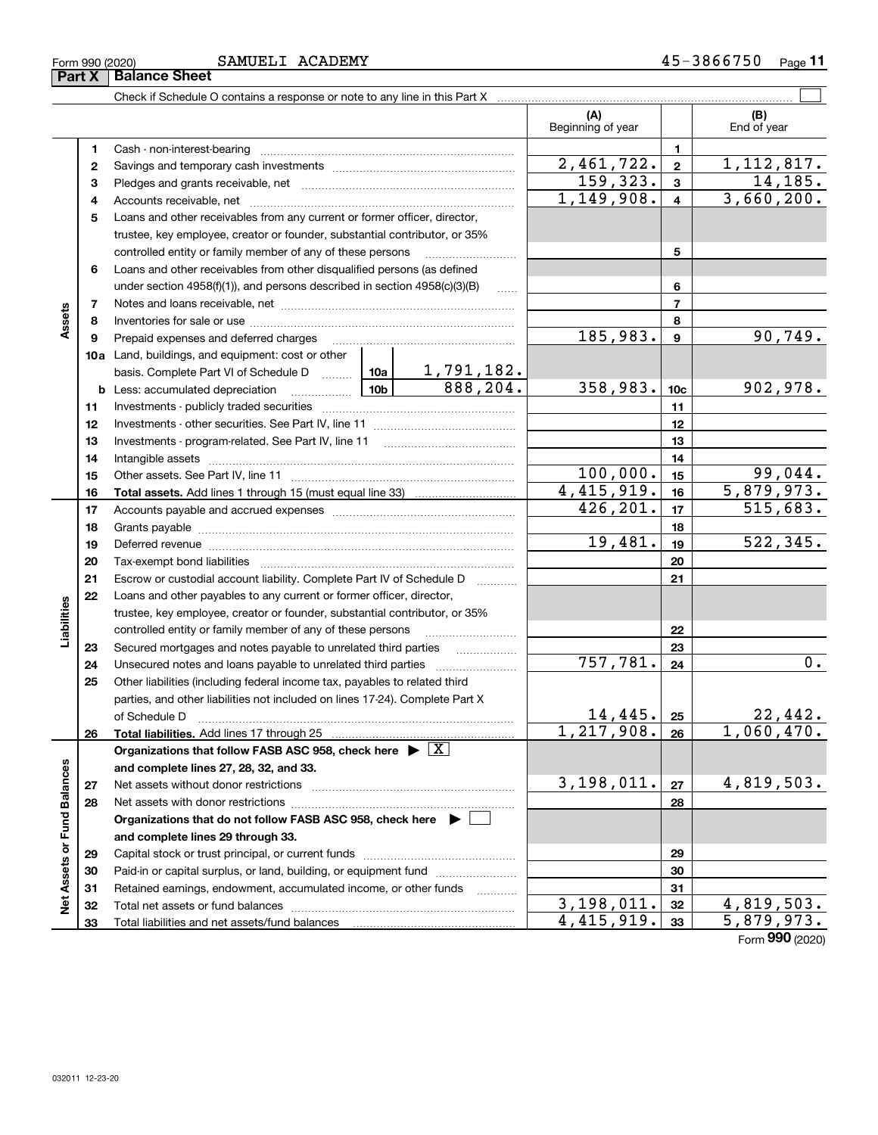J.

| Form 990 (2020)<br>Part X | SAMUELI ACADEMY<br><b>Balance Sheet</b>                                    |                         | 45-3866750<br>Page 11 |
|---------------------------|----------------------------------------------------------------------------|-------------------------|-----------------------|
|                           | Check if Schedule O contains a response or note to any line in this Part X |                         |                       |
|                           |                                                                            | (A<br>Beginning of year | (B)<br>End of year    |
|                           | Cash - non-interest-bearing                                                |                         |                       |
|                           |                                                                            | 151.79<br>$\sim$        | 110017                |

|                             |    |                                                                                                                                                                                                                                |                               | (A)<br>Beginning of year |                         | (B)<br>End of year |
|-----------------------------|----|--------------------------------------------------------------------------------------------------------------------------------------------------------------------------------------------------------------------------------|-------------------------------|--------------------------|-------------------------|--------------------|
|                             | 1  |                                                                                                                                                                                                                                |                               | $\mathbf{1}$             |                         |                    |
|                             | 2  |                                                                                                                                                                                                                                | $\overline{2,461,722}$ .      | $\mathbf{2}$             | 1, 112, 817.            |                    |
|                             | 3  |                                                                                                                                                                                                                                |                               | 159,323.                 | $\overline{\mathbf{3}}$ | 14, 185.           |
|                             | 4  |                                                                                                                                                                                                                                |                               | 1,149,908.               | $\overline{\mathbf{4}}$ | 3,660,200.         |
|                             | 5  | Loans and other receivables from any current or former officer, director,                                                                                                                                                      |                               |                          |                         |                    |
|                             |    | trustee, key employee, creator or founder, substantial contributor, or 35%                                                                                                                                                     |                               |                          |                         |                    |
|                             |    | controlled entity or family member of any of these persons                                                                                                                                                                     |                               |                          | 5                       |                    |
|                             | 6  | Loans and other receivables from other disqualified persons (as defined                                                                                                                                                        |                               |                          |                         |                    |
|                             |    | under section 4958(f)(1)), and persons described in section 4958(c)(3)(B)                                                                                                                                                      |                               |                          | 6                       |                    |
|                             | 7  |                                                                                                                                                                                                                                |                               |                          | $\overline{7}$          |                    |
| Assets                      | 8  |                                                                                                                                                                                                                                |                               |                          | 8                       |                    |
|                             | 9  |                                                                                                                                                                                                                                |                               | 185,983.                 | $\boldsymbol{9}$        | 90, 749.           |
|                             |    | 10a Land, buildings, and equipment: cost or other                                                                                                                                                                              |                               |                          |                         |                    |
|                             |    | basis. Complete Part VI of Schedule D  10a                                                                                                                                                                                     | $\frac{1,791,182.}{888,204.}$ |                          |                         |                    |
|                             |    | <b>b</b> Less: accumulated depreciation                                                                                                                                                                                        |                               | 358,983.                 | 10 <sub>c</sub>         | 902, 978.          |
|                             | 11 |                                                                                                                                                                                                                                |                               |                          | 11                      |                    |
|                             | 12 |                                                                                                                                                                                                                                |                               |                          | 12                      |                    |
|                             | 13 |                                                                                                                                                                                                                                |                               |                          | 13                      |                    |
|                             | 14 |                                                                                                                                                                                                                                |                               | 14                       |                         |                    |
|                             | 15 |                                                                                                                                                                                                                                | 100,000.                      | 15                       | 99,044.                 |                    |
|                             | 16 |                                                                                                                                                                                                                                | 4,415,919.                    | 16                       | 5,879,973.              |                    |
|                             | 17 |                                                                                                                                                                                                                                | 426, 201.                     | 17                       | 515,683.                |                    |
|                             | 18 |                                                                                                                                                                                                                                |                               | 18                       |                         |                    |
|                             | 19 | Deferred revenue material contracts and a contract of the contract of the contract of the contract of the contract of the contract of the contract of the contract of the contract of the contract of the contract of the cont | 19,481.                       | 19                       | 522, 345.               |                    |
|                             | 20 |                                                                                                                                                                                                                                |                               |                          | 20                      |                    |
|                             | 21 | Escrow or custodial account liability. Complete Part IV of Schedule D                                                                                                                                                          |                               |                          | 21                      |                    |
|                             | 22 | Loans and other payables to any current or former officer, director,                                                                                                                                                           |                               |                          |                         |                    |
| Liabilities                 |    | trustee, key employee, creator or founder, substantial contributor, or 35%                                                                                                                                                     |                               |                          |                         |                    |
|                             |    | controlled entity or family member of any of these persons                                                                                                                                                                     |                               |                          | 22                      |                    |
|                             | 23 | Secured mortgages and notes payable to unrelated third parties                                                                                                                                                                 |                               |                          | 23                      |                    |
|                             | 24 |                                                                                                                                                                                                                                |                               | 757,781.                 | 24                      | $\overline{0}$ .   |
|                             | 25 | Other liabilities (including federal income tax, payables to related third                                                                                                                                                     |                               |                          |                         |                    |
|                             |    | parties, and other liabilities not included on lines 17-24). Complete Part X                                                                                                                                                   |                               |                          |                         |                    |
|                             |    |                                                                                                                                                                                                                                | 14, 445.                      | 25                       | 22,442.                 |                    |
|                             | 26 | Total liabilities. Add lines 17 through 25                                                                                                                                                                                     |                               | 1,217,908.               | 26                      | 1,060,470.         |
|                             |    | Organizations that follow FASB ASC 958, check here $\blacktriangleright \boxed{X}$                                                                                                                                             |                               |                          |                         |                    |
|                             |    | and complete lines 27, 28, 32, and 33.                                                                                                                                                                                         |                               |                          |                         |                    |
|                             | 27 |                                                                                                                                                                                                                                | 3,198,011.                    | 27                       | 4,819,503.              |                    |
| Net Assets or Fund Balances | 28 |                                                                                                                                                                                                                                |                               |                          | 28                      |                    |
|                             |    | Organizations that do not follow FASB ASC 958, check here $\blacktriangleright \lfloor$                                                                                                                                        |                               |                          |                         |                    |
|                             |    | and complete lines 29 through 33.                                                                                                                                                                                              |                               |                          |                         |                    |
|                             | 29 |                                                                                                                                                                                                                                |                               | 29                       |                         |                    |
|                             | 30 | Paid-in or capital surplus, or land, building, or equipment fund                                                                                                                                                               |                               |                          | 30                      |                    |
|                             | 31 | Retained earnings, endowment, accumulated income, or other funds                                                                                                                                                               |                               |                          | 31                      |                    |
|                             | 32 |                                                                                                                                                                                                                                |                               | 3, 198, 011.             | 32                      | 4,819,503.         |
|                             | 33 |                                                                                                                                                                                                                                | 4,415,919.                    | 33                       | 5,879,973.              |                    |

Form (2020) **990**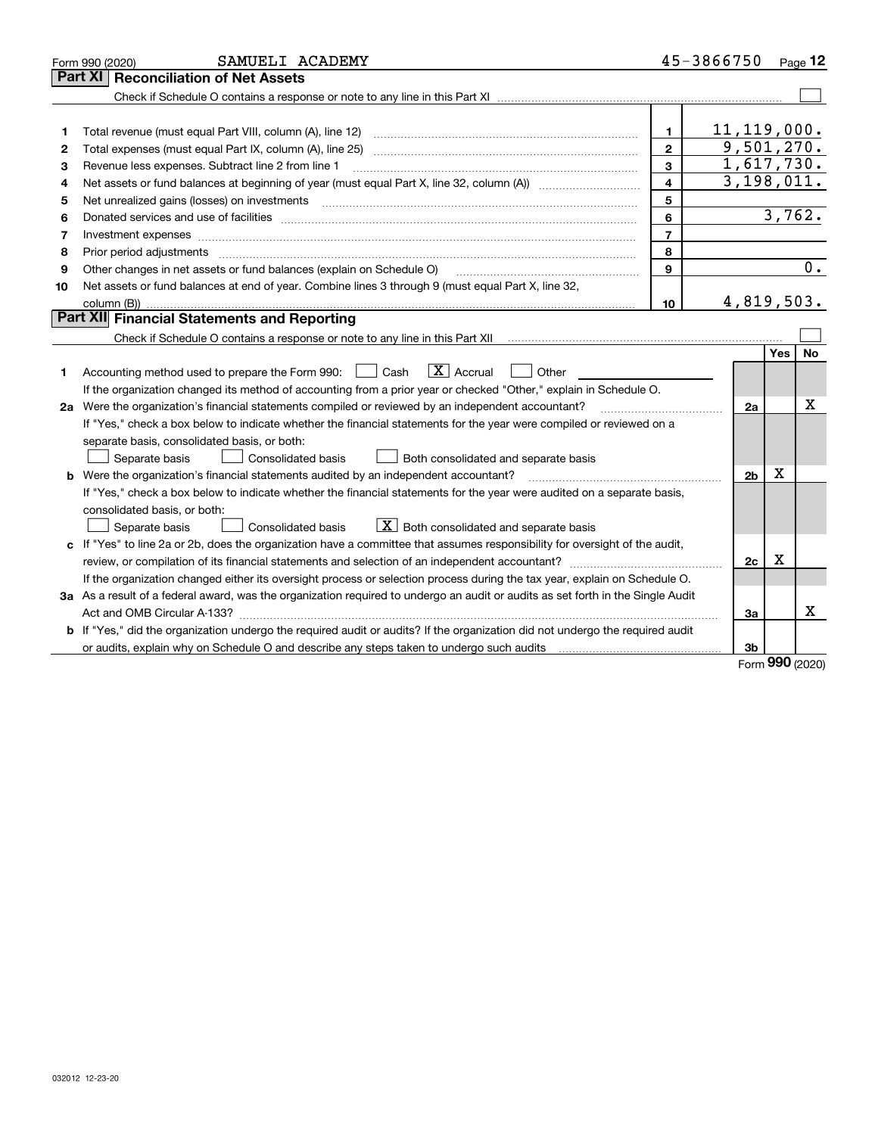| Part XI<br>11, 119, 000.<br>1.<br>1<br>9,501,270.<br>$\mathbf{2}$<br>2<br>1,617,730.<br>3<br>Revenue less expenses. Subtract line 2 from line 1<br>3<br>3,198,011.<br>4<br>Net assets or fund balances at beginning of year (must equal Part X, line 32, column (A)) <i>manageredial</i><br>4<br>5<br>5<br>3,762.<br>6<br>6<br>$\overline{7}$<br>7<br>8<br>Prior period adjustments<br>8<br>0.<br>9<br>Other changes in net assets or fund balances (explain on Schedule O)<br>9<br>Net assets or fund balances at end of year. Combine lines 3 through 9 (must equal Part X, line 32,<br>10<br>4,819,503.<br>10<br>Part XII Financial Statements and Reporting<br>Yes<br><b>No</b><br>$\boxed{\text{X}}$ Accrual<br>Accounting method used to prepare the Form 990: <u>[</u> Cash<br>Other<br>1.<br>If the organization changed its method of accounting from a prior year or checked "Other," explain in Schedule O.<br>х<br>2a Were the organization's financial statements compiled or reviewed by an independent accountant?<br>2a<br>If "Yes," check a box below to indicate whether the financial statements for the year were compiled or reviewed on a<br>separate basis, consolidated basis, or both:<br>Separate basis<br>Consolidated basis<br>Both consolidated and separate basis<br>х<br>Were the organization's financial statements audited by an independent accountant?<br>2 <sub>b</sub><br>b<br>If "Yes," check a box below to indicate whether the financial statements for the year were audited on a separate basis,<br>consolidated basis, or both:<br>$X$ Both consolidated and separate basis<br>Separate basis<br><b>Consolidated basis</b><br>c If "Yes" to line 2a or 2b, does the organization have a committee that assumes responsibility for oversight of the audit,<br>Х<br>2c<br>If the organization changed either its oversight process or selection process during the tax year, explain on Schedule O.<br>3a As a result of a federal award, was the organization required to undergo an audit or audits as set forth in the Single Audit<br>х<br>За<br><b>b</b> If "Yes," did the organization undergo the required audit or audits? If the organization did not undergo the required audit<br>or audits, explain why on Schedule O and describe any steps taken to undergo such audits [11] our manuscription why on Schedule O and describe any steps taken to undergo such audits<br>3b<br>nn n | SAMUELI ACADEMY<br>Form 990 (2020)  |  | 45-3866750 |  | Page 12 |  |  |  |
|---------------------------------------------------------------------------------------------------------------------------------------------------------------------------------------------------------------------------------------------------------------------------------------------------------------------------------------------------------------------------------------------------------------------------------------------------------------------------------------------------------------------------------------------------------------------------------------------------------------------------------------------------------------------------------------------------------------------------------------------------------------------------------------------------------------------------------------------------------------------------------------------------------------------------------------------------------------------------------------------------------------------------------------------------------------------------------------------------------------------------------------------------------------------------------------------------------------------------------------------------------------------------------------------------------------------------------------------------------------------------------------------------------------------------------------------------------------------------------------------------------------------------------------------------------------------------------------------------------------------------------------------------------------------------------------------------------------------------------------------------------------------------------------------------------------------------------------------------------------------------------------------------------------------------------------------------------------------------------------------------------------------------------------------------------------------------------------------------------------------------------------------------------------------------------------------------------------------------------------------------------------------------------------------------------------------------------------------------------------------------------------------------------------------------------------------|-------------------------------------|--|------------|--|---------|--|--|--|
|                                                                                                                                                                                                                                                                                                                                                                                                                                                                                                                                                                                                                                                                                                                                                                                                                                                                                                                                                                                                                                                                                                                                                                                                                                                                                                                                                                                                                                                                                                                                                                                                                                                                                                                                                                                                                                                                                                                                                                                                                                                                                                                                                                                                                                                                                                                                                                                                                                             | <b>Reconciliation of Net Assets</b> |  |            |  |         |  |  |  |
|                                                                                                                                                                                                                                                                                                                                                                                                                                                                                                                                                                                                                                                                                                                                                                                                                                                                                                                                                                                                                                                                                                                                                                                                                                                                                                                                                                                                                                                                                                                                                                                                                                                                                                                                                                                                                                                                                                                                                                                                                                                                                                                                                                                                                                                                                                                                                                                                                                             |                                     |  |            |  |         |  |  |  |
|                                                                                                                                                                                                                                                                                                                                                                                                                                                                                                                                                                                                                                                                                                                                                                                                                                                                                                                                                                                                                                                                                                                                                                                                                                                                                                                                                                                                                                                                                                                                                                                                                                                                                                                                                                                                                                                                                                                                                                                                                                                                                                                                                                                                                                                                                                                                                                                                                                             |                                     |  |            |  |         |  |  |  |
|                                                                                                                                                                                                                                                                                                                                                                                                                                                                                                                                                                                                                                                                                                                                                                                                                                                                                                                                                                                                                                                                                                                                                                                                                                                                                                                                                                                                                                                                                                                                                                                                                                                                                                                                                                                                                                                                                                                                                                                                                                                                                                                                                                                                                                                                                                                                                                                                                                             |                                     |  |            |  |         |  |  |  |
|                                                                                                                                                                                                                                                                                                                                                                                                                                                                                                                                                                                                                                                                                                                                                                                                                                                                                                                                                                                                                                                                                                                                                                                                                                                                                                                                                                                                                                                                                                                                                                                                                                                                                                                                                                                                                                                                                                                                                                                                                                                                                                                                                                                                                                                                                                                                                                                                                                             |                                     |  |            |  |         |  |  |  |
|                                                                                                                                                                                                                                                                                                                                                                                                                                                                                                                                                                                                                                                                                                                                                                                                                                                                                                                                                                                                                                                                                                                                                                                                                                                                                                                                                                                                                                                                                                                                                                                                                                                                                                                                                                                                                                                                                                                                                                                                                                                                                                                                                                                                                                                                                                                                                                                                                                             |                                     |  |            |  |         |  |  |  |
|                                                                                                                                                                                                                                                                                                                                                                                                                                                                                                                                                                                                                                                                                                                                                                                                                                                                                                                                                                                                                                                                                                                                                                                                                                                                                                                                                                                                                                                                                                                                                                                                                                                                                                                                                                                                                                                                                                                                                                                                                                                                                                                                                                                                                                                                                                                                                                                                                                             |                                     |  |            |  |         |  |  |  |
|                                                                                                                                                                                                                                                                                                                                                                                                                                                                                                                                                                                                                                                                                                                                                                                                                                                                                                                                                                                                                                                                                                                                                                                                                                                                                                                                                                                                                                                                                                                                                                                                                                                                                                                                                                                                                                                                                                                                                                                                                                                                                                                                                                                                                                                                                                                                                                                                                                             |                                     |  |            |  |         |  |  |  |
|                                                                                                                                                                                                                                                                                                                                                                                                                                                                                                                                                                                                                                                                                                                                                                                                                                                                                                                                                                                                                                                                                                                                                                                                                                                                                                                                                                                                                                                                                                                                                                                                                                                                                                                                                                                                                                                                                                                                                                                                                                                                                                                                                                                                                                                                                                                                                                                                                                             |                                     |  |            |  |         |  |  |  |
|                                                                                                                                                                                                                                                                                                                                                                                                                                                                                                                                                                                                                                                                                                                                                                                                                                                                                                                                                                                                                                                                                                                                                                                                                                                                                                                                                                                                                                                                                                                                                                                                                                                                                                                                                                                                                                                                                                                                                                                                                                                                                                                                                                                                                                                                                                                                                                                                                                             |                                     |  |            |  |         |  |  |  |
|                                                                                                                                                                                                                                                                                                                                                                                                                                                                                                                                                                                                                                                                                                                                                                                                                                                                                                                                                                                                                                                                                                                                                                                                                                                                                                                                                                                                                                                                                                                                                                                                                                                                                                                                                                                                                                                                                                                                                                                                                                                                                                                                                                                                                                                                                                                                                                                                                                             |                                     |  |            |  |         |  |  |  |
|                                                                                                                                                                                                                                                                                                                                                                                                                                                                                                                                                                                                                                                                                                                                                                                                                                                                                                                                                                                                                                                                                                                                                                                                                                                                                                                                                                                                                                                                                                                                                                                                                                                                                                                                                                                                                                                                                                                                                                                                                                                                                                                                                                                                                                                                                                                                                                                                                                             |                                     |  |            |  |         |  |  |  |
|                                                                                                                                                                                                                                                                                                                                                                                                                                                                                                                                                                                                                                                                                                                                                                                                                                                                                                                                                                                                                                                                                                                                                                                                                                                                                                                                                                                                                                                                                                                                                                                                                                                                                                                                                                                                                                                                                                                                                                                                                                                                                                                                                                                                                                                                                                                                                                                                                                             |                                     |  |            |  |         |  |  |  |
|                                                                                                                                                                                                                                                                                                                                                                                                                                                                                                                                                                                                                                                                                                                                                                                                                                                                                                                                                                                                                                                                                                                                                                                                                                                                                                                                                                                                                                                                                                                                                                                                                                                                                                                                                                                                                                                                                                                                                                                                                                                                                                                                                                                                                                                                                                                                                                                                                                             |                                     |  |            |  |         |  |  |  |
|                                                                                                                                                                                                                                                                                                                                                                                                                                                                                                                                                                                                                                                                                                                                                                                                                                                                                                                                                                                                                                                                                                                                                                                                                                                                                                                                                                                                                                                                                                                                                                                                                                                                                                                                                                                                                                                                                                                                                                                                                                                                                                                                                                                                                                                                                                                                                                                                                                             |                                     |  |            |  |         |  |  |  |
|                                                                                                                                                                                                                                                                                                                                                                                                                                                                                                                                                                                                                                                                                                                                                                                                                                                                                                                                                                                                                                                                                                                                                                                                                                                                                                                                                                                                                                                                                                                                                                                                                                                                                                                                                                                                                                                                                                                                                                                                                                                                                                                                                                                                                                                                                                                                                                                                                                             |                                     |  |            |  |         |  |  |  |
|                                                                                                                                                                                                                                                                                                                                                                                                                                                                                                                                                                                                                                                                                                                                                                                                                                                                                                                                                                                                                                                                                                                                                                                                                                                                                                                                                                                                                                                                                                                                                                                                                                                                                                                                                                                                                                                                                                                                                                                                                                                                                                                                                                                                                                                                                                                                                                                                                                             |                                     |  |            |  |         |  |  |  |
|                                                                                                                                                                                                                                                                                                                                                                                                                                                                                                                                                                                                                                                                                                                                                                                                                                                                                                                                                                                                                                                                                                                                                                                                                                                                                                                                                                                                                                                                                                                                                                                                                                                                                                                                                                                                                                                                                                                                                                                                                                                                                                                                                                                                                                                                                                                                                                                                                                             |                                     |  |            |  |         |  |  |  |
|                                                                                                                                                                                                                                                                                                                                                                                                                                                                                                                                                                                                                                                                                                                                                                                                                                                                                                                                                                                                                                                                                                                                                                                                                                                                                                                                                                                                                                                                                                                                                                                                                                                                                                                                                                                                                                                                                                                                                                                                                                                                                                                                                                                                                                                                                                                                                                                                                                             |                                     |  |            |  |         |  |  |  |
|                                                                                                                                                                                                                                                                                                                                                                                                                                                                                                                                                                                                                                                                                                                                                                                                                                                                                                                                                                                                                                                                                                                                                                                                                                                                                                                                                                                                                                                                                                                                                                                                                                                                                                                                                                                                                                                                                                                                                                                                                                                                                                                                                                                                                                                                                                                                                                                                                                             |                                     |  |            |  |         |  |  |  |
|                                                                                                                                                                                                                                                                                                                                                                                                                                                                                                                                                                                                                                                                                                                                                                                                                                                                                                                                                                                                                                                                                                                                                                                                                                                                                                                                                                                                                                                                                                                                                                                                                                                                                                                                                                                                                                                                                                                                                                                                                                                                                                                                                                                                                                                                                                                                                                                                                                             |                                     |  |            |  |         |  |  |  |
|                                                                                                                                                                                                                                                                                                                                                                                                                                                                                                                                                                                                                                                                                                                                                                                                                                                                                                                                                                                                                                                                                                                                                                                                                                                                                                                                                                                                                                                                                                                                                                                                                                                                                                                                                                                                                                                                                                                                                                                                                                                                                                                                                                                                                                                                                                                                                                                                                                             |                                     |  |            |  |         |  |  |  |
|                                                                                                                                                                                                                                                                                                                                                                                                                                                                                                                                                                                                                                                                                                                                                                                                                                                                                                                                                                                                                                                                                                                                                                                                                                                                                                                                                                                                                                                                                                                                                                                                                                                                                                                                                                                                                                                                                                                                                                                                                                                                                                                                                                                                                                                                                                                                                                                                                                             |                                     |  |            |  |         |  |  |  |
|                                                                                                                                                                                                                                                                                                                                                                                                                                                                                                                                                                                                                                                                                                                                                                                                                                                                                                                                                                                                                                                                                                                                                                                                                                                                                                                                                                                                                                                                                                                                                                                                                                                                                                                                                                                                                                                                                                                                                                                                                                                                                                                                                                                                                                                                                                                                                                                                                                             |                                     |  |            |  |         |  |  |  |
|                                                                                                                                                                                                                                                                                                                                                                                                                                                                                                                                                                                                                                                                                                                                                                                                                                                                                                                                                                                                                                                                                                                                                                                                                                                                                                                                                                                                                                                                                                                                                                                                                                                                                                                                                                                                                                                                                                                                                                                                                                                                                                                                                                                                                                                                                                                                                                                                                                             |                                     |  |            |  |         |  |  |  |
|                                                                                                                                                                                                                                                                                                                                                                                                                                                                                                                                                                                                                                                                                                                                                                                                                                                                                                                                                                                                                                                                                                                                                                                                                                                                                                                                                                                                                                                                                                                                                                                                                                                                                                                                                                                                                                                                                                                                                                                                                                                                                                                                                                                                                                                                                                                                                                                                                                             |                                     |  |            |  |         |  |  |  |
|                                                                                                                                                                                                                                                                                                                                                                                                                                                                                                                                                                                                                                                                                                                                                                                                                                                                                                                                                                                                                                                                                                                                                                                                                                                                                                                                                                                                                                                                                                                                                                                                                                                                                                                                                                                                                                                                                                                                                                                                                                                                                                                                                                                                                                                                                                                                                                                                                                             |                                     |  |            |  |         |  |  |  |
|                                                                                                                                                                                                                                                                                                                                                                                                                                                                                                                                                                                                                                                                                                                                                                                                                                                                                                                                                                                                                                                                                                                                                                                                                                                                                                                                                                                                                                                                                                                                                                                                                                                                                                                                                                                                                                                                                                                                                                                                                                                                                                                                                                                                                                                                                                                                                                                                                                             |                                     |  |            |  |         |  |  |  |
|                                                                                                                                                                                                                                                                                                                                                                                                                                                                                                                                                                                                                                                                                                                                                                                                                                                                                                                                                                                                                                                                                                                                                                                                                                                                                                                                                                                                                                                                                                                                                                                                                                                                                                                                                                                                                                                                                                                                                                                                                                                                                                                                                                                                                                                                                                                                                                                                                                             |                                     |  |            |  |         |  |  |  |
|                                                                                                                                                                                                                                                                                                                                                                                                                                                                                                                                                                                                                                                                                                                                                                                                                                                                                                                                                                                                                                                                                                                                                                                                                                                                                                                                                                                                                                                                                                                                                                                                                                                                                                                                                                                                                                                                                                                                                                                                                                                                                                                                                                                                                                                                                                                                                                                                                                             |                                     |  |            |  |         |  |  |  |
|                                                                                                                                                                                                                                                                                                                                                                                                                                                                                                                                                                                                                                                                                                                                                                                                                                                                                                                                                                                                                                                                                                                                                                                                                                                                                                                                                                                                                                                                                                                                                                                                                                                                                                                                                                                                                                                                                                                                                                                                                                                                                                                                                                                                                                                                                                                                                                                                                                             |                                     |  |            |  |         |  |  |  |
|                                                                                                                                                                                                                                                                                                                                                                                                                                                                                                                                                                                                                                                                                                                                                                                                                                                                                                                                                                                                                                                                                                                                                                                                                                                                                                                                                                                                                                                                                                                                                                                                                                                                                                                                                                                                                                                                                                                                                                                                                                                                                                                                                                                                                                                                                                                                                                                                                                             |                                     |  |            |  |         |  |  |  |
|                                                                                                                                                                                                                                                                                                                                                                                                                                                                                                                                                                                                                                                                                                                                                                                                                                                                                                                                                                                                                                                                                                                                                                                                                                                                                                                                                                                                                                                                                                                                                                                                                                                                                                                                                                                                                                                                                                                                                                                                                                                                                                                                                                                                                                                                                                                                                                                                                                             |                                     |  |            |  |         |  |  |  |
|                                                                                                                                                                                                                                                                                                                                                                                                                                                                                                                                                                                                                                                                                                                                                                                                                                                                                                                                                                                                                                                                                                                                                                                                                                                                                                                                                                                                                                                                                                                                                                                                                                                                                                                                                                                                                                                                                                                                                                                                                                                                                                                                                                                                                                                                                                                                                                                                                                             |                                     |  |            |  |         |  |  |  |

Form (2020) **990**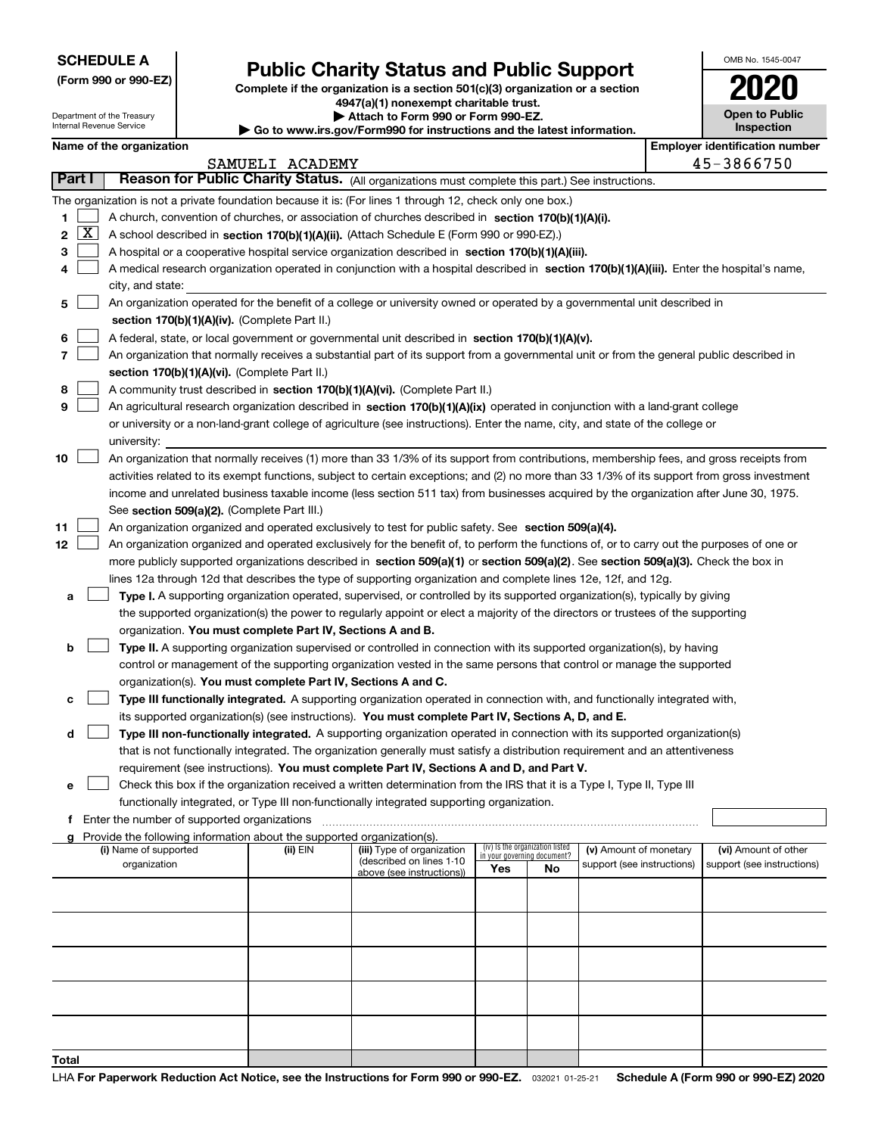Department of the Treasury Internal Revenue Service

|  |  |  | (Form 990 or 990-EZ) |
|--|--|--|----------------------|
|--|--|--|----------------------|

### **Public Charity Status and Public Support**

**Complete if the organization is a section 501(c)(3) organization or a section 4947(a)(1) nonexempt charitable trust.**

**| Attach to Form 990 or Form 990-EZ.** 

|--|

| OMB No 1545-0047                    |
|-------------------------------------|
| 2020                                |
| <b>Open to Public</b><br>Inspection |

|       |        |                                                                                                                                              |                 | י שט נט א אישוויוטווופטוס א פיזוויוט וויס פיזוויט וויס אישיער איז דער פון א ספ |                             |                                 |                            |  |                                                     |
|-------|--------|----------------------------------------------------------------------------------------------------------------------------------------------|-----------------|--------------------------------------------------------------------------------|-----------------------------|---------------------------------|----------------------------|--|-----------------------------------------------------|
|       |        | Name of the organization                                                                                                                     |                 |                                                                                |                             |                                 |                            |  | <b>Employer identification number</b><br>45-3866750 |
|       | Part I | Reason for Public Charity Status. (All organizations must complete this part.) See instructions.                                             | SAMUELI ACADEMY |                                                                                |                             |                                 |                            |  |                                                     |
|       |        |                                                                                                                                              |                 |                                                                                |                             |                                 |                            |  |                                                     |
|       |        | The organization is not a private foundation because it is: (For lines 1 through 12, check only one box.)                                    |                 |                                                                                |                             |                                 |                            |  |                                                     |
| 1     |        | A church, convention of churches, or association of churches described in section 170(b)(1)(A)(i).                                           |                 |                                                                                |                             |                                 |                            |  |                                                     |
| 2     | X      | A school described in section 170(b)(1)(A)(ii). (Attach Schedule E (Form 990 or 990-EZ).)                                                    |                 |                                                                                |                             |                                 |                            |  |                                                     |
| 3     |        | A hospital or a cooperative hospital service organization described in section $170(b)(1)(A)(iii)$ .                                         |                 |                                                                                |                             |                                 |                            |  |                                                     |
| 4     |        | A medical research organization operated in conjunction with a hospital described in section 170(b)(1)(A)(iii). Enter the hospital's name,   |                 |                                                                                |                             |                                 |                            |  |                                                     |
|       |        | city, and state:                                                                                                                             |                 |                                                                                |                             |                                 |                            |  |                                                     |
| 5     |        | An organization operated for the benefit of a college or university owned or operated by a governmental unit described in                    |                 |                                                                                |                             |                                 |                            |  |                                                     |
|       |        | section 170(b)(1)(A)(iv). (Complete Part II.)                                                                                                |                 |                                                                                |                             |                                 |                            |  |                                                     |
| 6     |        | A federal, state, or local government or governmental unit described in section 170(b)(1)(A)(v).                                             |                 |                                                                                |                             |                                 |                            |  |                                                     |
| 7     |        | An organization that normally receives a substantial part of its support from a governmental unit or from the general public described in    |                 |                                                                                |                             |                                 |                            |  |                                                     |
|       |        | section 170(b)(1)(A)(vi). (Complete Part II.)                                                                                                |                 |                                                                                |                             |                                 |                            |  |                                                     |
| 8     |        | A community trust described in section 170(b)(1)(A)(vi). (Complete Part II.)                                                                 |                 |                                                                                |                             |                                 |                            |  |                                                     |
| 9     |        | An agricultural research organization described in section 170(b)(1)(A)(ix) operated in conjunction with a land-grant college                |                 |                                                                                |                             |                                 |                            |  |                                                     |
|       |        | or university or a non-land-grant college of agriculture (see instructions). Enter the name, city, and state of the college or               |                 |                                                                                |                             |                                 |                            |  |                                                     |
|       |        | university:                                                                                                                                  |                 |                                                                                |                             |                                 |                            |  |                                                     |
| 10    |        | An organization that normally receives (1) more than 33 1/3% of its support from contributions, membership fees, and gross receipts from     |                 |                                                                                |                             |                                 |                            |  |                                                     |
|       |        | activities related to its exempt functions, subject to certain exceptions; and (2) no more than 33 1/3% of its support from gross investment |                 |                                                                                |                             |                                 |                            |  |                                                     |
|       |        | income and unrelated business taxable income (less section 511 tax) from businesses acquired by the organization after June 30, 1975.        |                 |                                                                                |                             |                                 |                            |  |                                                     |
|       |        | See section 509(a)(2). (Complete Part III.)                                                                                                  |                 |                                                                                |                             |                                 |                            |  |                                                     |
| 11    |        | An organization organized and operated exclusively to test for public safety. See section 509(a)(4).                                         |                 |                                                                                |                             |                                 |                            |  |                                                     |
| 12    |        | An organization organized and operated exclusively for the benefit of, to perform the functions of, or to carry out the purposes of one or   |                 |                                                                                |                             |                                 |                            |  |                                                     |
|       |        | more publicly supported organizations described in section 509(a)(1) or section 509(a)(2). See section 509(a)(3). Check the box in           |                 |                                                                                |                             |                                 |                            |  |                                                     |
|       |        | lines 12a through 12d that describes the type of supporting organization and complete lines 12e, 12f, and 12g.                               |                 |                                                                                |                             |                                 |                            |  |                                                     |
| а     |        | Type I. A supporting organization operated, supervised, or controlled by its supported organization(s), typically by giving                  |                 |                                                                                |                             |                                 |                            |  |                                                     |
|       |        | the supported organization(s) the power to regularly appoint or elect a majority of the directors or trustees of the supporting              |                 |                                                                                |                             |                                 |                            |  |                                                     |
|       |        | organization. You must complete Part IV, Sections A and B.                                                                                   |                 |                                                                                |                             |                                 |                            |  |                                                     |
| b     |        | Type II. A supporting organization supervised or controlled in connection with its supported organization(s), by having                      |                 |                                                                                |                             |                                 |                            |  |                                                     |
|       |        | control or management of the supporting organization vested in the same persons that control or manage the supported                         |                 |                                                                                |                             |                                 |                            |  |                                                     |
|       |        | organization(s). You must complete Part IV, Sections A and C.                                                                                |                 |                                                                                |                             |                                 |                            |  |                                                     |
| с     |        | Type III functionally integrated. A supporting organization operated in connection with, and functionally integrated with,                   |                 |                                                                                |                             |                                 |                            |  |                                                     |
|       |        | its supported organization(s) (see instructions). You must complete Part IV, Sections A, D, and E.                                           |                 |                                                                                |                             |                                 |                            |  |                                                     |
|       |        |                                                                                                                                              |                 |                                                                                |                             |                                 |                            |  |                                                     |
| d     |        | Type III non-functionally integrated. A supporting organization operated in connection with its supported organization(s)                    |                 |                                                                                |                             |                                 |                            |  |                                                     |
|       |        | that is not functionally integrated. The organization generally must satisfy a distribution requirement and an attentiveness                 |                 |                                                                                |                             |                                 |                            |  |                                                     |
|       |        | requirement (see instructions). You must complete Part IV, Sections A and D, and Part V.                                                     |                 |                                                                                |                             |                                 |                            |  |                                                     |
| е     |        | Check this box if the organization received a written determination from the IRS that it is a Type I, Type II, Type III                      |                 |                                                                                |                             |                                 |                            |  |                                                     |
|       |        | functionally integrated, or Type III non-functionally integrated supporting organization.                                                    |                 |                                                                                |                             |                                 |                            |  |                                                     |
| f     |        | Enter the number of supported organizations                                                                                                  |                 |                                                                                |                             |                                 |                            |  |                                                     |
| a     |        | Provide the following information about the supported organization(s).<br>(i) Name of supported                                              | (ii) EIN        | (iii) Type of organization                                                     |                             | (iv) Is the organization listed | (v) Amount of monetary     |  | (vi) Amount of other                                |
|       |        | organization                                                                                                                                 |                 | (described on lines 1-10                                                       | in your governing document? |                                 | support (see instructions) |  | support (see instructions)                          |
|       |        |                                                                                                                                              |                 | above (see instructions))                                                      | Yes                         | No                              |                            |  |                                                     |
|       |        |                                                                                                                                              |                 |                                                                                |                             |                                 |                            |  |                                                     |
|       |        |                                                                                                                                              |                 |                                                                                |                             |                                 |                            |  |                                                     |
|       |        |                                                                                                                                              |                 |                                                                                |                             |                                 |                            |  |                                                     |
|       |        |                                                                                                                                              |                 |                                                                                |                             |                                 |                            |  |                                                     |
|       |        |                                                                                                                                              |                 |                                                                                |                             |                                 |                            |  |                                                     |
|       |        |                                                                                                                                              |                 |                                                                                |                             |                                 |                            |  |                                                     |
|       |        |                                                                                                                                              |                 |                                                                                |                             |                                 |                            |  |                                                     |
|       |        |                                                                                                                                              |                 |                                                                                |                             |                                 |                            |  |                                                     |
|       |        |                                                                                                                                              |                 |                                                                                |                             |                                 |                            |  |                                                     |
|       |        |                                                                                                                                              |                 |                                                                                |                             |                                 |                            |  |                                                     |
| Total |        |                                                                                                                                              |                 |                                                                                |                             |                                 |                            |  |                                                     |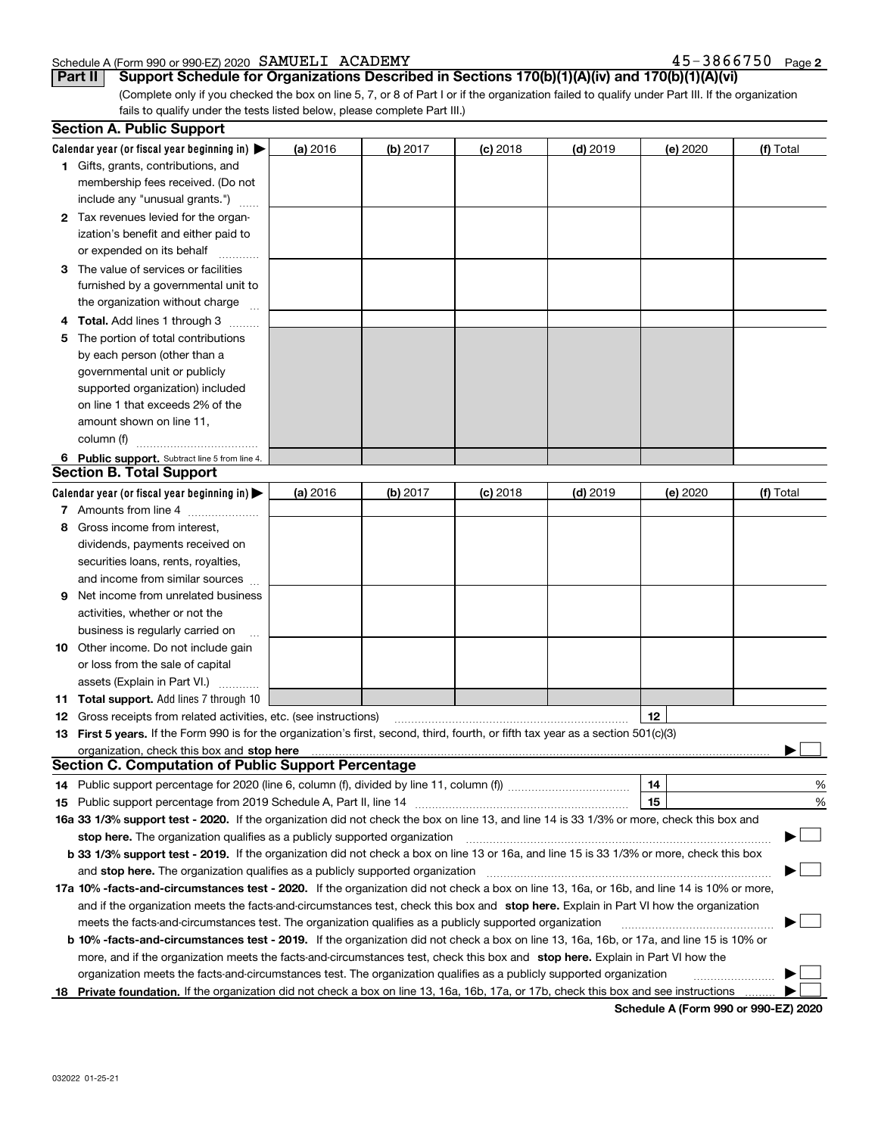#### Schedule A (Form 990 or 990-EZ) 2020 Page SAMUELI ACADEMY 45-3866750

|  |  |  |  |  |  |  |  |  | 45-3866750 <sub>Page 2</sub> |
|--|--|--|--|--|--|--|--|--|------------------------------|
|--|--|--|--|--|--|--|--|--|------------------------------|

**Part II Support Schedule for Organizations Described in Sections 170(b)(1)(A)(iv) and 170(b)(1)(A)(vi)**

(Complete only if you checked the box on line 5, 7, or 8 of Part I or if the organization failed to qualify under Part III. If the organization fails to qualify under the tests listed below, please complete Part III.)

|     | <b>Section A. Public Support</b>                                                                                                                                                                                                                       |          |          |            |            |          |           |  |  |  |  |  |
|-----|--------------------------------------------------------------------------------------------------------------------------------------------------------------------------------------------------------------------------------------------------------|----------|----------|------------|------------|----------|-----------|--|--|--|--|--|
|     | Calendar year (or fiscal year beginning in) $\blacktriangleright$                                                                                                                                                                                      | (a) 2016 | (b) 2017 | $(c)$ 2018 | $(d)$ 2019 | (e) 2020 | (f) Total |  |  |  |  |  |
|     | <b>1</b> Gifts, grants, contributions, and                                                                                                                                                                                                             |          |          |            |            |          |           |  |  |  |  |  |
|     | membership fees received. (Do not                                                                                                                                                                                                                      |          |          |            |            |          |           |  |  |  |  |  |
|     | include any "unusual grants.")                                                                                                                                                                                                                         |          |          |            |            |          |           |  |  |  |  |  |
|     | 2 Tax revenues levied for the organ-                                                                                                                                                                                                                   |          |          |            |            |          |           |  |  |  |  |  |
|     | ization's benefit and either paid to                                                                                                                                                                                                                   |          |          |            |            |          |           |  |  |  |  |  |
|     | or expended on its behalf                                                                                                                                                                                                                              |          |          |            |            |          |           |  |  |  |  |  |
|     | 3 The value of services or facilities                                                                                                                                                                                                                  |          |          |            |            |          |           |  |  |  |  |  |
|     | furnished by a governmental unit to                                                                                                                                                                                                                    |          |          |            |            |          |           |  |  |  |  |  |
|     | the organization without charge                                                                                                                                                                                                                        |          |          |            |            |          |           |  |  |  |  |  |
|     | 4 Total. Add lines 1 through 3                                                                                                                                                                                                                         |          |          |            |            |          |           |  |  |  |  |  |
| 5.  | The portion of total contributions                                                                                                                                                                                                                     |          |          |            |            |          |           |  |  |  |  |  |
|     | by each person (other than a                                                                                                                                                                                                                           |          |          |            |            |          |           |  |  |  |  |  |
|     | governmental unit or publicly                                                                                                                                                                                                                          |          |          |            |            |          |           |  |  |  |  |  |
|     | supported organization) included                                                                                                                                                                                                                       |          |          |            |            |          |           |  |  |  |  |  |
|     | on line 1 that exceeds 2% of the                                                                                                                                                                                                                       |          |          |            |            |          |           |  |  |  |  |  |
|     | amount shown on line 11,                                                                                                                                                                                                                               |          |          |            |            |          |           |  |  |  |  |  |
|     | column (f)                                                                                                                                                                                                                                             |          |          |            |            |          |           |  |  |  |  |  |
|     | 6 Public support. Subtract line 5 from line 4.                                                                                                                                                                                                         |          |          |            |            |          |           |  |  |  |  |  |
|     | <b>Section B. Total Support</b>                                                                                                                                                                                                                        |          |          |            |            |          |           |  |  |  |  |  |
|     | Calendar year (or fiscal year beginning in)                                                                                                                                                                                                            | (a) 2016 | (b) 2017 | $(c)$ 2018 | $(d)$ 2019 | (e) 2020 | (f) Total |  |  |  |  |  |
|     | 7 Amounts from line 4                                                                                                                                                                                                                                  |          |          |            |            |          |           |  |  |  |  |  |
|     | 8 Gross income from interest,                                                                                                                                                                                                                          |          |          |            |            |          |           |  |  |  |  |  |
|     | dividends, payments received on                                                                                                                                                                                                                        |          |          |            |            |          |           |  |  |  |  |  |
|     | securities loans, rents, royalties,                                                                                                                                                                                                                    |          |          |            |            |          |           |  |  |  |  |  |
|     | and income from similar sources                                                                                                                                                                                                                        |          |          |            |            |          |           |  |  |  |  |  |
| 9   | Net income from unrelated business                                                                                                                                                                                                                     |          |          |            |            |          |           |  |  |  |  |  |
|     | activities, whether or not the                                                                                                                                                                                                                         |          |          |            |            |          |           |  |  |  |  |  |
|     | business is regularly carried on                                                                                                                                                                                                                       |          |          |            |            |          |           |  |  |  |  |  |
|     | <b>10</b> Other income. Do not include gain                                                                                                                                                                                                            |          |          |            |            |          |           |  |  |  |  |  |
|     | or loss from the sale of capital                                                                                                                                                                                                                       |          |          |            |            |          |           |  |  |  |  |  |
|     | assets (Explain in Part VI.)                                                                                                                                                                                                                           |          |          |            |            |          |           |  |  |  |  |  |
|     | <b>11 Total support.</b> Add lines 7 through 10                                                                                                                                                                                                        |          |          |            |            |          |           |  |  |  |  |  |
|     | <b>12</b> Gross receipts from related activities, etc. (see instructions)                                                                                                                                                                              |          |          |            |            | 12       |           |  |  |  |  |  |
|     | 13 First 5 years. If the Form 990 is for the organization's first, second, third, fourth, or fifth tax year as a section 501(c)(3)                                                                                                                     |          |          |            |            |          |           |  |  |  |  |  |
|     | organization, check this box and stop here manufactured and the content of the state of the state of the content of the content of the content of the content of the content of the content of the content of the content of t                         |          |          |            |            |          |           |  |  |  |  |  |
|     | <b>Section C. Computation of Public Support Percentage</b>                                                                                                                                                                                             |          |          |            |            |          |           |  |  |  |  |  |
|     | 14 Public support percentage for 2020 (line 6, column (f), divided by line 11, column (f) <i>mummumumum</i>                                                                                                                                            |          |          |            |            | 14       | %         |  |  |  |  |  |
|     |                                                                                                                                                                                                                                                        |          |          |            |            | 15       | %         |  |  |  |  |  |
|     |                                                                                                                                                                                                                                                        |          |          |            |            |          |           |  |  |  |  |  |
|     | 16a 33 1/3% support test - 2020. If the organization did not check the box on line 13, and line 14 is 33 1/3% or more, check this box and<br>$\mathcal{L}^{\mathcal{L}}$<br>stop here. The organization qualifies as a publicly supported organization |          |          |            |            |          |           |  |  |  |  |  |
|     | b 33 1/3% support test - 2019. If the organization did not check a box on line 13 or 16a, and line 15 is 33 1/3% or more, check this box                                                                                                               |          |          |            |            |          |           |  |  |  |  |  |
|     | and stop here. The organization qualifies as a publicly supported organization                                                                                                                                                                         |          |          |            |            |          |           |  |  |  |  |  |
|     | 17a 10% -facts-and-circumstances test - 2020. If the organization did not check a box on line 13, 16a, or 16b, and line 14 is 10% or more,                                                                                                             |          |          |            |            |          |           |  |  |  |  |  |
|     | and if the organization meets the facts-and-circumstances test, check this box and stop here. Explain in Part VI how the organization                                                                                                                  |          |          |            |            |          |           |  |  |  |  |  |
|     | meets the facts-and-circumstances test. The organization qualifies as a publicly supported organization                                                                                                                                                |          |          |            |            |          |           |  |  |  |  |  |
|     | <b>b 10% -facts-and-circumstances test - 2019.</b> If the organization did not check a box on line 13, 16a, 16b, or 17a, and line 15 is 10% or                                                                                                         |          |          |            |            |          |           |  |  |  |  |  |
|     | more, and if the organization meets the facts-and-circumstances test, check this box and stop here. Explain in Part VI how the                                                                                                                         |          |          |            |            |          |           |  |  |  |  |  |
|     | organization meets the facts-and-circumstances test. The organization qualifies as a publicly supported organization                                                                                                                                   |          |          |            |            |          |           |  |  |  |  |  |
| 18. | Private foundation. If the organization did not check a box on line 13, 16a, 16b, 17a, or 17b, check this box and see instructions                                                                                                                     |          |          |            |            |          |           |  |  |  |  |  |
|     |                                                                                                                                                                                                                                                        |          |          |            |            |          |           |  |  |  |  |  |

**Schedule A (Form 990 or 990-EZ) 2020**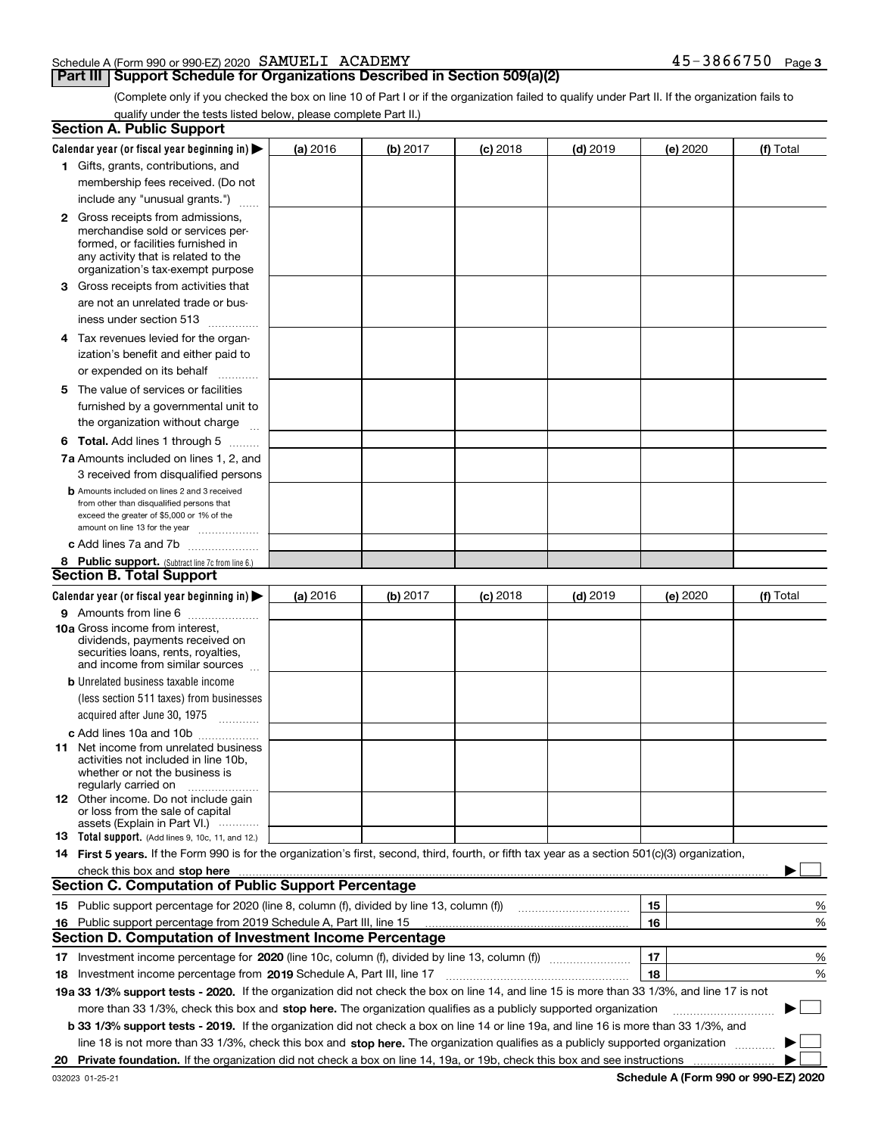#### Schedule A (Form 990 or 990-EZ) 2020 Page SAMUELI ACADEMY 45-3866750

#### **Part III** | Support Schedule for Organizations Described in Section 509(a)(2)

(Complete only if you checked the box on line 10 of Part I or if the organization failed to qualify under Part II. If the organization fails to qualify under the tests listed below, please complete Part II.)

|    | <b>Section A. Public Support</b>                                                                                                                                                                                               |          |          |            |            |          |             |
|----|--------------------------------------------------------------------------------------------------------------------------------------------------------------------------------------------------------------------------------|----------|----------|------------|------------|----------|-------------|
|    | Calendar year (or fiscal year beginning in) $\blacktriangleright$                                                                                                                                                              | (a) 2016 | (b) 2017 | $(c)$ 2018 | $(d)$ 2019 | (e) 2020 | (f) Total   |
|    | 1 Gifts, grants, contributions, and                                                                                                                                                                                            |          |          |            |            |          |             |
|    | membership fees received. (Do not                                                                                                                                                                                              |          |          |            |            |          |             |
|    | include any "unusual grants.")                                                                                                                                                                                                 |          |          |            |            |          |             |
|    | <b>2</b> Gross receipts from admissions,                                                                                                                                                                                       |          |          |            |            |          |             |
|    | merchandise sold or services per-                                                                                                                                                                                              |          |          |            |            |          |             |
|    | formed, or facilities furnished in                                                                                                                                                                                             |          |          |            |            |          |             |
|    | any activity that is related to the<br>organization's tax-exempt purpose                                                                                                                                                       |          |          |            |            |          |             |
|    | 3 Gross receipts from activities that                                                                                                                                                                                          |          |          |            |            |          |             |
|    | are not an unrelated trade or bus-                                                                                                                                                                                             |          |          |            |            |          |             |
|    | iness under section 513                                                                                                                                                                                                        |          |          |            |            |          |             |
|    |                                                                                                                                                                                                                                |          |          |            |            |          |             |
|    | 4 Tax revenues levied for the organ-                                                                                                                                                                                           |          |          |            |            |          |             |
|    | ization's benefit and either paid to                                                                                                                                                                                           |          |          |            |            |          |             |
|    | or expended on its behalf<br>.                                                                                                                                                                                                 |          |          |            |            |          |             |
|    | 5 The value of services or facilities                                                                                                                                                                                          |          |          |            |            |          |             |
|    | furnished by a governmental unit to                                                                                                                                                                                            |          |          |            |            |          |             |
|    | the organization without charge                                                                                                                                                                                                |          |          |            |            |          |             |
|    | <b>6 Total.</b> Add lines 1 through 5                                                                                                                                                                                          |          |          |            |            |          |             |
|    | 7a Amounts included on lines 1, 2, and                                                                                                                                                                                         |          |          |            |            |          |             |
|    | 3 received from disqualified persons                                                                                                                                                                                           |          |          |            |            |          |             |
|    | <b>b</b> Amounts included on lines 2 and 3 received                                                                                                                                                                            |          |          |            |            |          |             |
|    | from other than disqualified persons that<br>exceed the greater of \$5,000 or 1% of the                                                                                                                                        |          |          |            |            |          |             |
|    | amount on line 13 for the year                                                                                                                                                                                                 |          |          |            |            |          |             |
|    | c Add lines 7a and 7b                                                                                                                                                                                                          |          |          |            |            |          |             |
|    | 8 Public support. (Subtract line 7c from line 6.)                                                                                                                                                                              |          |          |            |            |          |             |
|    | <b>Section B. Total Support</b>                                                                                                                                                                                                |          |          |            |            |          |             |
|    | Calendar year (or fiscal year beginning in) $\blacktriangleright$                                                                                                                                                              | (a) 2016 | (b) 2017 | $(c)$ 2018 | $(d)$ 2019 | (e) 2020 | (f) Total   |
|    | 9 Amounts from line 6                                                                                                                                                                                                          |          |          |            |            |          |             |
|    | <b>10a</b> Gross income from interest,                                                                                                                                                                                         |          |          |            |            |          |             |
|    | dividends, payments received on                                                                                                                                                                                                |          |          |            |            |          |             |
|    | securities loans, rents, royalties,<br>and income from similar sources                                                                                                                                                         |          |          |            |            |          |             |
|    | <b>b</b> Unrelated business taxable income                                                                                                                                                                                     |          |          |            |            |          |             |
|    | (less section 511 taxes) from businesses                                                                                                                                                                                       |          |          |            |            |          |             |
|    | acquired after June 30, 1975                                                                                                                                                                                                   |          |          |            |            |          |             |
|    |                                                                                                                                                                                                                                |          |          |            |            |          |             |
|    | c Add lines 10a and 10b<br>11 Net income from unrelated business                                                                                                                                                               |          |          |            |            |          |             |
|    | activities not included in line 10b,                                                                                                                                                                                           |          |          |            |            |          |             |
|    | whether or not the business is                                                                                                                                                                                                 |          |          |            |            |          |             |
|    | regularly carried on                                                                                                                                                                                                           |          |          |            |            |          |             |
|    | <b>12</b> Other income. Do not include gain<br>or loss from the sale of capital                                                                                                                                                |          |          |            |            |          |             |
|    | assets (Explain in Part VI.)                                                                                                                                                                                                   |          |          |            |            |          |             |
|    | 13 Total support. (Add lines 9, 10c, 11, and 12.)                                                                                                                                                                              |          |          |            |            |          |             |
|    | 14 First 5 years. If the Form 990 is for the organization's first, second, third, fourth, or fifth tax year as a section 501(c)(3) organization,                                                                               |          |          |            |            |          |             |
|    | check this box and stop here measurements and contain the state of the state of the state of the state of the state of the state of the state of the state of the state of the state of the state of the state of the state of |          |          |            |            |          |             |
|    | <b>Section C. Computation of Public Support Percentage</b>                                                                                                                                                                     |          |          |            |            |          |             |
|    |                                                                                                                                                                                                                                |          |          |            |            | 15       | %           |
| 16 | Public support percentage from 2019 Schedule A, Part III, line 15                                                                                                                                                              |          |          |            |            | 16       | %           |
|    | <b>Section D. Computation of Investment Income Percentage</b>                                                                                                                                                                  |          |          |            |            |          |             |
|    | 17 Investment income percentage for 2020 (line 10c, column (f), divided by line 13, column (f))                                                                                                                                |          |          |            |            | 17       | %           |
|    | 18 Investment income percentage from 2019 Schedule A, Part III, line 17                                                                                                                                                        |          |          |            |            | 18       | %           |
|    | 19a 33 1/3% support tests - 2020. If the organization did not check the box on line 14, and line 15 is more than 33 1/3%, and line 17 is not                                                                                   |          |          |            |            |          |             |
|    | more than 33 1/3%, check this box and stop here. The organization qualifies as a publicly supported organization                                                                                                               |          |          |            |            |          | $\sim$<br>▶ |
|    | b 33 1/3% support tests - 2019. If the organization did not check a box on line 14 or line 19a, and line 16 is more than 33 1/3%, and                                                                                          |          |          |            |            |          |             |
|    | line 18 is not more than 33 1/3%, check this box and stop here. The organization qualifies as a publicly supported organization                                                                                                |          |          |            |            |          |             |
| 20 |                                                                                                                                                                                                                                |          |          |            |            |          |             |

**Schedule A (Form 990 or 990-EZ) 2020**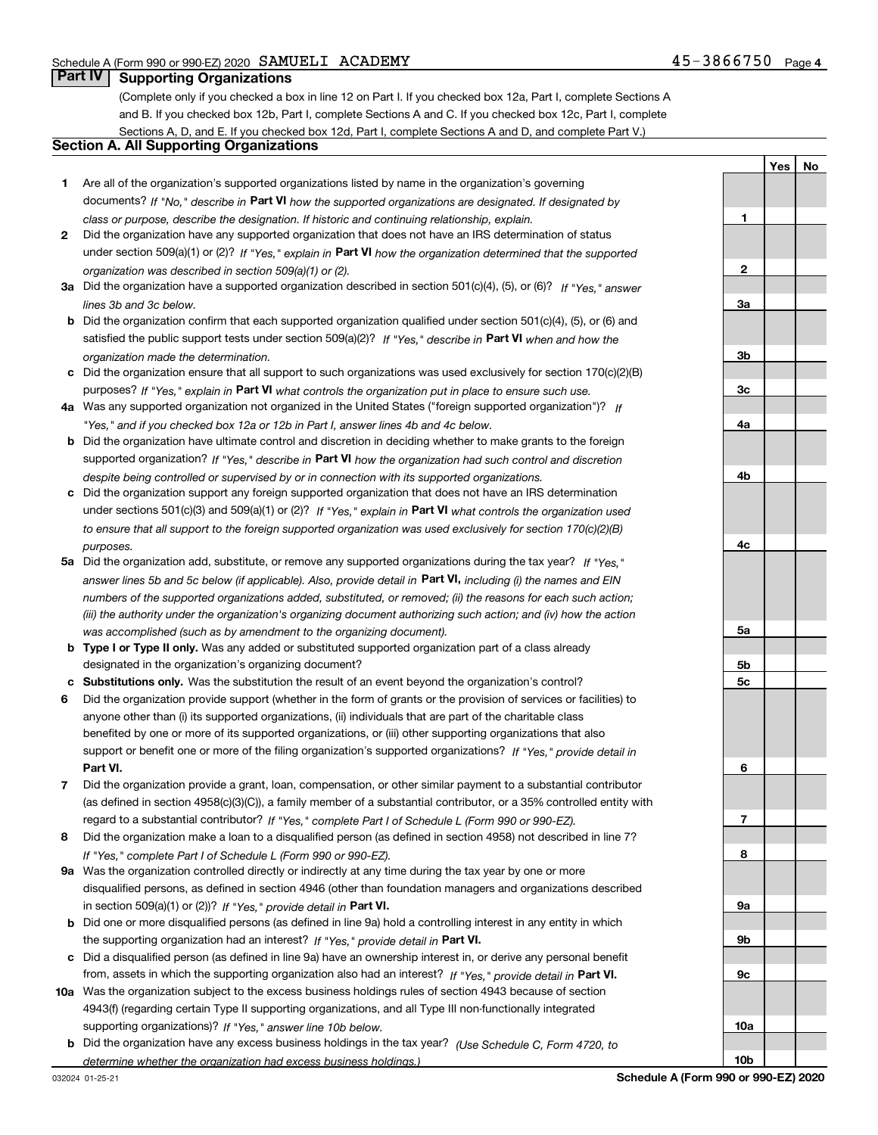**1**

**YesNo**

### **Part IV Supporting Organizations**

(Complete only if you checked a box in line 12 on Part I. If you checked box 12a, Part I, complete Sections A and B. If you checked box 12b, Part I, complete Sections A and C. If you checked box 12c, Part I, complete Sections A, D, and E. If you checked box 12d, Part I, complete Sections A and D, and complete Part V.)

#### **Section A. All Supporting Organizations**

- **1** Are all of the organization's supported organizations listed by name in the organization's governing documents? If "No," describe in **Part VI** how the supported organizations are designated. If designated by *class or purpose, describe the designation. If historic and continuing relationship, explain.*
- **2** Did the organization have any supported organization that does not have an IRS determination of status under section 509(a)(1) or (2)? If "Yes," explain in Part VI how the organization determined that the supported *organization was described in section 509(a)(1) or (2).*
- **3a** Did the organization have a supported organization described in section 501(c)(4), (5), or (6)? If "Yes," answer *lines 3b and 3c below.*
- **b** Did the organization confirm that each supported organization qualified under section 501(c)(4), (5), or (6) and satisfied the public support tests under section 509(a)(2)? If "Yes," describe in **Part VI** when and how the *organization made the determination.*
- **c**Did the organization ensure that all support to such organizations was used exclusively for section 170(c)(2)(B) purposes? If "Yes," explain in **Part VI** what controls the organization put in place to ensure such use.
- **4a***If* Was any supported organization not organized in the United States ("foreign supported organization")? *"Yes," and if you checked box 12a or 12b in Part I, answer lines 4b and 4c below.*
- **b** Did the organization have ultimate control and discretion in deciding whether to make grants to the foreign supported organization? If "Yes," describe in **Part VI** how the organization had such control and discretion *despite being controlled or supervised by or in connection with its supported organizations.*
- **c** Did the organization support any foreign supported organization that does not have an IRS determination under sections 501(c)(3) and 509(a)(1) or (2)? If "Yes," explain in **Part VI** what controls the organization used *to ensure that all support to the foreign supported organization was used exclusively for section 170(c)(2)(B) purposes.*
- **5a***If "Yes,"* Did the organization add, substitute, or remove any supported organizations during the tax year? answer lines 5b and 5c below (if applicable). Also, provide detail in **Part VI,** including (i) the names and EIN *numbers of the supported organizations added, substituted, or removed; (ii) the reasons for each such action; (iii) the authority under the organization's organizing document authorizing such action; and (iv) how the action was accomplished (such as by amendment to the organizing document).*
- **b** Type I or Type II only. Was any added or substituted supported organization part of a class already designated in the organization's organizing document?
- **cSubstitutions only.**  Was the substitution the result of an event beyond the organization's control?
- **6** Did the organization provide support (whether in the form of grants or the provision of services or facilities) to **Part VI.** *If "Yes," provide detail in* support or benefit one or more of the filing organization's supported organizations? anyone other than (i) its supported organizations, (ii) individuals that are part of the charitable class benefited by one or more of its supported organizations, or (iii) other supporting organizations that also
- **7**Did the organization provide a grant, loan, compensation, or other similar payment to a substantial contributor *If "Yes," complete Part I of Schedule L (Form 990 or 990-EZ).* regard to a substantial contributor? (as defined in section 4958(c)(3)(C)), a family member of a substantial contributor, or a 35% controlled entity with
- **8** Did the organization make a loan to a disqualified person (as defined in section 4958) not described in line 7? *If "Yes," complete Part I of Schedule L (Form 990 or 990-EZ).*
- **9a** Was the organization controlled directly or indirectly at any time during the tax year by one or more in section 509(a)(1) or (2))? If "Yes," *provide detail in* <code>Part VI.</code> disqualified persons, as defined in section 4946 (other than foundation managers and organizations described
- **b** Did one or more disqualified persons (as defined in line 9a) hold a controlling interest in any entity in which the supporting organization had an interest? If "Yes," provide detail in P**art VI**.
- **c**Did a disqualified person (as defined in line 9a) have an ownership interest in, or derive any personal benefit from, assets in which the supporting organization also had an interest? If "Yes," provide detail in P**art VI.**
- **10a** Was the organization subject to the excess business holdings rules of section 4943 because of section supporting organizations)? If "Yes," answer line 10b below. 4943(f) (regarding certain Type II supporting organizations, and all Type III non-functionally integrated
- **b** Did the organization have any excess business holdings in the tax year? (Use Schedule C, Form 4720, to *determine whether the organization had excess business holdings.)*

**10b**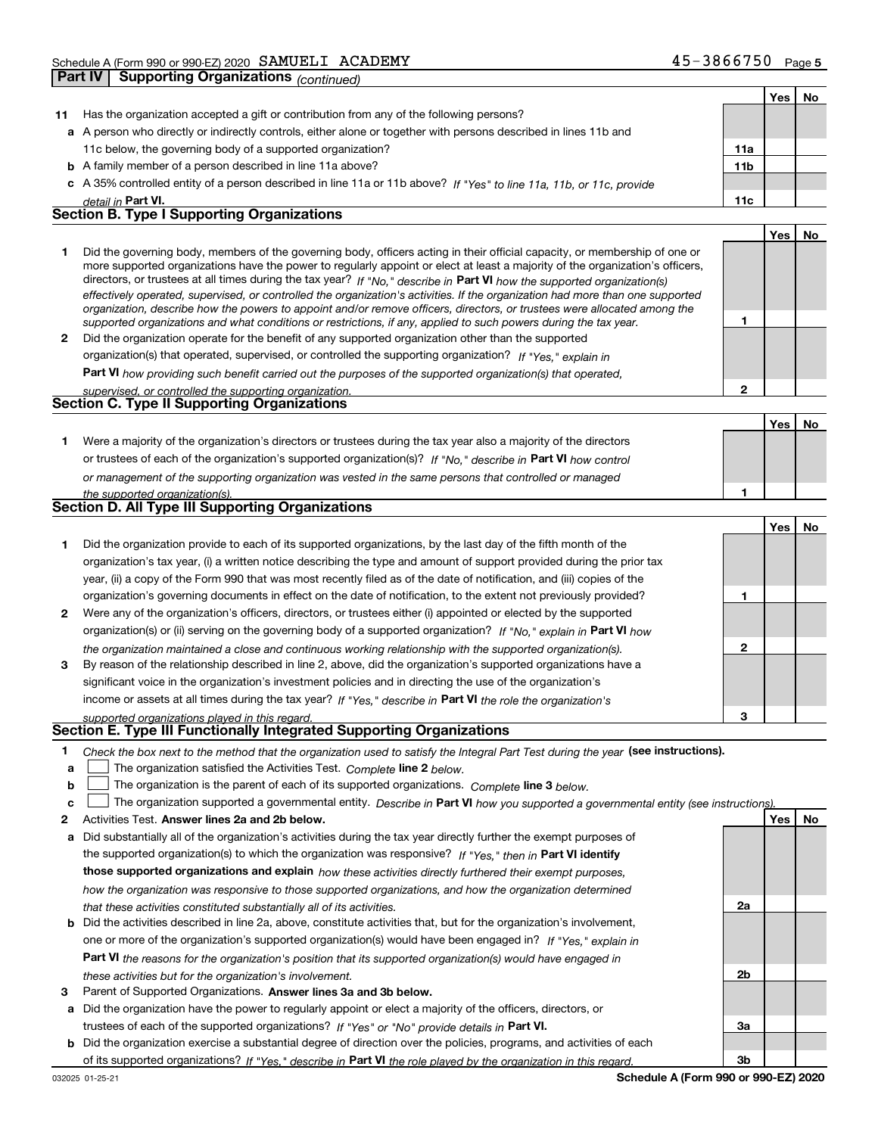|             | Part IV | Supporting Organizations <sub>(continued)</sub>                                                                                                                                                                                                                                                                                                                                                                                                                                                                                                                                                                                                      |                 |     |    |
|-------------|---------|------------------------------------------------------------------------------------------------------------------------------------------------------------------------------------------------------------------------------------------------------------------------------------------------------------------------------------------------------------------------------------------------------------------------------------------------------------------------------------------------------------------------------------------------------------------------------------------------------------------------------------------------------|-----------------|-----|----|
|             |         |                                                                                                                                                                                                                                                                                                                                                                                                                                                                                                                                                                                                                                                      |                 | Yes | No |
| 11          |         | Has the organization accepted a gift or contribution from any of the following persons?                                                                                                                                                                                                                                                                                                                                                                                                                                                                                                                                                              |                 |     |    |
|             |         | a A person who directly or indirectly controls, either alone or together with persons described in lines 11b and                                                                                                                                                                                                                                                                                                                                                                                                                                                                                                                                     |                 |     |    |
|             |         | 11c below, the governing body of a supported organization?                                                                                                                                                                                                                                                                                                                                                                                                                                                                                                                                                                                           | 11a             |     |    |
|             |         | <b>b</b> A family member of a person described in line 11a above?                                                                                                                                                                                                                                                                                                                                                                                                                                                                                                                                                                                    | 11 <sub>b</sub> |     |    |
|             |         | c A 35% controlled entity of a person described in line 11a or 11b above? If "Yes" to line 11a, 11b, or 11c, provide                                                                                                                                                                                                                                                                                                                                                                                                                                                                                                                                 |                 |     |    |
|             |         | detail in Part VI.                                                                                                                                                                                                                                                                                                                                                                                                                                                                                                                                                                                                                                   | 11c             |     |    |
|             |         | <b>Section B. Type I Supporting Organizations</b>                                                                                                                                                                                                                                                                                                                                                                                                                                                                                                                                                                                                    |                 |     |    |
|             |         |                                                                                                                                                                                                                                                                                                                                                                                                                                                                                                                                                                                                                                                      |                 | Yes | No |
| 1           |         | Did the governing body, members of the governing body, officers acting in their official capacity, or membership of one or<br>more supported organizations have the power to regularly appoint or elect at least a majority of the organization's officers,<br>directors, or trustees at all times during the tax year? If "No," describe in Part VI how the supported organization(s)<br>effectively operated, supervised, or controlled the organization's activities. If the organization had more than one supported<br>organization, describe how the powers to appoint and/or remove officers, directors, or trustees were allocated among the |                 |     |    |
|             |         | supported organizations and what conditions or restrictions, if any, applied to such powers during the tax year.                                                                                                                                                                                                                                                                                                                                                                                                                                                                                                                                     | 1               |     |    |
| 2           |         | Did the organization operate for the benefit of any supported organization other than the supported                                                                                                                                                                                                                                                                                                                                                                                                                                                                                                                                                  |                 |     |    |
|             |         | organization(s) that operated, supervised, or controlled the supporting organization? If "Yes," explain in                                                                                                                                                                                                                                                                                                                                                                                                                                                                                                                                           |                 |     |    |
|             |         | Part VI how providing such benefit carried out the purposes of the supported organization(s) that operated,                                                                                                                                                                                                                                                                                                                                                                                                                                                                                                                                          |                 |     |    |
|             |         | supervised, or controlled the supporting organization.                                                                                                                                                                                                                                                                                                                                                                                                                                                                                                                                                                                               | $\overline{2}$  |     |    |
|             |         | Section C. Type II Supporting Organizations                                                                                                                                                                                                                                                                                                                                                                                                                                                                                                                                                                                                          |                 |     |    |
|             |         |                                                                                                                                                                                                                                                                                                                                                                                                                                                                                                                                                                                                                                                      |                 | Yes | No |
| 1.          |         | Were a majority of the organization's directors or trustees during the tax year also a majority of the directors                                                                                                                                                                                                                                                                                                                                                                                                                                                                                                                                     |                 |     |    |
|             |         | or trustees of each of the organization's supported organization(s)? If "No," describe in Part VI how control                                                                                                                                                                                                                                                                                                                                                                                                                                                                                                                                        |                 |     |    |
|             |         | or management of the supporting organization was vested in the same persons that controlled or managed                                                                                                                                                                                                                                                                                                                                                                                                                                                                                                                                               |                 |     |    |
|             |         | the supported organization(s).                                                                                                                                                                                                                                                                                                                                                                                                                                                                                                                                                                                                                       | 1               |     |    |
|             |         | Section D. All Type III Supporting Organizations                                                                                                                                                                                                                                                                                                                                                                                                                                                                                                                                                                                                     |                 |     |    |
|             |         |                                                                                                                                                                                                                                                                                                                                                                                                                                                                                                                                                                                                                                                      |                 | Yes | No |
| 1.          |         | Did the organization provide to each of its supported organizations, by the last day of the fifth month of the<br>organization's tax year, (i) a written notice describing the type and amount of support provided during the prior tax<br>year, (ii) a copy of the Form 990 that was most recently filed as of the date of notification, and (iii) copies of the<br>organization's governing documents in effect on the date of notification, to the extent not previously provided?                                                                                                                                                                | 1               |     |    |
| 2           |         | Were any of the organization's officers, directors, or trustees either (i) appointed or elected by the supported                                                                                                                                                                                                                                                                                                                                                                                                                                                                                                                                     |                 |     |    |
|             |         | organization(s) or (ii) serving on the governing body of a supported organization? If "No," explain in Part VI how                                                                                                                                                                                                                                                                                                                                                                                                                                                                                                                                   |                 |     |    |
| 3           |         | the organization maintained a close and continuous working relationship with the supported organization(s).<br>By reason of the relationship described in line 2, above, did the organization's supported organizations have a                                                                                                                                                                                                                                                                                                                                                                                                                       | 2               |     |    |
|             |         | significant voice in the organization's investment policies and in directing the use of the organization's                                                                                                                                                                                                                                                                                                                                                                                                                                                                                                                                           |                 |     |    |
|             |         | income or assets at all times during the tax year? If "Yes," describe in Part VI the role the organization's                                                                                                                                                                                                                                                                                                                                                                                                                                                                                                                                         |                 |     |    |
|             |         | supported organizations played in this regard.                                                                                                                                                                                                                                                                                                                                                                                                                                                                                                                                                                                                       |                 |     |    |
|             |         | Section E. Type III Functionally Integrated Supporting Organizations                                                                                                                                                                                                                                                                                                                                                                                                                                                                                                                                                                                 |                 |     |    |
| 1<br>a<br>b |         | Check the box next to the method that the organization used to satisfy the Integral Part Test during the year (see instructions).<br>The organization satisfied the Activities Test. Complete line 2 below.<br>The organization is the parent of each of its supported organizations. Complete line 3 below.                                                                                                                                                                                                                                                                                                                                         |                 |     |    |
| c           |         | The organization supported a governmental entity. Describe in Part VI how you supported a governmental entity (see instructions).<br>Activities Test. Answer lines 2a and 2b below.                                                                                                                                                                                                                                                                                                                                                                                                                                                                  |                 |     |    |
| 2           |         |                                                                                                                                                                                                                                                                                                                                                                                                                                                                                                                                                                                                                                                      |                 | Yes | No |
| а           |         | Did substantially all of the organization's activities during the tax year directly further the exempt purposes of                                                                                                                                                                                                                                                                                                                                                                                                                                                                                                                                   |                 |     |    |

the supported organization(s) to which the organization was responsive? If "Yes," then in **Part VI identify those supported organizations and explain**  *how these activities directly furthered their exempt purposes, how the organization was responsive to those supported organizations, and how the organization determined that these activities constituted substantially all of its activities.*

- **b** Did the activities described in line 2a, above, constitute activities that, but for the organization's involvement, **Part VI**  *the reasons for the organization's position that its supported organization(s) would have engaged in* one or more of the organization's supported organization(s) would have been engaged in? If "Yes," e*xplain in these activities but for the organization's involvement.*
- **3** Parent of Supported Organizations. Answer lines 3a and 3b below.

**a** Did the organization have the power to regularly appoint or elect a majority of the officers, directors, or trustees of each of the supported organizations? If "Yes" or "No" provide details in **Part VI.** 

**b** Did the organization exercise a substantial degree of direction over the policies, programs, and activities of each of its supported organizations? If "Yes," describe in Part VI the role played by the organization in this regard.

**2a**

**2b**

**3a**

**3b**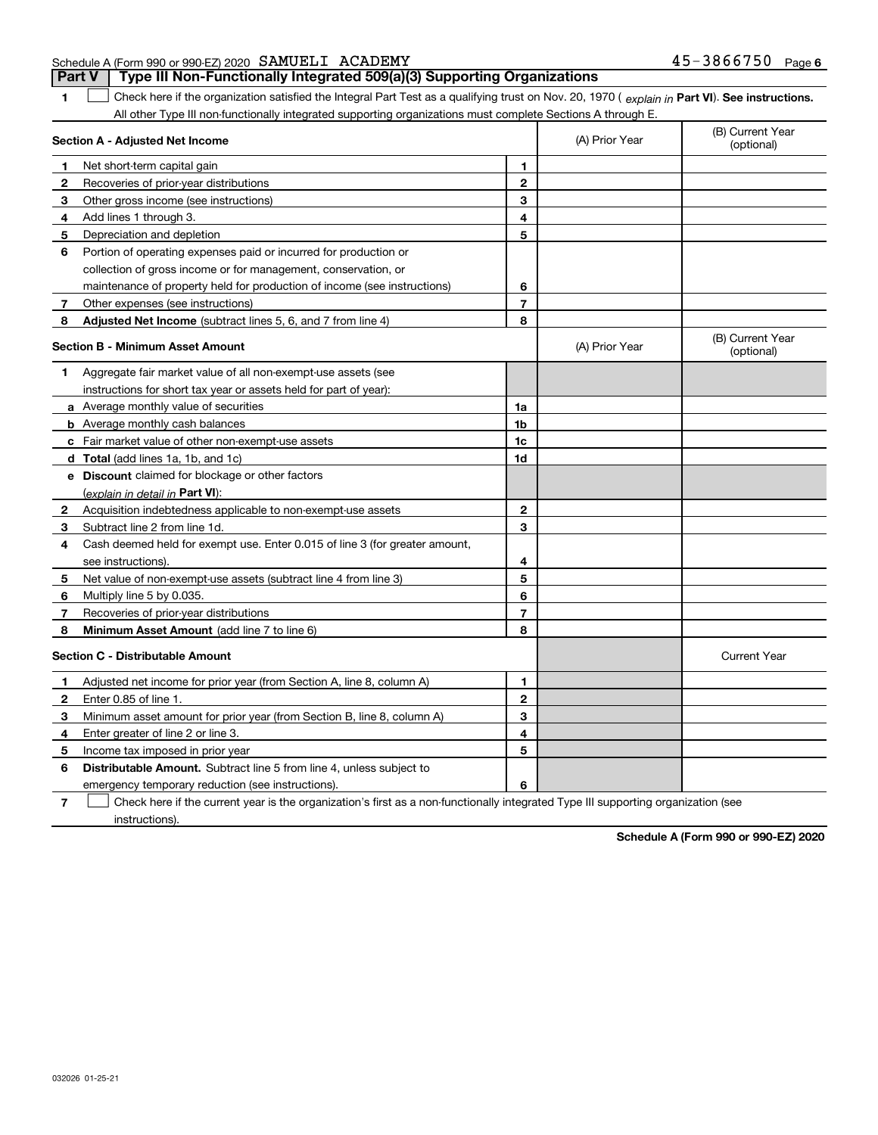| Schedule A (Form 990 or 990-EZ) 2020 SAMUELI ACADEMY | 45-3866750 | Page 6 |
|------------------------------------------------------|------------|--------|
|------------------------------------------------------|------------|--------|

**1**1 Check here if the organization satisfied the Integral Part Test as a qualifying trust on Nov. 20, 1970 (explain in Part VI). See instructions. **Part V Type III Non-Functionally Integrated 509(a)(3) Supporting Organizations** 

All other Type III non-functionally integrated supporting organizations must complete Sections A through E.

| Section A - Adjusted Net Income |                                                                             |                | (A) Prior Year | (B) Current Year<br>(optional) |  |
|---------------------------------|-----------------------------------------------------------------------------|----------------|----------------|--------------------------------|--|
| 1                               | Net short-term capital gain                                                 | 1.             |                |                                |  |
| $\mathbf{2}$                    | Recoveries of prior-year distributions                                      | $\mathbf{2}$   |                |                                |  |
| 3                               | Other gross income (see instructions)                                       | 3              |                |                                |  |
| 4                               | Add lines 1 through 3.                                                      | 4              |                |                                |  |
| 5                               | Depreciation and depletion                                                  | 5              |                |                                |  |
| 6                               | Portion of operating expenses paid or incurred for production or            |                |                |                                |  |
|                                 | collection of gross income or for management, conservation, or              |                |                |                                |  |
|                                 | maintenance of property held for production of income (see instructions)    | 6              |                |                                |  |
| 7                               | Other expenses (see instructions)                                           | $\overline{7}$ |                |                                |  |
| 8                               | Adjusted Net Income (subtract lines 5, 6, and 7 from line 4)                | 8              |                |                                |  |
|                                 | <b>Section B - Minimum Asset Amount</b>                                     |                | (A) Prior Year | (B) Current Year<br>(optional) |  |
| 1                               | Aggregate fair market value of all non-exempt-use assets (see               |                |                |                                |  |
|                                 | instructions for short tax year or assets held for part of year):           |                |                |                                |  |
|                                 | <b>a</b> Average monthly value of securities                                | 1a             |                |                                |  |
|                                 | <b>b</b> Average monthly cash balances                                      | 1b             |                |                                |  |
|                                 | c Fair market value of other non-exempt-use assets                          | 1c             |                |                                |  |
|                                 | <b>d</b> Total (add lines 1a, 1b, and 1c)                                   | 1 <sub>d</sub> |                |                                |  |
|                                 | e Discount claimed for blockage or other factors                            |                |                |                                |  |
|                                 | (explain in detail in Part VI):                                             |                |                |                                |  |
| 2                               | Acquisition indebtedness applicable to non-exempt-use assets                | $\mathbf{2}$   |                |                                |  |
| 3                               | Subtract line 2 from line 1d.                                               | 3              |                |                                |  |
| 4                               | Cash deemed held for exempt use. Enter 0.015 of line 3 (for greater amount, |                |                |                                |  |
|                                 | see instructions).                                                          | 4              |                |                                |  |
| 5                               | Net value of non-exempt-use assets (subtract line 4 from line 3)            | 5              |                |                                |  |
| 6                               | Multiply line 5 by 0.035.                                                   | 6              |                |                                |  |
| 7                               | Recoveries of prior-year distributions                                      | $\overline{7}$ |                |                                |  |
| 8                               | Minimum Asset Amount (add line 7 to line 6)                                 | 8              |                |                                |  |
|                                 | <b>Section C - Distributable Amount</b>                                     |                |                | <b>Current Year</b>            |  |
| 1                               | Adjusted net income for prior year (from Section A, line 8, column A)       | 1              |                |                                |  |
| 2                               | Enter 0.85 of line 1.                                                       | $\mathbf{2}$   |                |                                |  |
| з                               | Minimum asset amount for prior year (from Section B, line 8, column A)      | 3              |                |                                |  |
| 4                               | Enter greater of line 2 or line 3.                                          | 4              |                |                                |  |
| 5                               | Income tax imposed in prior year                                            | 5              |                |                                |  |
| 6                               | <b>Distributable Amount.</b> Subtract line 5 from line 4, unless subject to |                |                |                                |  |
|                                 | emergency temporary reduction (see instructions).                           | 6              |                |                                |  |

**7**Check here if the current year is the organization's first as a non-functionally integrated Type III supporting organization (see instructions).

**Schedule A (Form 990 or 990-EZ) 2020**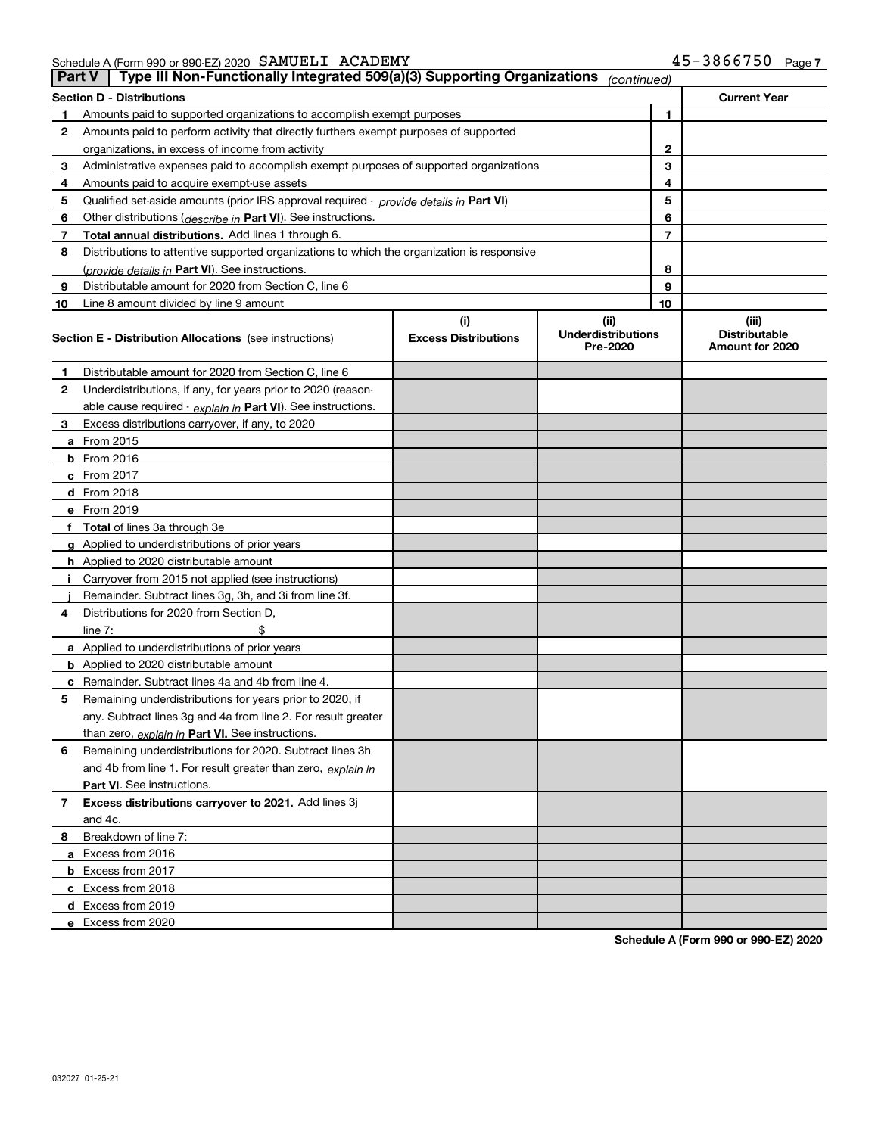| Schedule A (Form 990 or 990-EZ) 2020 SAMUELI ACADEMY |  | 45-3866750 | Page, |
|------------------------------------------------------|--|------------|-------|
|                                                      |  |            |       |

|    | Type III Non-Functionally Integrated 509(a)(3) Supporting Organizations<br><b>Part V</b><br>(continued) |                                    |                                               |    |                                                  |  |  |
|----|---------------------------------------------------------------------------------------------------------|------------------------------------|-----------------------------------------------|----|--------------------------------------------------|--|--|
|    | <b>Section D - Distributions</b>                                                                        |                                    |                                               |    | <b>Current Year</b>                              |  |  |
| 1  | Amounts paid to supported organizations to accomplish exempt purposes                                   |                                    | 1                                             |    |                                                  |  |  |
| 2  | Amounts paid to perform activity that directly furthers exempt purposes of supported                    |                                    |                                               |    |                                                  |  |  |
|    | organizations, in excess of income from activity                                                        |                                    | $\mathbf{2}$                                  |    |                                                  |  |  |
| 3  | Administrative expenses paid to accomplish exempt purposes of supported organizations                   |                                    |                                               | 3  |                                                  |  |  |
| 4  | Amounts paid to acquire exempt-use assets                                                               |                                    |                                               | 4  |                                                  |  |  |
| 5  | Qualified set-aside amounts (prior IRS approval required - provide details in Part VI)                  |                                    |                                               | 5  |                                                  |  |  |
| 6  | Other distributions ( <i>describe in</i> Part VI). See instructions.                                    |                                    |                                               | 6  |                                                  |  |  |
| 7  | Total annual distributions. Add lines 1 through 6.                                                      |                                    |                                               | 7  |                                                  |  |  |
| 8  | Distributions to attentive supported organizations to which the organization is responsive              |                                    |                                               |    |                                                  |  |  |
|    | (provide details in Part VI). See instructions.                                                         |                                    |                                               | 8  |                                                  |  |  |
| 9  | Distributable amount for 2020 from Section C, line 6                                                    |                                    |                                               | 9  |                                                  |  |  |
| 10 | Line 8 amount divided by line 9 amount                                                                  |                                    |                                               | 10 |                                                  |  |  |
|    | <b>Section E - Distribution Allocations</b> (see instructions)                                          | (i)<br><b>Excess Distributions</b> | (ii)<br><b>Underdistributions</b><br>Pre-2020 |    | (iii)<br><b>Distributable</b><br>Amount for 2020 |  |  |
| 1  | Distributable amount for 2020 from Section C, line 6                                                    |                                    |                                               |    |                                                  |  |  |
| 2  | Underdistributions, if any, for years prior to 2020 (reason-                                            |                                    |                                               |    |                                                  |  |  |
|    | able cause required - explain in Part VI). See instructions.                                            |                                    |                                               |    |                                                  |  |  |
| 3  | Excess distributions carryover, if any, to 2020                                                         |                                    |                                               |    |                                                  |  |  |
|    | a From 2015                                                                                             |                                    |                                               |    |                                                  |  |  |
|    | <b>b</b> From 2016                                                                                      |                                    |                                               |    |                                                  |  |  |
|    | $c$ From 2017                                                                                           |                                    |                                               |    |                                                  |  |  |
|    | d From 2018                                                                                             |                                    |                                               |    |                                                  |  |  |
|    | e From 2019                                                                                             |                                    |                                               |    |                                                  |  |  |
|    | f Total of lines 3a through 3e                                                                          |                                    |                                               |    |                                                  |  |  |
|    | g Applied to underdistributions of prior years                                                          |                                    |                                               |    |                                                  |  |  |
|    | <b>h</b> Applied to 2020 distributable amount                                                           |                                    |                                               |    |                                                  |  |  |
|    | Carryover from 2015 not applied (see instructions)                                                      |                                    |                                               |    |                                                  |  |  |
|    | Remainder. Subtract lines 3g, 3h, and 3i from line 3f.                                                  |                                    |                                               |    |                                                  |  |  |
| 4  | Distributions for 2020 from Section D,                                                                  |                                    |                                               |    |                                                  |  |  |
|    | line $7:$                                                                                               |                                    |                                               |    |                                                  |  |  |
|    | a Applied to underdistributions of prior years                                                          |                                    |                                               |    |                                                  |  |  |
|    | <b>b</b> Applied to 2020 distributable amount                                                           |                                    |                                               |    |                                                  |  |  |
|    | c Remainder. Subtract lines 4a and 4b from line 4.                                                      |                                    |                                               |    |                                                  |  |  |
| 5. | Remaining underdistributions for years prior to 2020, if                                                |                                    |                                               |    |                                                  |  |  |
|    | any. Subtract lines 3g and 4a from line 2. For result greater                                           |                                    |                                               |    |                                                  |  |  |
|    | than zero, explain in Part VI. See instructions.                                                        |                                    |                                               |    |                                                  |  |  |
| 6  | Remaining underdistributions for 2020. Subtract lines 3h                                                |                                    |                                               |    |                                                  |  |  |
|    | and 4b from line 1. For result greater than zero, explain in                                            |                                    |                                               |    |                                                  |  |  |
|    | Part VI. See instructions.                                                                              |                                    |                                               |    |                                                  |  |  |
| 7  | Excess distributions carryover to 2021. Add lines 3j                                                    |                                    |                                               |    |                                                  |  |  |
|    | and 4c.                                                                                                 |                                    |                                               |    |                                                  |  |  |
| 8  | Breakdown of line 7:                                                                                    |                                    |                                               |    |                                                  |  |  |
|    | a Excess from 2016                                                                                      |                                    |                                               |    |                                                  |  |  |
|    | <b>b</b> Excess from 2017                                                                               |                                    |                                               |    |                                                  |  |  |
|    | c Excess from 2018                                                                                      |                                    |                                               |    |                                                  |  |  |
|    | d Excess from 2019                                                                                      |                                    |                                               |    |                                                  |  |  |
|    | e Excess from 2020                                                                                      |                                    |                                               |    |                                                  |  |  |

**Schedule A (Form 990 or 990-EZ) 2020**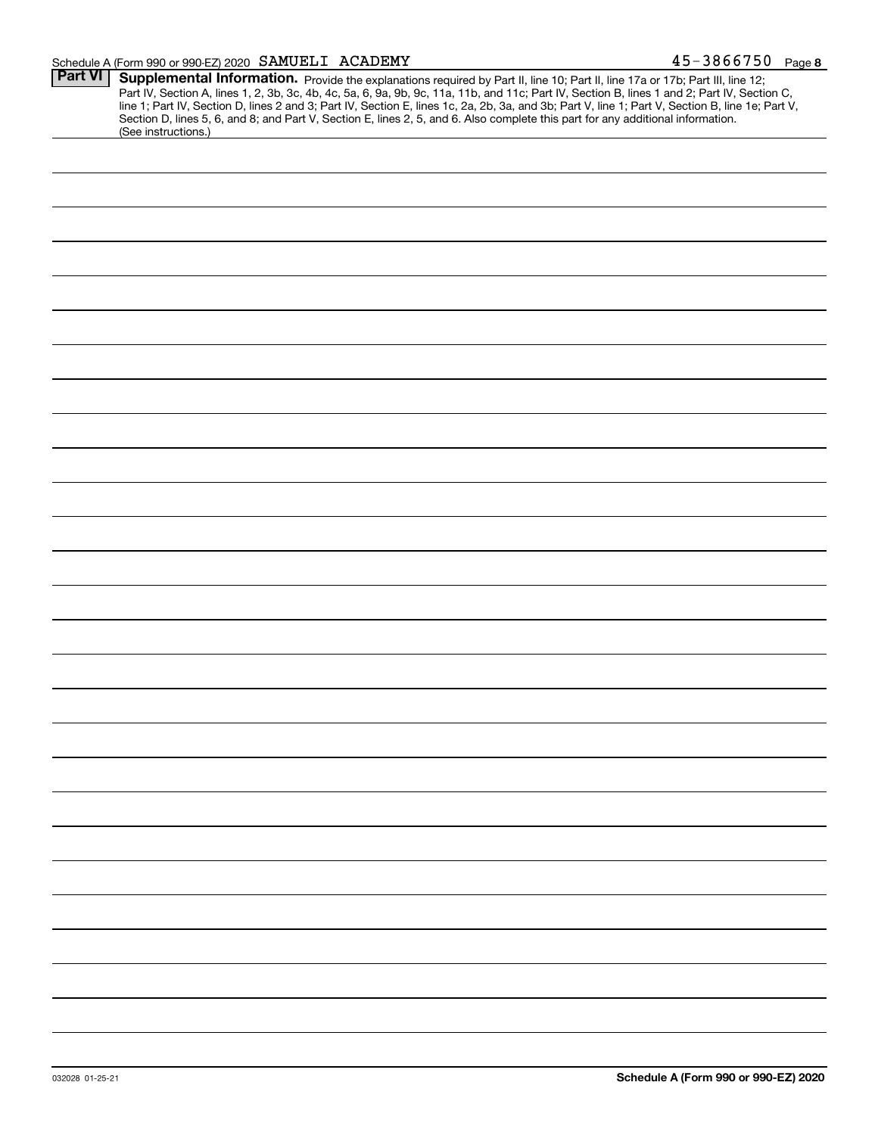#### Schedule A (Form 990 or 990-EZ) 2020 Page SAMUELI ACADEMY 45-3866750

| <b>Part VI</b> |                                                                                                                                                                                                                                                                                                                                                                                                                                   |
|----------------|-----------------------------------------------------------------------------------------------------------------------------------------------------------------------------------------------------------------------------------------------------------------------------------------------------------------------------------------------------------------------------------------------------------------------------------|
|                | Supplemental Information. Provide the explanations required by Part II, line 10; Part II, line 17a or 17b; Part III, line 12;<br>Part IV, Section A, lines 1, 2, 3b, 3c, 4b, 4c, 5a, 6, 9a, 9b, 9c, 11a, 11b, and 11c; Part IV, Section B, lines 1 and 2; Part IV, Section C,<br>line 1; Part IV, Section D, lines 2 and 3; Part IV, Section E, lines 1c, 2a, 2b, 3a, and 3b; Part V, line 1; Part V, Section B, line 1e; Part V, |
|                | Section D, lines 5, 6, and 8; and Part V, Section E, lines 2, 5, and 6. Also complete this part for any additional information.<br>(See instructions.)                                                                                                                                                                                                                                                                            |
|                |                                                                                                                                                                                                                                                                                                                                                                                                                                   |
|                |                                                                                                                                                                                                                                                                                                                                                                                                                                   |
|                |                                                                                                                                                                                                                                                                                                                                                                                                                                   |
|                |                                                                                                                                                                                                                                                                                                                                                                                                                                   |
|                |                                                                                                                                                                                                                                                                                                                                                                                                                                   |
|                |                                                                                                                                                                                                                                                                                                                                                                                                                                   |
|                |                                                                                                                                                                                                                                                                                                                                                                                                                                   |
|                |                                                                                                                                                                                                                                                                                                                                                                                                                                   |
|                |                                                                                                                                                                                                                                                                                                                                                                                                                                   |
|                |                                                                                                                                                                                                                                                                                                                                                                                                                                   |
|                |                                                                                                                                                                                                                                                                                                                                                                                                                                   |
|                |                                                                                                                                                                                                                                                                                                                                                                                                                                   |
|                |                                                                                                                                                                                                                                                                                                                                                                                                                                   |
|                |                                                                                                                                                                                                                                                                                                                                                                                                                                   |
|                |                                                                                                                                                                                                                                                                                                                                                                                                                                   |
|                |                                                                                                                                                                                                                                                                                                                                                                                                                                   |
|                |                                                                                                                                                                                                                                                                                                                                                                                                                                   |
|                |                                                                                                                                                                                                                                                                                                                                                                                                                                   |
|                |                                                                                                                                                                                                                                                                                                                                                                                                                                   |
|                |                                                                                                                                                                                                                                                                                                                                                                                                                                   |
|                |                                                                                                                                                                                                                                                                                                                                                                                                                                   |
|                |                                                                                                                                                                                                                                                                                                                                                                                                                                   |
|                |                                                                                                                                                                                                                                                                                                                                                                                                                                   |
|                |                                                                                                                                                                                                                                                                                                                                                                                                                                   |
|                |                                                                                                                                                                                                                                                                                                                                                                                                                                   |
|                |                                                                                                                                                                                                                                                                                                                                                                                                                                   |
|                |                                                                                                                                                                                                                                                                                                                                                                                                                                   |
|                |                                                                                                                                                                                                                                                                                                                                                                                                                                   |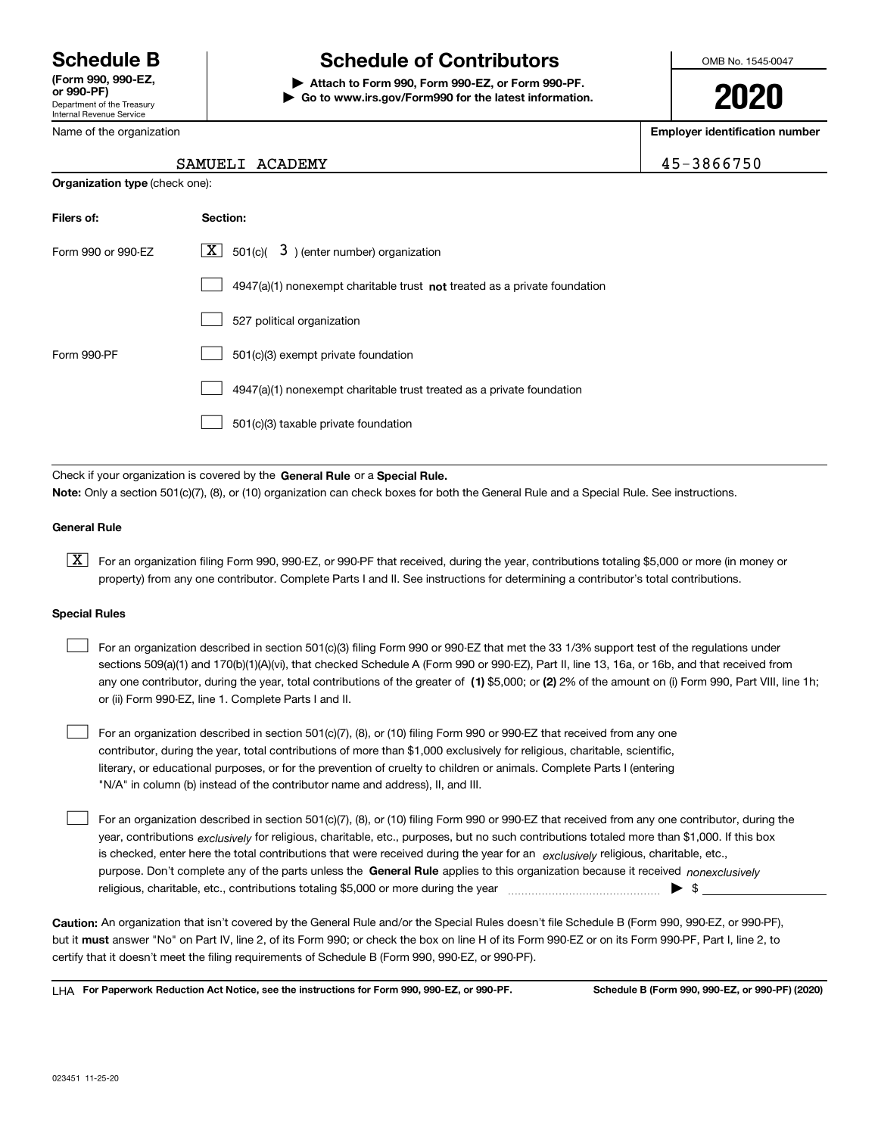Department of the Treasury Internal Revenue Service **(Form 990, 990-EZ, or 990-PF)**

#### Name of the organization

**Organization type** (check one):

### **Schedule B Schedule of Contributors**

**| Attach to Form 990, Form 990-EZ, or Form 990-PF. | Go to www.irs.gov/Form990 for the latest information.** OMB No. 1545-0047

# **2020**

**Employer identification number**

45-3866750

| Filers of:         | Section:                                                                           |
|--------------------|------------------------------------------------------------------------------------|
| Form 990 or 990-EZ | $\boxed{\text{X}}$ 501(c)( 3) (enter number) organization                          |
|                    | $4947(a)(1)$ nonexempt charitable trust <b>not</b> treated as a private foundation |
|                    | 527 political organization                                                         |
| Form 990-PF        | 501(c)(3) exempt private foundation                                                |
|                    | 4947(a)(1) nonexempt charitable trust treated as a private foundation              |
|                    | 501(c)(3) taxable private foundation                                               |

Check if your organization is covered by the **General Rule** or a **Special Rule. Note:**  Only a section 501(c)(7), (8), or (10) organization can check boxes for both the General Rule and a Special Rule. See instructions.

#### **General Rule**

 $\boxed{\textbf{X}}$  For an organization filing Form 990, 990-EZ, or 990-PF that received, during the year, contributions totaling \$5,000 or more (in money or property) from any one contributor. Complete Parts I and II. See instructions for determining a contributor's total contributions.

#### **Special Rules**

 $\mathcal{L}^{\text{max}}$ 

| For an organization described in section 501(c)(3) filing Form 990 or 990-EZ that met the 33 1/3% support test of the regulations under               |
|-------------------------------------------------------------------------------------------------------------------------------------------------------|
| sections 509(a)(1) and 170(b)(1)(A)(vi), that checked Schedule A (Form 990 or 990-EZ), Part II, line 13, 16a, or 16b, and that received from          |
| any one contributor, during the year, total contributions of the greater of (1) \$5,000; or (2) 2% of the amount on (i) Form 990, Part VIII, line 1h; |
| or (ii) Form 990-EZ, line 1. Complete Parts I and II.                                                                                                 |

For an organization described in section 501(c)(7), (8), or (10) filing Form 990 or 990-EZ that received from any one contributor, during the year, total contributions of more than \$1,000 exclusively for religious, charitable, scientific, literary, or educational purposes, or for the prevention of cruelty to children or animals. Complete Parts I (entering "N/A" in column (b) instead of the contributor name and address), II, and III.  $\mathcal{L}^{\text{max}}$ 

purpose. Don't complete any of the parts unless the **General Rule** applies to this organization because it received *nonexclusively* year, contributions <sub>exclusively</sub> for religious, charitable, etc., purposes, but no such contributions totaled more than \$1,000. If this box is checked, enter here the total contributions that were received during the year for an  $\;$ exclusively religious, charitable, etc., For an organization described in section 501(c)(7), (8), or (10) filing Form 990 or 990-EZ that received from any one contributor, during the religious, charitable, etc., contributions totaling \$5,000 or more during the year  $\Box$ — $\Box$  =  $\Box$ 

**Caution:**  An organization that isn't covered by the General Rule and/or the Special Rules doesn't file Schedule B (Form 990, 990-EZ, or 990-PF),  **must** but it answer "No" on Part IV, line 2, of its Form 990; or check the box on line H of its Form 990-EZ or on its Form 990-PF, Part I, line 2, to certify that it doesn't meet the filing requirements of Schedule B (Form 990, 990-EZ, or 990-PF).

**For Paperwork Reduction Act Notice, see the instructions for Form 990, 990-EZ, or 990-PF. Schedule B (Form 990, 990-EZ, or 990-PF) (2020)** LHA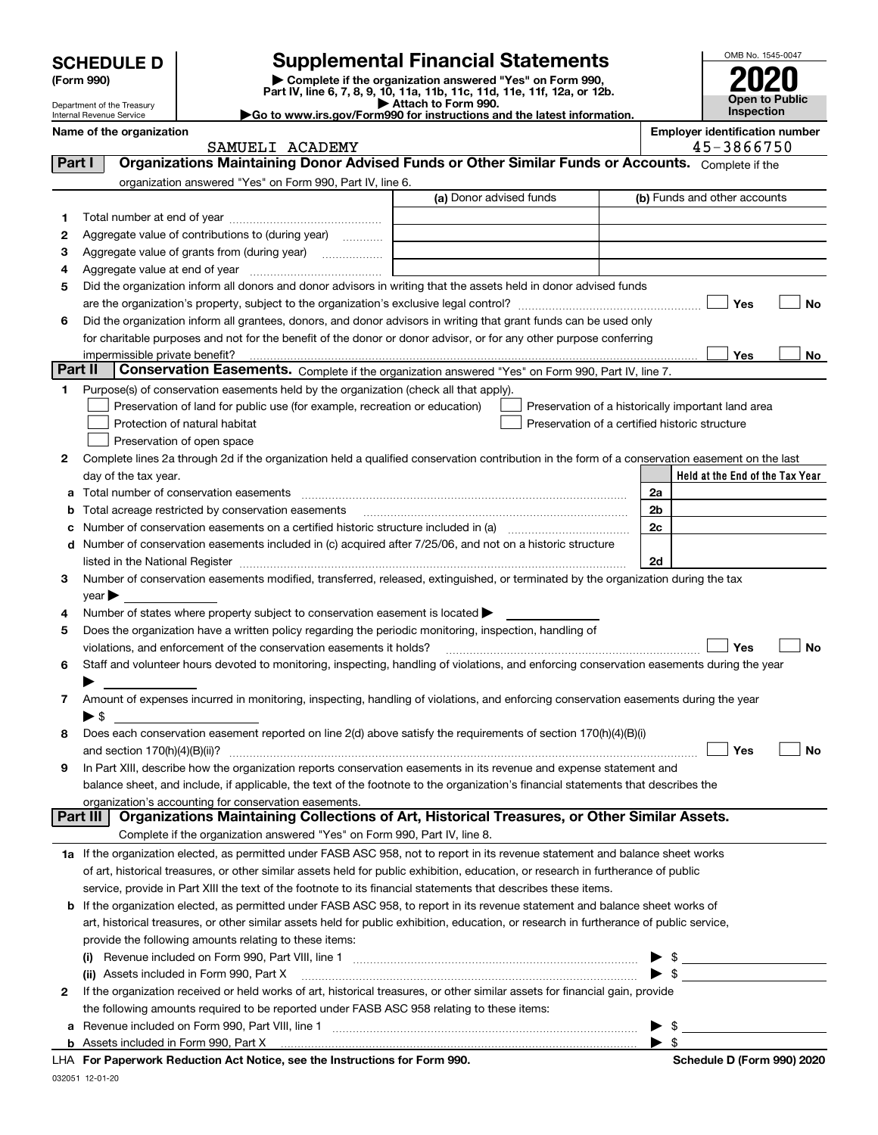| <b>SCHEDULE D</b> |  |
|-------------------|--|
|-------------------|--|

| (Form 990) |  |
|------------|--|
|------------|--|

### **SCHEDULE D Supplemental Financial Statements**

**(Form 990)** (**Form 990,**<br>Part IV, line 6, 7, 8, 9, 10, 11a, 11b, 11c, 11d, 11e, 11f, 12a, or 12b.<br>Department of the Treasury **and Exercise Connect Connect Connect Connect Connect Connect Connect Connect Connect** 

| OMB No. 1545-0047     |
|-----------------------|
|                       |
| 2020                  |
| <b>Open to Public</b> |
| Inspection            |

Department of the Treasury Internal Revenue Service

|                                                                        |  |  | .<br>Attach to Form 990. |  |  |
|------------------------------------------------------------------------|--|--|--------------------------|--|--|
| Go to www.irs.gov/Form990 for instructions and the latest information. |  |  |                          |  |  |

|          | Name of the organization<br>SAMUELI ACADEMY                                                                                                    |                         |  | <b>Employer identification number</b><br>45-3866750 |
|----------|------------------------------------------------------------------------------------------------------------------------------------------------|-------------------------|--|-----------------------------------------------------|
| Part I   | Organizations Maintaining Donor Advised Funds or Other Similar Funds or Accounts. Complete if the                                              |                         |  |                                                     |
|          | organization answered "Yes" on Form 990, Part IV, line 6.                                                                                      |                         |  |                                                     |
|          |                                                                                                                                                | (a) Donor advised funds |  | (b) Funds and other accounts                        |
| 1.       |                                                                                                                                                |                         |  |                                                     |
| 2        | Aggregate value of contributions to (during year)                                                                                              |                         |  |                                                     |
| з        | Aggregate value of grants from (during year)                                                                                                   |                         |  |                                                     |
| 4        |                                                                                                                                                |                         |  |                                                     |
| 5        | Did the organization inform all donors and donor advisors in writing that the assets held in donor advised funds                               |                         |  |                                                     |
|          |                                                                                                                                                |                         |  | Yes<br>No                                           |
| 6        | Did the organization inform all grantees, donors, and donor advisors in writing that grant funds can be used only                              |                         |  |                                                     |
|          | for charitable purposes and not for the benefit of the donor or donor advisor, or for any other purpose conferring                             |                         |  |                                                     |
|          |                                                                                                                                                |                         |  | Yes<br>No                                           |
| Part II  | Conservation Easements. Complete if the organization answered "Yes" on Form 990, Part IV, line 7.                                              |                         |  |                                                     |
| 1        | Purpose(s) of conservation easements held by the organization (check all that apply).                                                          |                         |  |                                                     |
|          | Preservation of land for public use (for example, recreation or education)                                                                     |                         |  | Preservation of a historically important land area  |
|          | Protection of natural habitat                                                                                                                  |                         |  | Preservation of a certified historic structure      |
|          | Preservation of open space                                                                                                                     |                         |  |                                                     |
| 2        | Complete lines 2a through 2d if the organization held a qualified conservation contribution in the form of a conservation easement on the last |                         |  |                                                     |
|          | day of the tax year.                                                                                                                           |                         |  | Held at the End of the Tax Year                     |
| а        | Total number of conservation easements                                                                                                         |                         |  | 2a                                                  |
| b        | Total acreage restricted by conservation easements                                                                                             |                         |  | 2 <sub>b</sub>                                      |
| с        |                                                                                                                                                |                         |  | 2c                                                  |
| d        | Number of conservation easements included in (c) acquired after 7/25/06, and not on a historic structure                                       |                         |  |                                                     |
|          |                                                                                                                                                |                         |  | 2d                                                  |
| 3        | Number of conservation easements modified, transferred, released, extinguished, or terminated by the organization during the tax               |                         |  |                                                     |
|          | year                                                                                                                                           |                         |  |                                                     |
| 4        | Number of states where property subject to conservation easement is located >                                                                  |                         |  |                                                     |
| 5        | Does the organization have a written policy regarding the periodic monitoring, inspection, handling of                                         |                         |  |                                                     |
|          | violations, and enforcement of the conservation easements it holds?                                                                            |                         |  | Yes<br><b>No</b>                                    |
| 6        | Staff and volunteer hours devoted to monitoring, inspecting, handling of violations, and enforcing conservation easements during the year      |                         |  |                                                     |
|          |                                                                                                                                                |                         |  |                                                     |
| 7        | Amount of expenses incurred in monitoring, inspecting, handling of violations, and enforcing conservation easements during the year            |                         |  |                                                     |
|          | $\blacktriangleright$ \$<br>Does each conservation easement reported on line 2(d) above satisfy the requirements of section 170(h)(4)(B)(i)    |                         |  |                                                     |
| 8        |                                                                                                                                                |                         |  | Yes<br>No                                           |
|          | In Part XIII, describe how the organization reports conservation easements in its revenue and expense statement and                            |                         |  |                                                     |
|          | balance sheet, and include, if applicable, the text of the footnote to the organization's financial statements that describes the              |                         |  |                                                     |
|          | organization's accounting for conservation easements.                                                                                          |                         |  |                                                     |
| Part III | Organizations Maintaining Collections of Art, Historical Treasures, or Other Similar Assets.                                                   |                         |  |                                                     |
|          | Complete if the organization answered "Yes" on Form 990, Part IV, line 8.                                                                      |                         |  |                                                     |
|          | 1a If the organization elected, as permitted under FASB ASC 958, not to report in its revenue statement and balance sheet works                |                         |  |                                                     |
|          | of art, historical treasures, or other similar assets held for public exhibition, education, or research in furtherance of public              |                         |  |                                                     |
|          | service, provide in Part XIII the text of the footnote to its financial statements that describes these items.                                 |                         |  |                                                     |
| b        | If the organization elected, as permitted under FASB ASC 958, to report in its revenue statement and balance sheet works of                    |                         |  |                                                     |
|          | art, historical treasures, or other similar assets held for public exhibition, education, or research in furtherance of public service,        |                         |  |                                                     |
|          | provide the following amounts relating to these items:                                                                                         |                         |  |                                                     |
|          | (I)                                                                                                                                            |                         |  | $\frac{1}{2}$                                       |
|          | (ii) Assets included in Form 990, Part X                                                                                                       |                         |  | $\blacktriangleright$ \$                            |
| 2        | If the organization received or held works of art, historical treasures, or other similar assets for financial gain, provide                   |                         |  |                                                     |
|          | the following amounts required to be reported under FASB ASC 958 relating to these items:                                                      |                         |  |                                                     |
| а        |                                                                                                                                                |                         |  | \$                                                  |
|          | <b>b</b> Assets included in Form 990, Part X                                                                                                   |                         |  | $\blacktriangleright$ \$                            |
|          | LHA For Paperwork Reduction Act Notice, see the Instructions for Form 990.                                                                     |                         |  | Schedule D (Form 990) 2020                          |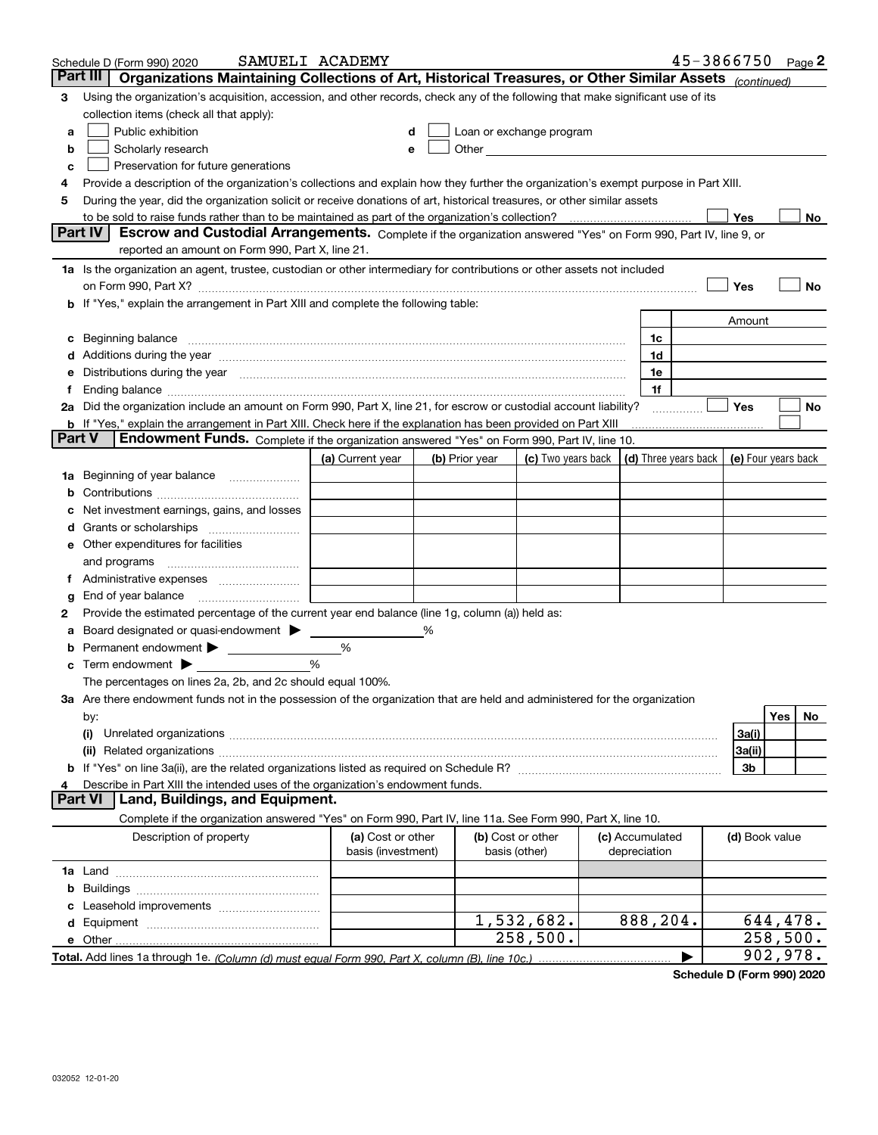|               | Schedule D (Form 990) 2020                                                                                                                                                                                                     | SAMUELI ACADEMY                         |                |                                                                                                                                                                                                                               |                                 | 45-3866750 Page 2 |                |          |    |
|---------------|--------------------------------------------------------------------------------------------------------------------------------------------------------------------------------------------------------------------------------|-----------------------------------------|----------------|-------------------------------------------------------------------------------------------------------------------------------------------------------------------------------------------------------------------------------|---------------------------------|-------------------|----------------|----------|----|
|               | Part III<br>Organizations Maintaining Collections of Art, Historical Treasures, or Other Similar Assets (continued)                                                                                                            |                                         |                |                                                                                                                                                                                                                               |                                 |                   |                |          |    |
| 3             | Using the organization's acquisition, accession, and other records, check any of the following that make significant use of its                                                                                                |                                         |                |                                                                                                                                                                                                                               |                                 |                   |                |          |    |
|               | collection items (check all that apply):                                                                                                                                                                                       |                                         |                |                                                                                                                                                                                                                               |                                 |                   |                |          |    |
| a             | Public exhibition                                                                                                                                                                                                              | d                                       |                | Loan or exchange program                                                                                                                                                                                                      |                                 |                   |                |          |    |
| b             | Scholarly research                                                                                                                                                                                                             | е                                       |                | Other and the contract of the contract of the contract of the contract of the contract of the contract of the contract of the contract of the contract of the contract of the contract of the contract of the contract of the |                                 |                   |                |          |    |
| c             | Preservation for future generations                                                                                                                                                                                            |                                         |                |                                                                                                                                                                                                                               |                                 |                   |                |          |    |
| 4             | Provide a description of the organization's collections and explain how they further the organization's exempt purpose in Part XIII.                                                                                           |                                         |                |                                                                                                                                                                                                                               |                                 |                   |                |          |    |
| 5             | During the year, did the organization solicit or receive donations of art, historical treasures, or other similar assets                                                                                                       |                                         |                |                                                                                                                                                                                                                               |                                 |                   |                |          |    |
|               | to be sold to raise funds rather than to be maintained as part of the organization's collection?                                                                                                                               |                                         |                |                                                                                                                                                                                                                               |                                 |                   | Yes            |          | No |
|               | <b>Part IV</b><br>Escrow and Custodial Arrangements. Complete if the organization answered "Yes" on Form 990, Part IV, line 9, or                                                                                              |                                         |                |                                                                                                                                                                                                                               |                                 |                   |                |          |    |
|               | reported an amount on Form 990, Part X, line 21.                                                                                                                                                                               |                                         |                |                                                                                                                                                                                                                               |                                 |                   |                |          |    |
|               | 1a Is the organization an agent, trustee, custodian or other intermediary for contributions or other assets not included                                                                                                       |                                         |                |                                                                                                                                                                                                                               |                                 |                   |                |          |    |
|               | on Form 990, Part X? [11] matter contracts and contracts and contracts are contracted as a function of the set of the set of the set of the set of the set of the set of the set of the set of the set of the set of the set o |                                         |                |                                                                                                                                                                                                                               |                                 |                   | Yes            |          | No |
|               | b If "Yes," explain the arrangement in Part XIII and complete the following table:                                                                                                                                             |                                         |                |                                                                                                                                                                                                                               |                                 |                   |                |          |    |
|               |                                                                                                                                                                                                                                |                                         |                |                                                                                                                                                                                                                               |                                 |                   | Amount         |          |    |
| c             | Beginning balance                                                                                                                                                                                                              |                                         |                |                                                                                                                                                                                                                               | 1c                              |                   |                |          |    |
|               | Additions during the year manufactured and an account of the year manufactured and account of the year manufactured and account of the year manufactured and account of the year manufactured and account of the year manufact |                                         |                |                                                                                                                                                                                                                               | 1d                              |                   |                |          |    |
| е             | Distributions during the year measurement contains and all the state of the state of the state of the state of                                                                                                                 |                                         |                |                                                                                                                                                                                                                               | 1e                              |                   |                |          |    |
|               | Ending balance manufactured and contact the control of the control of the control of the control of the control of the control of the control of the control of the control of the control of the control of the control of th |                                         |                |                                                                                                                                                                                                                               | 1f                              |                   | Yes            |          |    |
|               | 2a Did the organization include an amount on Form 990, Part X, line 21, for escrow or custodial account liability?                                                                                                             |                                         |                |                                                                                                                                                                                                                               |                                 |                   |                |          | No |
| <b>Part V</b> | b If "Yes," explain the arrangement in Part XIII. Check here if the explanation has been provided on Part XIII<br>Endowment Funds. Complete if the organization answered "Yes" on Form 990, Part IV, line 10.                  |                                         |                |                                                                                                                                                                                                                               |                                 |                   |                |          |    |
|               |                                                                                                                                                                                                                                | (a) Current year                        | (b) Prior year | (c) Two years back $\vert$ (d) Three years back $\vert$ (e) Four years back                                                                                                                                                   |                                 |                   |                |          |    |
| 1a            | Beginning of year balance                                                                                                                                                                                                      |                                         |                |                                                                                                                                                                                                                               |                                 |                   |                |          |    |
|               |                                                                                                                                                                                                                                |                                         |                |                                                                                                                                                                                                                               |                                 |                   |                |          |    |
|               | Net investment earnings, gains, and losses                                                                                                                                                                                     |                                         |                |                                                                                                                                                                                                                               |                                 |                   |                |          |    |
|               |                                                                                                                                                                                                                                |                                         |                |                                                                                                                                                                                                                               |                                 |                   |                |          |    |
| е             | Other expenditures for facilities                                                                                                                                                                                              |                                         |                |                                                                                                                                                                                                                               |                                 |                   |                |          |    |
|               | and programs                                                                                                                                                                                                                   |                                         |                |                                                                                                                                                                                                                               |                                 |                   |                |          |    |
|               |                                                                                                                                                                                                                                |                                         |                |                                                                                                                                                                                                                               |                                 |                   |                |          |    |
| g             | End of year balance                                                                                                                                                                                                            |                                         |                |                                                                                                                                                                                                                               |                                 |                   |                |          |    |
| 2             | Provide the estimated percentage of the current year end balance (line 1g, column (a)) held as:                                                                                                                                |                                         |                |                                                                                                                                                                                                                               |                                 |                   |                |          |    |
|               | Board designated or quasi-endowment > _____                                                                                                                                                                                    |                                         |                |                                                                                                                                                                                                                               |                                 |                   |                |          |    |
| b             |                                                                                                                                                                                                                                | %                                       |                |                                                                                                                                                                                                                               |                                 |                   |                |          |    |
| c             | Term endowment $\blacktriangleright$                                                                                                                                                                                           | %                                       |                |                                                                                                                                                                                                                               |                                 |                   |                |          |    |
|               | The percentages on lines 2a, 2b, and 2c should equal 100%.                                                                                                                                                                     |                                         |                |                                                                                                                                                                                                                               |                                 |                   |                |          |    |
|               | 3a Are there endowment funds not in the possession of the organization that are held and administered for the organization                                                                                                     |                                         |                |                                                                                                                                                                                                                               |                                 |                   |                |          |    |
|               | by:                                                                                                                                                                                                                            |                                         |                |                                                                                                                                                                                                                               |                                 |                   |                | Yes      | No |
|               | (i)                                                                                                                                                                                                                            |                                         |                |                                                                                                                                                                                                                               |                                 |                   | 3a(i)          |          |    |
|               |                                                                                                                                                                                                                                |                                         |                |                                                                                                                                                                                                                               |                                 |                   | 3a(ii)         |          |    |
|               |                                                                                                                                                                                                                                |                                         |                |                                                                                                                                                                                                                               |                                 |                   | 3b             |          |    |
| 4             | Describe in Part XIII the intended uses of the organization's endowment funds.                                                                                                                                                 |                                         |                |                                                                                                                                                                                                                               |                                 |                   |                |          |    |
|               | Land, Buildings, and Equipment.<br><b>Part VI</b>                                                                                                                                                                              |                                         |                |                                                                                                                                                                                                                               |                                 |                   |                |          |    |
|               | Complete if the organization answered "Yes" on Form 990, Part IV, line 11a. See Form 990, Part X, line 10.                                                                                                                     |                                         |                |                                                                                                                                                                                                                               |                                 |                   |                |          |    |
|               | Description of property                                                                                                                                                                                                        | (a) Cost or other<br>basis (investment) |                | (b) Cost or other<br>basis (other)                                                                                                                                                                                            | (c) Accumulated<br>depreciation |                   | (d) Book value |          |    |
|               |                                                                                                                                                                                                                                |                                         |                |                                                                                                                                                                                                                               |                                 |                   |                |          |    |
| b             |                                                                                                                                                                                                                                |                                         |                |                                                                                                                                                                                                                               |                                 |                   |                |          |    |
|               |                                                                                                                                                                                                                                |                                         |                |                                                                                                                                                                                                                               |                                 |                   |                |          |    |
|               |                                                                                                                                                                                                                                |                                         |                | 1,532,682.                                                                                                                                                                                                                    | 888,204.                        |                   |                | 644,478. |    |
|               | e Other.                                                                                                                                                                                                                       |                                         |                | 258,500.                                                                                                                                                                                                                      |                                 |                   |                | 258,500. |    |
|               |                                                                                                                                                                                                                                |                                         |                |                                                                                                                                                                                                                               |                                 |                   |                | 902,978. |    |

**Schedule D (Form 990) 2020**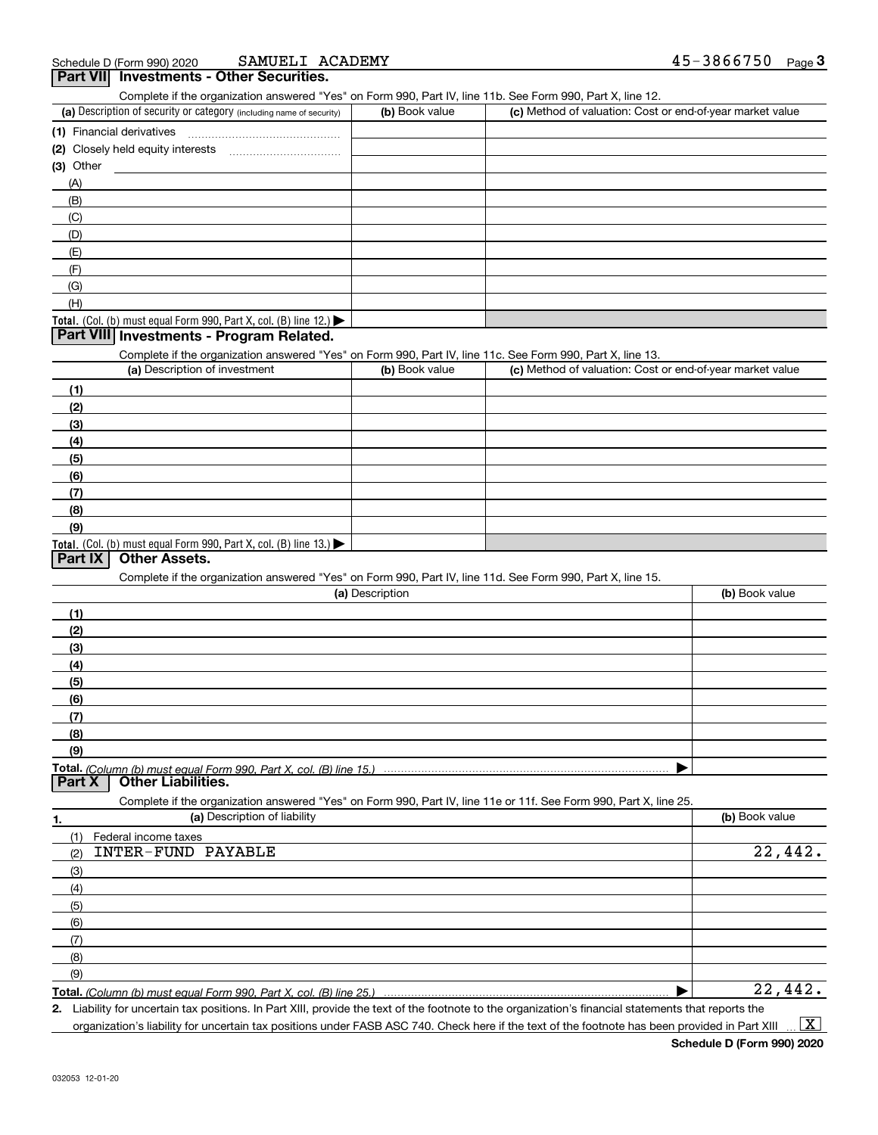| SAMUELI ACADEMY<br>Schedule D (Form 990) 2020                                                                                                     |                 |                                                           | 45-3866750<br><u>Page</u> 3 |
|---------------------------------------------------------------------------------------------------------------------------------------------------|-----------------|-----------------------------------------------------------|-----------------------------|
| Part VII Investments - Other Securities.                                                                                                          |                 |                                                           |                             |
| Complete if the organization answered "Yes" on Form 990, Part IV, line 11b. See Form 990, Part X, line 12.                                        |                 |                                                           |                             |
| (a) Description of security or category (including name of security)                                                                              | (b) Book value  | (c) Method of valuation: Cost or end-of-year market value |                             |
|                                                                                                                                                   |                 |                                                           |                             |
|                                                                                                                                                   |                 |                                                           |                             |
| (3) Other                                                                                                                                         |                 |                                                           |                             |
| (A)                                                                                                                                               |                 |                                                           |                             |
| (B)                                                                                                                                               |                 |                                                           |                             |
| (C)                                                                                                                                               |                 |                                                           |                             |
| (D)                                                                                                                                               |                 |                                                           |                             |
| (E)                                                                                                                                               |                 |                                                           |                             |
| (F)                                                                                                                                               |                 |                                                           |                             |
| (G)                                                                                                                                               |                 |                                                           |                             |
| (H)                                                                                                                                               |                 |                                                           |                             |
| Total. (Col. (b) must equal Form 990, Part X, col. (B) line 12.)                                                                                  |                 |                                                           |                             |
| Part VIII Investments - Program Related.                                                                                                          |                 |                                                           |                             |
| Complete if the organization answered "Yes" on Form 990, Part IV, line 11c. See Form 990, Part X, line 13.                                        |                 |                                                           |                             |
| (a) Description of investment                                                                                                                     | (b) Book value  | (c) Method of valuation: Cost or end-of-year market value |                             |
| (1)                                                                                                                                               |                 |                                                           |                             |
| (2)                                                                                                                                               |                 |                                                           |                             |
| (3)                                                                                                                                               |                 |                                                           |                             |
| (4)                                                                                                                                               |                 |                                                           |                             |
| (5)                                                                                                                                               |                 |                                                           |                             |
| (6)                                                                                                                                               |                 |                                                           |                             |
| (7)                                                                                                                                               |                 |                                                           |                             |
| (8)                                                                                                                                               |                 |                                                           |                             |
| (9)                                                                                                                                               |                 |                                                           |                             |
| Total. (Col. (b) must equal Form 990, Part X, col. (B) line 13.)                                                                                  |                 |                                                           |                             |
| Part IX<br><b>Other Assets.</b>                                                                                                                   |                 |                                                           |                             |
| Complete if the organization answered "Yes" on Form 990, Part IV, line 11d. See Form 990, Part X, line 15.                                        |                 |                                                           |                             |
|                                                                                                                                                   | (a) Description |                                                           | (b) Book value              |
| (1)                                                                                                                                               |                 |                                                           |                             |
| (2)                                                                                                                                               |                 |                                                           |                             |
|                                                                                                                                                   |                 |                                                           |                             |
| (3)                                                                                                                                               |                 |                                                           |                             |
| (4)                                                                                                                                               |                 |                                                           |                             |
| (5)                                                                                                                                               |                 |                                                           |                             |
| (6)                                                                                                                                               |                 |                                                           |                             |
| (7)                                                                                                                                               |                 |                                                           |                             |
| (8)                                                                                                                                               |                 |                                                           |                             |
| (9)                                                                                                                                               |                 |                                                           |                             |
| Part X<br><b>Other Liabilities.</b>                                                                                                               |                 |                                                           |                             |
|                                                                                                                                                   |                 |                                                           |                             |
| Complete if the organization answered "Yes" on Form 990, Part IV, line 11e or 11f. See Form 990, Part X, line 25.<br>(a) Description of liability |                 |                                                           | (b) Book value              |
| 1.                                                                                                                                                |                 |                                                           |                             |
| (1)<br>Federal income taxes                                                                                                                       |                 |                                                           |                             |
| <b>INTER-FUND PAYABLE</b><br>(2)                                                                                                                  |                 |                                                           | 22,442.                     |
| (3)                                                                                                                                               |                 |                                                           |                             |
| (4)                                                                                                                                               |                 |                                                           |                             |
| (5)                                                                                                                                               |                 |                                                           |                             |
| (6)                                                                                                                                               |                 |                                                           |                             |
| (7)                                                                                                                                               |                 |                                                           |                             |
| (8)                                                                                                                                               |                 |                                                           |                             |
| (9)                                                                                                                                               |                 |                                                           |                             |
| Total. (Column (b) must equal Form 990, Part X, col. (B) line 25.)                                                                                |                 | ▶                                                         | 22,442.                     |

**2.** Liability for uncertain tax positions. In Part XIII, provide the text of the footnote to the organization's financial statements that reports the organization's liability for uncertain tax positions under FASB ASC 740. Check here if the text of the footnote has been provided in Part XIII  $\vert$  X  $\vert$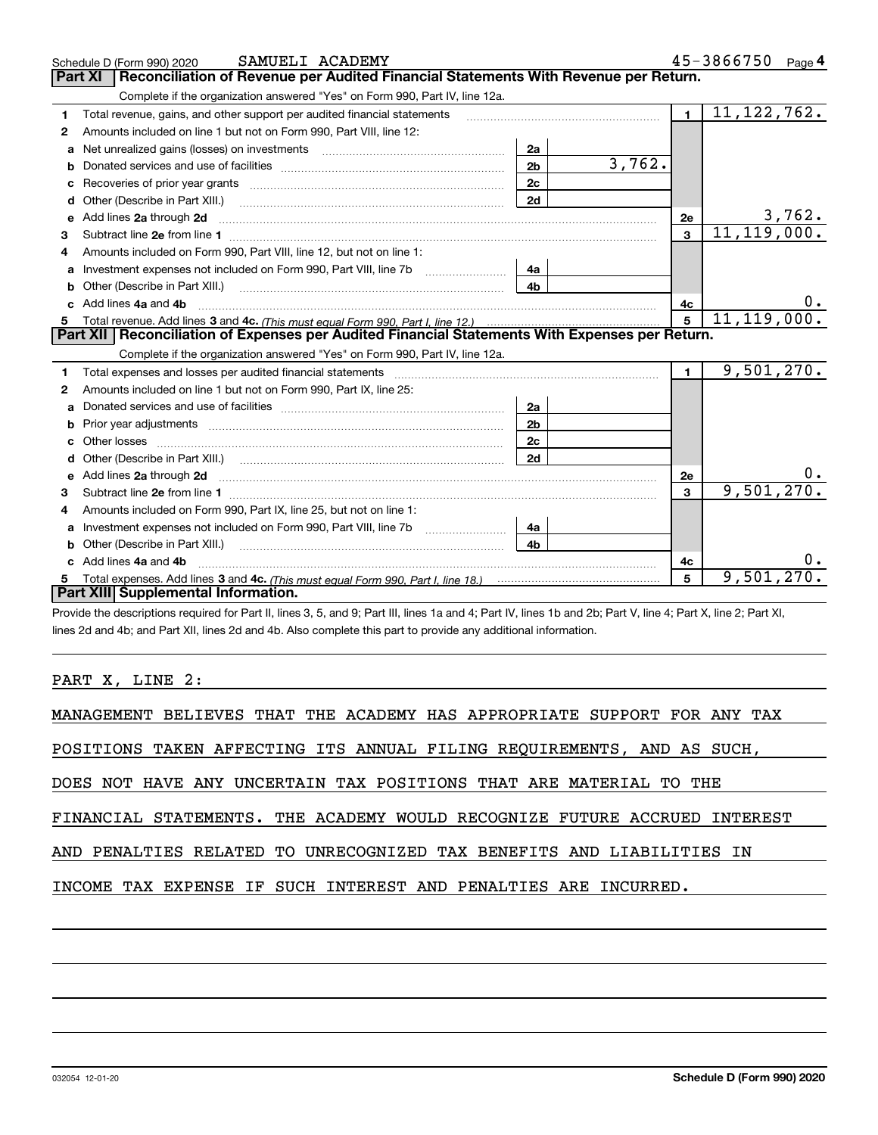|    | SAMUELI ACADEMY<br>Schedule D (Form 990) 2020                                                                                                                                                                                       |                |        |                         | 45-3866750    | Page $4$ |
|----|-------------------------------------------------------------------------------------------------------------------------------------------------------------------------------------------------------------------------------------|----------------|--------|-------------------------|---------------|----------|
|    | Reconciliation of Revenue per Audited Financial Statements With Revenue per Return.<br>Part XI                                                                                                                                      |                |        |                         |               |          |
|    | Complete if the organization answered "Yes" on Form 990, Part IV, line 12a.                                                                                                                                                         |                |        |                         |               |          |
| 1  | Total revenue, gains, and other support per audited financial statements                                                                                                                                                            |                |        | $\blacksquare$          | 11, 122, 762. |          |
| 2  | Amounts included on line 1 but not on Form 990, Part VIII, line 12:                                                                                                                                                                 |                |        |                         |               |          |
| a  | Net unrealized gains (losses) on investments [11] matter contracts and the unrealized gains (losses) on investments                                                                                                                 | 2a             |        |                         |               |          |
|    |                                                                                                                                                                                                                                     | 2 <sub>b</sub> | 3,762. |                         |               |          |
| c  |                                                                                                                                                                                                                                     | 2c             |        |                         |               |          |
| d  |                                                                                                                                                                                                                                     | 2d             |        |                         |               |          |
| е  | Add lines 2a through 2d                                                                                                                                                                                                             |                |        | 2e                      | 3,762.        |          |
| 3  |                                                                                                                                                                                                                                     |                |        | 3                       | 11, 119, 000. |          |
| 4  | Amounts included on Form 990, Part VIII, line 12, but not on line 1:                                                                                                                                                                |                |        |                         |               |          |
|    |                                                                                                                                                                                                                                     | 4a             |        |                         |               |          |
| b  | Other (Describe in Part XIII.) <b>2006</b> 2007 2010 2010 2010 2010 2011 2012 2013 2014 2015 2016 2017 2018 2019 2016 2016 2017 2018 2019 2016 2017 2018 2019 2016 2017 2018 2019 2018 2019 2016 2017 2018 2019 2019 2019 2018 2019 | 4 <sub>b</sub> |        |                         |               |          |
| C. | Add lines 4a and 4b                                                                                                                                                                                                                 |                |        | 4c                      |               | υ.       |
|    |                                                                                                                                                                                                                                     |                |        | 5                       | 11, 119, 000. |          |
| 5  |                                                                                                                                                                                                                                     |                |        |                         |               |          |
|    | Part XII   Reconciliation of Expenses per Audited Financial Statements With Expenses per Return.                                                                                                                                    |                |        |                         |               |          |
|    | Complete if the organization answered "Yes" on Form 990, Part IV, line 12a.                                                                                                                                                         |                |        |                         |               |          |
| 1  | Total expenses and losses per audited financial statements [11] [12] contraction control in the statements [11] [12] and the statements [12] and the statements [12] and the statements [12] and the statements [12] and the s      |                |        | 1 <sup>1</sup>          | 9,501,270.    |          |
| 2  | Amounts included on line 1 but not on Form 990, Part IX, line 25:                                                                                                                                                                   |                |        |                         |               |          |
| a  |                                                                                                                                                                                                                                     | 2a             |        |                         |               |          |
|    |                                                                                                                                                                                                                                     | 2 <sub>b</sub> |        |                         |               |          |
| c  |                                                                                                                                                                                                                                     | 2c             |        |                         |               |          |
|    |                                                                                                                                                                                                                                     | 2d             |        |                         |               |          |
|    |                                                                                                                                                                                                                                     |                |        | 2e                      |               |          |
| 3  |                                                                                                                                                                                                                                     |                |        | $\overline{\mathbf{3}}$ | 9,501,270.    |          |
| 4  | Amounts included on Form 990, Part IX, line 25, but not on line 1:                                                                                                                                                                  |                |        |                         |               |          |
| a  | Investment expenses not included on Form 990, Part VIII, line 7b [1000000000000000000000000000000000                                                                                                                                | 4a             |        |                         |               |          |
| b  | Other (Describe in Part XIII.) [100] [100] [100] [100] [100] [100] [100] [100] [100] [100] [100] [100] [100] [                                                                                                                      | 4b             |        |                         |               |          |
|    | Add lines 4a and 4b                                                                                                                                                                                                                 |                |        | 4с                      |               | 0.       |
|    | Part XIII Supplemental Information.                                                                                                                                                                                                 |                |        | 5                       | 9,501,270.    |          |

Provide the descriptions required for Part II, lines 3, 5, and 9; Part III, lines 1a and 4; Part IV, lines 1b and 2b; Part V, line 4; Part X, line 2; Part XI, lines 2d and 4b; and Part XII, lines 2d and 4b. Also complete this part to provide any additional information.

#### PART X, LINE 2:

| MANAGEMENT BELIEVES THAT THE ACADEMY HAS APPROPRIATE SUPPORT FOR ANY TAX  |
|---------------------------------------------------------------------------|
| POSITIONS TAKEN AFFECTING ITS ANNUAL FILING REQUIREMENTS, AND AS SUCH,    |
| DOES NOT HAVE ANY UNCERTAIN TAX POSITIONS THAT ARE MATERIAL TO THE        |
| FINANCIAL STATEMENTS. THE ACADEMY WOULD RECOGNIZE FUTURE ACCRUED INTEREST |
| AND PENALTIES RELATED TO UNRECOGNIZED TAX BENEFITS AND LIABILITIES IN     |
| INCOME TAX EXPENSE IF SUCH INTEREST AND PENALTIES ARE INCURRED.           |
|                                                                           |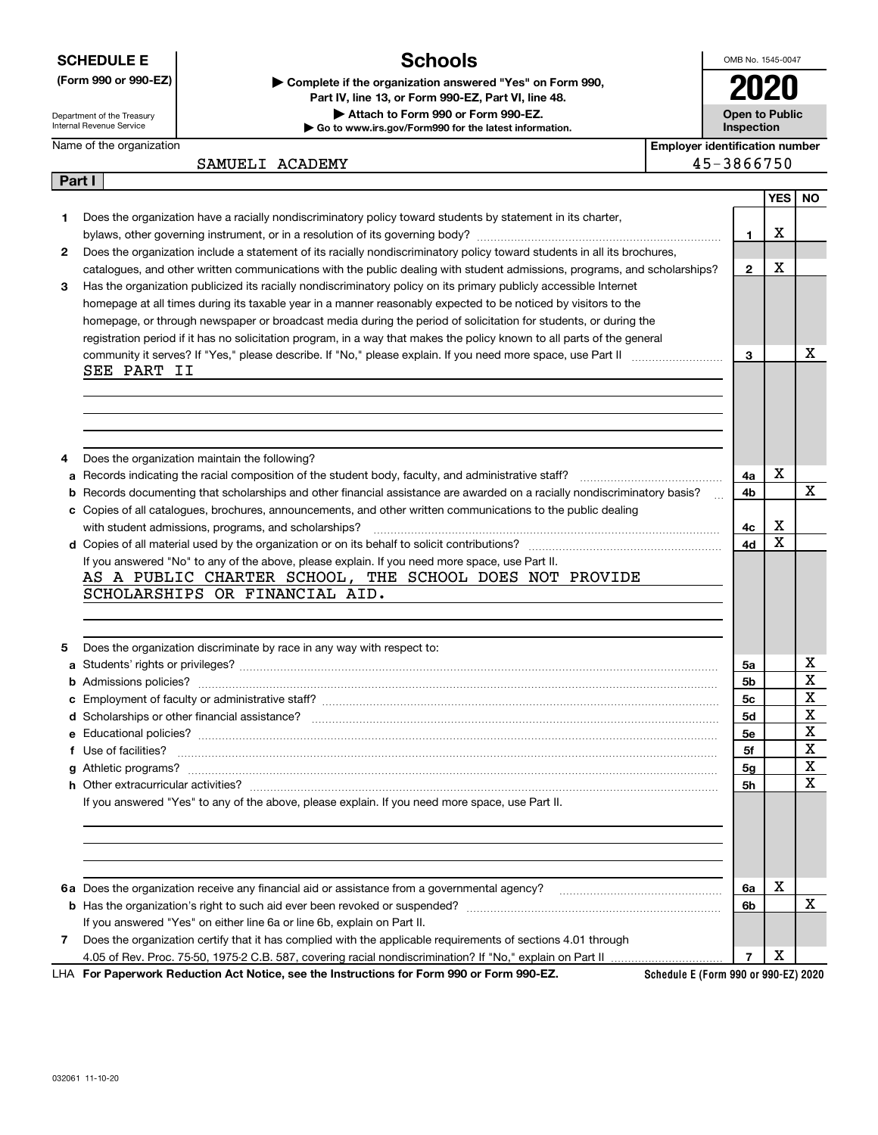**SCHEDULE E**

### **Schools**

OMB No. 1545-0047 **2020**

**Open to Public**

Department of the Treasury Internal Revenue Service

**Part I**

Name of the organization

**| Go to www.irs.gov/Form990 for the latest information. (Form 990 or 990-EZ) | Complete if the organization answered "Yes" on Form 990, Part IV, line 13, or Form 990-EZ, Part VI, line 48. | Attach to Form 990 or Form 990-EZ.**



| ACADEMY<br>SAMUELI | 3866750 |
|--------------------|---------|
|--------------------|---------|

|  | 3866750 |  |  |
|--|---------|--|--|

|              |                                                                                                                                                                                                                                    |                | YES | <b>NO</b>   |
|--------------|------------------------------------------------------------------------------------------------------------------------------------------------------------------------------------------------------------------------------------|----------------|-----|-------------|
| 1            | Does the organization have a racially nondiscriminatory policy toward students by statement in its charter,                                                                                                                        |                |     |             |
|              |                                                                                                                                                                                                                                    | 1              | x   |             |
| $\mathbf{2}$ | Does the organization include a statement of its racially nondiscriminatory policy toward students in all its brochures,                                                                                                           |                |     |             |
|              | catalogues, and other written communications with the public dealing with student admissions, programs, and scholarships?                                                                                                          | $\mathbf{2}$   | X   |             |
| З.           | Has the organization publicized its racially nondiscriminatory policy on its primary publicly accessible Internet                                                                                                                  |                |     |             |
|              | homepage at all times during its taxable year in a manner reasonably expected to be noticed by visitors to the                                                                                                                     |                |     |             |
|              | homepage, or through newspaper or broadcast media during the period of solicitation for students, or during the                                                                                                                    |                |     |             |
|              | registration period if it has no solicitation program, in a way that makes the policy known to all parts of the general                                                                                                            |                |     |             |
|              |                                                                                                                                                                                                                                    | 3              |     | х           |
|              | SEE PART II                                                                                                                                                                                                                        |                |     |             |
|              |                                                                                                                                                                                                                                    |                |     |             |
|              |                                                                                                                                                                                                                                    |                |     |             |
|              |                                                                                                                                                                                                                                    |                |     |             |
|              |                                                                                                                                                                                                                                    |                |     |             |
| 4            | Does the organization maintain the following?                                                                                                                                                                                      |                |     |             |
| a            |                                                                                                                                                                                                                                    | 4a             | X   |             |
| b            | Records documenting that scholarships and other financial assistance are awarded on a racially nondiscriminatory basis?                                                                                                            | 4b             |     | X           |
|              | c Copies of all catalogues, brochures, announcements, and other written communications to the public dealing                                                                                                                       |                |     |             |
|              |                                                                                                                                                                                                                                    | 4c             | X   |             |
|              |                                                                                                                                                                                                                                    | 4d             | х   |             |
|              | If you answered "No" to any of the above, please explain. If you need more space, use Part II.                                                                                                                                     |                |     |             |
|              | AS A PUBLIC CHARTER SCHOOL, THE SCHOOL DOES NOT PROVIDE                                                                                                                                                                            |                |     |             |
|              | SCHOLARSHIPS OR FINANCIAL AID.                                                                                                                                                                                                     |                |     |             |
|              |                                                                                                                                                                                                                                    |                |     |             |
|              |                                                                                                                                                                                                                                    |                |     |             |
| 5            | Does the organization discriminate by race in any way with respect to:                                                                                                                                                             |                |     |             |
|              |                                                                                                                                                                                                                                    | 5a             |     | х           |
|              |                                                                                                                                                                                                                                    | 5b             |     | $\mathbf X$ |
|              |                                                                                                                                                                                                                                    | 5c             |     | X           |
|              |                                                                                                                                                                                                                                    | 5d             |     | X           |
|              |                                                                                                                                                                                                                                    | 5e             |     | X           |
|              | f Use of facilities? <b>www.communities.</b> We can be a series of the contract of the contract of the contract of the contract of the contract of the contract of the contract of the contract of the contract of the contract of | 5f             |     | X           |
|              |                                                                                                                                                                                                                                    | 5g             |     | $\mathbf X$ |
|              |                                                                                                                                                                                                                                    | 5h             |     | Χ           |
|              | If you answered "Yes" to any of the above, please explain. If you need more space, use Part II.                                                                                                                                    |                |     |             |
|              |                                                                                                                                                                                                                                    |                |     |             |
|              |                                                                                                                                                                                                                                    |                |     |             |
|              |                                                                                                                                                                                                                                    |                |     |             |
|              |                                                                                                                                                                                                                                    |                |     |             |
|              |                                                                                                                                                                                                                                    | 6a             | X   |             |
|              |                                                                                                                                                                                                                                    | 6b             |     | X           |
|              | If you answered "Yes" on either line 6a or line 6b, explain on Part II.                                                                                                                                                            |                |     |             |
| 7            | Does the organization certify that it has complied with the applicable requirements of sections 4.01 through                                                                                                                       |                |     |             |
|              |                                                                                                                                                                                                                                    | $\overline{7}$ | X   |             |
|              |                                                                                                                                                                                                                                    |                |     |             |

**For Paperwork Reduction Act Notice, see the Instructions for Form 990 or Form 990-EZ.** LHA

**Schedule E (Form 990 or 990-EZ) 2020**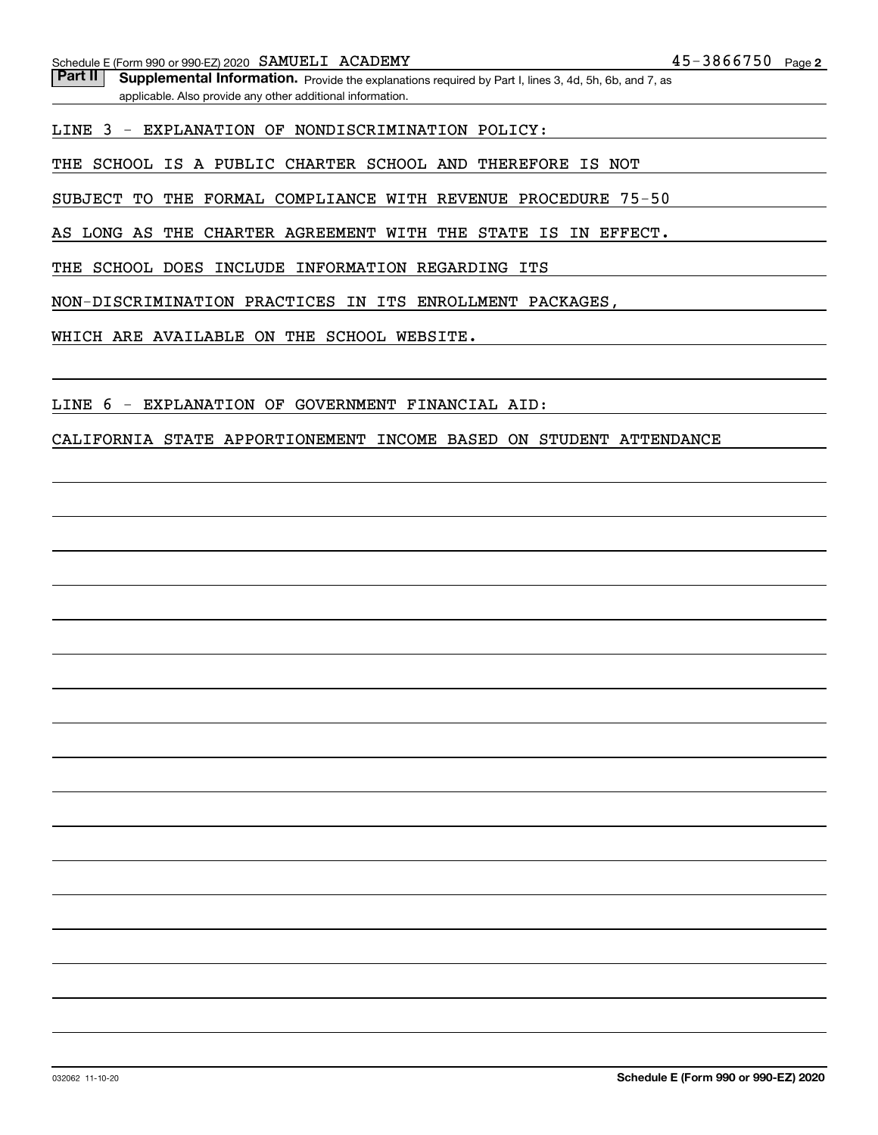Part II | Supplemental Information. Provide the explanations required by Part I, lines 3, 4d, 5h, 6b, and 7, as applicable. Also provide any other additional information.

LINE 3 - EXPLANATION OF NONDISCRIMINATION POLICY:

THE SCHOOL IS A PUBLIC CHARTER SCHOOL AND THEREFORE IS NOT

SUBJECT TO THE FORMAL COMPLIANCE WITH REVENUE PROCEDURE 75-50

AS LONG AS THE CHARTER AGREEMENT WITH THE STATE IS IN EFFECT.

THE SCHOOL DOES INCLUDE INFORMATION REGARDING ITS

NON-DISCRIMINATION PRACTICES IN ITS ENROLLMENT PACKAGES,

WHICH ARE AVAILABLE ON THE SCHOOL WEBSITE.

LINE 6 - EXPLANATION OF GOVERNMENT FINANCIAL AID:

CALIFORNIA STATE APPORTIONEMENT INCOME BASED ON STUDENT ATTENDANCE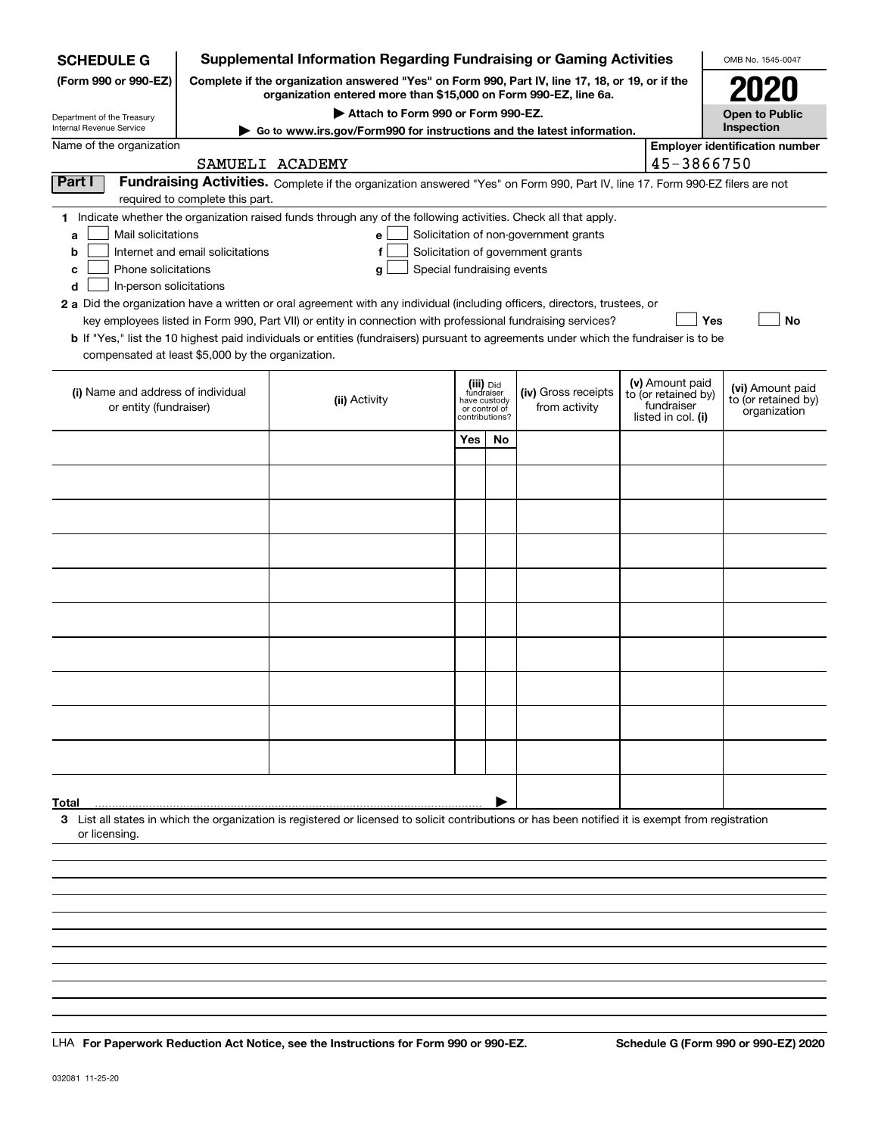| <b>SCHEDULE G</b>                                            |                                                                                                                                                                     | <b>Supplemental Information Regarding Fundraising or Gaming Activities</b>                                                                                                                                                                |     |                                         |                                       |  |                                   | OMB No. 1545-0047                       |  |  |  |
|--------------------------------------------------------------|---------------------------------------------------------------------------------------------------------------------------------------------------------------------|-------------------------------------------------------------------------------------------------------------------------------------------------------------------------------------------------------------------------------------------|-----|-----------------------------------------|---------------------------------------|--|-----------------------------------|-----------------------------------------|--|--|--|
| (Form 990 or 990-EZ)                                         | Complete if the organization answered "Yes" on Form 990, Part IV, line 17, 18, or 19, or if the<br>organization entered more than \$15,000 on Form 990-EZ, line 6a. |                                                                                                                                                                                                                                           |     |                                         |                                       |  |                                   |                                         |  |  |  |
| Department of the Treasury<br>Internal Revenue Service       |                                                                                                                                                                     | Attach to Form 990 or Form 990-EZ.                                                                                                                                                                                                        |     |                                         |                                       |  |                                   | <b>Open to Public</b><br>Inspection     |  |  |  |
| Name of the organization                                     |                                                                                                                                                                     | Go to www.irs.gov/Form990 for instructions and the latest information.<br><b>Employer identification number</b>                                                                                                                           |     |                                         |                                       |  |                                   |                                         |  |  |  |
|                                                              |                                                                                                                                                                     | SAMUELI ACADEMY                                                                                                                                                                                                                           |     |                                         |                                       |  | 45-3866750                        |                                         |  |  |  |
| Part I                                                       |                                                                                                                                                                     | Fundraising Activities. Complete if the organization answered "Yes" on Form 990, Part IV, line 17. Form 990-EZ filers are not                                                                                                             |     |                                         |                                       |  |                                   |                                         |  |  |  |
|                                                              | required to complete this part.                                                                                                                                     |                                                                                                                                                                                                                                           |     |                                         |                                       |  |                                   |                                         |  |  |  |
| Mail solicitations                                           |                                                                                                                                                                     | 1 Indicate whether the organization raised funds through any of the following activities. Check all that apply.<br>е                                                                                                                      |     |                                         | Solicitation of non-government grants |  |                                   |                                         |  |  |  |
| a<br>b                                                       | Internet and email solicitations                                                                                                                                    |                                                                                                                                                                                                                                           |     |                                         |                                       |  |                                   |                                         |  |  |  |
| с                                                            | Solicitation of government grants<br>Phone solicitations<br>Special fundraising events<br>g                                                                         |                                                                                                                                                                                                                                           |     |                                         |                                       |  |                                   |                                         |  |  |  |
| In-person solicitations<br>d                                 |                                                                                                                                                                     |                                                                                                                                                                                                                                           |     |                                         |                                       |  |                                   |                                         |  |  |  |
|                                                              |                                                                                                                                                                     | 2 a Did the organization have a written or oral agreement with any individual (including officers, directors, trustees, or<br>key employees listed in Form 990, Part VII) or entity in connection with professional fundraising services? |     |                                         |                                       |  |                                   | Yes<br>No                               |  |  |  |
|                                                              |                                                                                                                                                                     | <b>b</b> If "Yes," list the 10 highest paid individuals or entities (fundraisers) pursuant to agreements under which the fundraiser is to be                                                                                              |     |                                         |                                       |  |                                   |                                         |  |  |  |
| compensated at least \$5,000 by the organization.            |                                                                                                                                                                     |                                                                                                                                                                                                                                           |     |                                         |                                       |  |                                   |                                         |  |  |  |
|                                                              |                                                                                                                                                                     |                                                                                                                                                                                                                                           |     |                                         |                                       |  | (v) Amount paid                   |                                         |  |  |  |
| (i) Name and address of individual<br>or entity (fundraiser) |                                                                                                                                                                     | (ii) Activity                                                                                                                                                                                                                             |     | (iii) Did<br>fundraiser<br>have custody | (iv) Gross receipts<br>from activity  |  | to (or retained by)<br>fundraiser | (vi) Amount paid<br>to (or retained by) |  |  |  |
|                                                              |                                                                                                                                                                     |                                                                                                                                                                                                                                           |     | or control of<br>contributions?         |                                       |  | listed in col. (i)                | organization                            |  |  |  |
|                                                              |                                                                                                                                                                     |                                                                                                                                                                                                                                           | Yes | <b>No</b>                               |                                       |  |                                   |                                         |  |  |  |
|                                                              |                                                                                                                                                                     |                                                                                                                                                                                                                                           |     |                                         |                                       |  |                                   |                                         |  |  |  |
|                                                              |                                                                                                                                                                     |                                                                                                                                                                                                                                           |     |                                         |                                       |  |                                   |                                         |  |  |  |
|                                                              |                                                                                                                                                                     |                                                                                                                                                                                                                                           |     |                                         |                                       |  |                                   |                                         |  |  |  |
|                                                              |                                                                                                                                                                     |                                                                                                                                                                                                                                           |     |                                         |                                       |  |                                   |                                         |  |  |  |
|                                                              |                                                                                                                                                                     |                                                                                                                                                                                                                                           |     |                                         |                                       |  |                                   |                                         |  |  |  |
|                                                              |                                                                                                                                                                     |                                                                                                                                                                                                                                           |     |                                         |                                       |  |                                   |                                         |  |  |  |
|                                                              |                                                                                                                                                                     |                                                                                                                                                                                                                                           |     |                                         |                                       |  |                                   |                                         |  |  |  |
|                                                              |                                                                                                                                                                     |                                                                                                                                                                                                                                           |     |                                         |                                       |  |                                   |                                         |  |  |  |
|                                                              |                                                                                                                                                                     |                                                                                                                                                                                                                                           |     |                                         |                                       |  |                                   |                                         |  |  |  |
|                                                              |                                                                                                                                                                     |                                                                                                                                                                                                                                           |     |                                         |                                       |  |                                   |                                         |  |  |  |
|                                                              |                                                                                                                                                                     |                                                                                                                                                                                                                                           |     |                                         |                                       |  |                                   |                                         |  |  |  |
| Total                                                        |                                                                                                                                                                     |                                                                                                                                                                                                                                           |     |                                         |                                       |  |                                   |                                         |  |  |  |
| or licensing                                                 |                                                                                                                                                                     | 3 List all states in which the organization is registered or licensed to solicit contributions or has been notified it is exempt from registration                                                                                        |     |                                         |                                       |  |                                   |                                         |  |  |  |
|                                                              |                                                                                                                                                                     |                                                                                                                                                                                                                                           |     |                                         |                                       |  |                                   |                                         |  |  |  |
|                                                              |                                                                                                                                                                     |                                                                                                                                                                                                                                           |     |                                         |                                       |  |                                   |                                         |  |  |  |
|                                                              |                                                                                                                                                                     |                                                                                                                                                                                                                                           |     |                                         |                                       |  |                                   |                                         |  |  |  |
|                                                              |                                                                                                                                                                     |                                                                                                                                                                                                                                           |     |                                         |                                       |  |                                   |                                         |  |  |  |
|                                                              |                                                                                                                                                                     |                                                                                                                                                                                                                                           |     |                                         |                                       |  |                                   |                                         |  |  |  |

LHA For Paperwork Reduction Act Notice, see the Instructions for Form 990 or 990-EZ. Schedule G (Form 990 or 990-EZ) 2020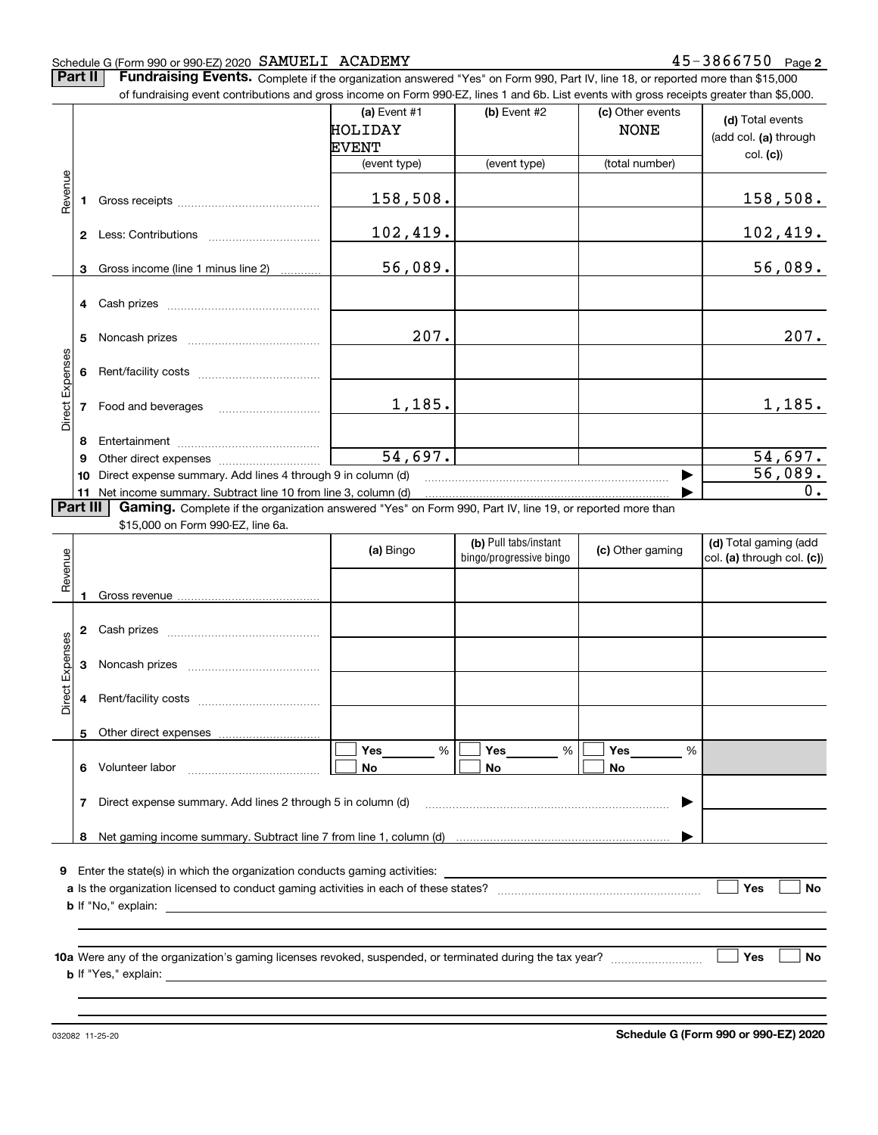#### Schedule G (Form 990 or 990-EZ) 2020 Page SAMUELI ACADEMY 45-3866750

**2**

**Part II** | Fundraising Events. Complete if the organization answered "Yes" on Form 990, Part IV, line 18, or reported more than \$15,000 of fundraising event contributions and gross income on Form 990-EZ, lines 1 and 6b. List events with gross receipts greater than \$5,000.

|                 |               | 01 lunuraising event continuutions and gross income on Form 990-EZ, illies T and OD. Elst events with gross receipts greater than \$0,000.                                                                                     |                                           |                         |                                 |                                           |
|-----------------|---------------|--------------------------------------------------------------------------------------------------------------------------------------------------------------------------------------------------------------------------------|-------------------------------------------|-------------------------|---------------------------------|-------------------------------------------|
|                 |               |                                                                                                                                                                                                                                | (a) Event $#1$<br>HOLIDAY<br><b>EVENT</b> | (b) Event $#2$          | (c) Other events<br><b>NONE</b> | (d) Total events<br>(add col. (a) through |
|                 |               |                                                                                                                                                                                                                                | (event type)                              | (event type)            | (total number)                  | col. (c)                                  |
| Revenue         |               | 1 Gross receipts and the state of the state of the state of the state of the state of the state of the state of the state of the state of the state of the state of the state of the state of the state of the state of the st | 158,508.                                  |                         |                                 | 158,508.                                  |
|                 |               |                                                                                                                                                                                                                                | 102,419.                                  |                         |                                 | 102,419.                                  |
|                 | 3             | Gross income (line 1 minus line 2)                                                                                                                                                                                             | 56,089.                                   |                         |                                 | 56,089.                                   |
|                 | 4 Cash prizes |                                                                                                                                                                                                                                |                                           |                         |                                 |                                           |
|                 |               |                                                                                                                                                                                                                                | 207.                                      |                         |                                 | 207.                                      |
|                 |               |                                                                                                                                                                                                                                |                                           |                         |                                 |                                           |
| Direct Expenses |               | 7 Food and beverages                                                                                                                                                                                                           | 1,185.                                    |                         |                                 | 1,185.                                    |
|                 | 8             |                                                                                                                                                                                                                                |                                           |                         |                                 |                                           |
|                 | 9             |                                                                                                                                                                                                                                | 54,697.                                   |                         |                                 | 54,697.                                   |
|                 | 10            | Direct expense summary. Add lines 4 through 9 in column (d)                                                                                                                                                                    |                                           |                         |                                 | 56,089.                                   |
|                 | Part III      | 11 Net income summary. Subtract line 10 from line 3, column (d)                                                                                                                                                                |                                           |                         |                                 | 0.                                        |
|                 |               | Gaming. Complete if the organization answered "Yes" on Form 990, Part IV, line 19, or reported more than<br>\$15,000 on Form 990-EZ, line 6a.                                                                                  |                                           |                         |                                 |                                           |
|                 |               |                                                                                                                                                                                                                                |                                           | (b) Pull tabs/instant   |                                 | (d) Total gaming (add                     |
|                 |               |                                                                                                                                                                                                                                | (a) Bingo                                 | bingo/progressive bingo | (c) Other gaming                | col. (a) through col. (c))                |
| Revenue         |               |                                                                                                                                                                                                                                |                                           |                         |                                 |                                           |
|                 | 1             |                                                                                                                                                                                                                                |                                           |                         |                                 |                                           |
|                 |               |                                                                                                                                                                                                                                |                                           |                         |                                 |                                           |
|                 |               |                                                                                                                                                                                                                                |                                           |                         |                                 |                                           |
| Direct Expenses |               |                                                                                                                                                                                                                                |                                           |                         |                                 |                                           |
|                 |               |                                                                                                                                                                                                                                |                                           |                         |                                 |                                           |
|                 |               | 5 Other direct expenses                                                                                                                                                                                                        |                                           |                         |                                 |                                           |
|                 |               |                                                                                                                                                                                                                                | %<br>Yes                                  | Yes<br>%                | Yes<br>%                        |                                           |
|                 | 6             | Volunteer labor                                                                                                                                                                                                                | No                                        | No                      | No                              |                                           |
|                 |               | 7 Direct expense summary. Add lines 2 through 5 in column (d)                                                                                                                                                                  |                                           |                         |                                 |                                           |
|                 |               |                                                                                                                                                                                                                                |                                           |                         |                                 |                                           |
|                 | 8             |                                                                                                                                                                                                                                |                                           |                         |                                 |                                           |
| 9.              |               | Enter the state(s) in which the organization conducts gaming activities:                                                                                                                                                       |                                           |                         |                                 |                                           |
|                 |               |                                                                                                                                                                                                                                |                                           |                         |                                 | Yes<br>No                                 |
|                 |               | <b>b</b> If "No," explain:<br><u> 1989 - Johann Harry Barn, mars ar breist fan de Fryske kommunent fan de Fryske kommunent fan de Fryske kommun</u>                                                                            |                                           |                         |                                 |                                           |
|                 |               |                                                                                                                                                                                                                                |                                           |                         |                                 | Yes<br>No                                 |
|                 |               |                                                                                                                                                                                                                                |                                           |                         |                                 |                                           |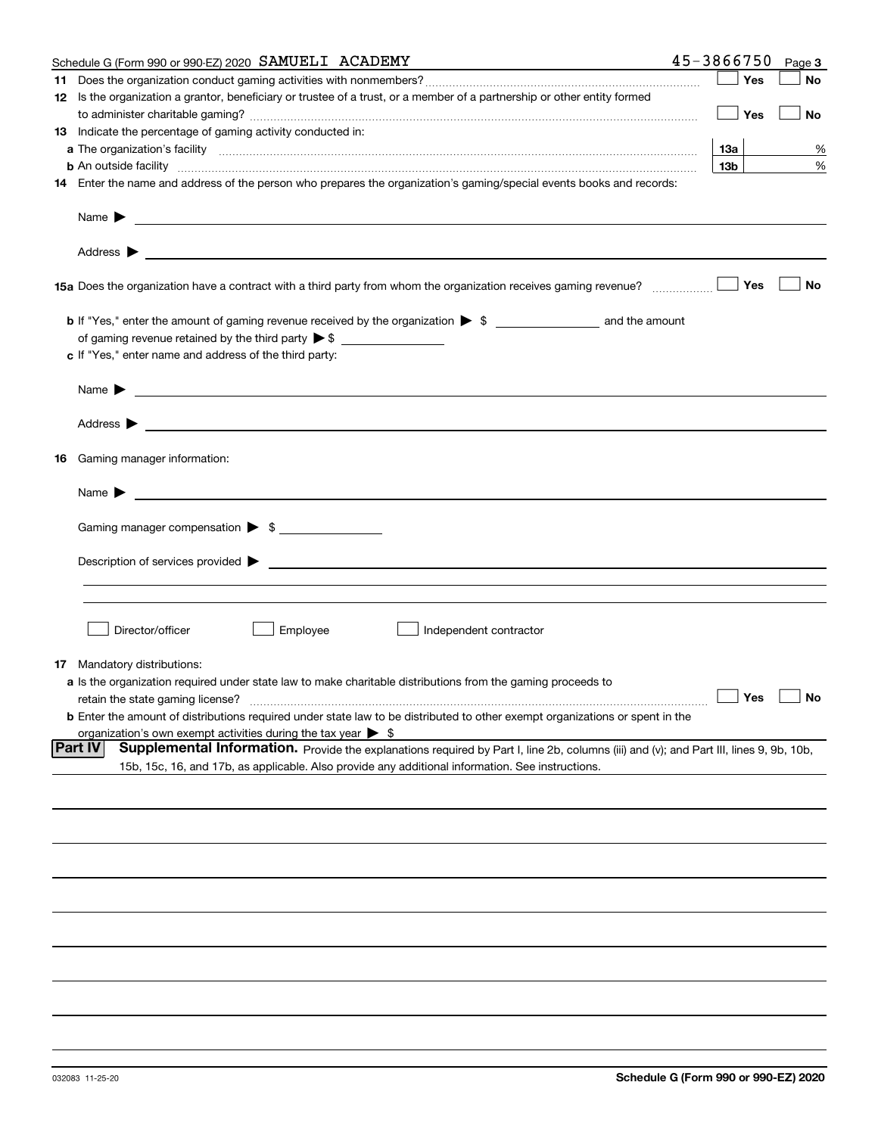|    | Schedule G (Form 990 or 990-EZ) 2020 SAMUELI ACADEMY                                                                                                                                                                                      | 45-3866750 |                 | Page 3               |
|----|-------------------------------------------------------------------------------------------------------------------------------------------------------------------------------------------------------------------------------------------|------------|-----------------|----------------------|
| 11 |                                                                                                                                                                                                                                           |            | Yes             | No                   |
|    | 12 Is the organization a grantor, beneficiary or trustee of a trust, or a member of a partnership or other entity formed                                                                                                                  |            |                 |                      |
|    |                                                                                                                                                                                                                                           |            | Yes             | No                   |
|    | 13 Indicate the percentage of gaming activity conducted in:                                                                                                                                                                               |            |                 |                      |
|    |                                                                                                                                                                                                                                           |            | <b>13a</b>      | %                    |
|    | <b>b</b> An outside facility <i>www.communically.communically.communically.communically.communically.communically.communically.communically.communically.communically.communically.communically.communically.communically.communicall</i> |            | 13 <sub>b</sub> | %                    |
|    | 14 Enter the name and address of the person who prepares the organization's gaming/special events books and records:                                                                                                                      |            |                 |                      |
|    | Name $\blacktriangleright$<br><u> 1989 - Johann Barbara, markazi bashkar mashrida ma'lumot oli</u>                                                                                                                                        |            |                 |                      |
|    |                                                                                                                                                                                                                                           |            |                 |                      |
|    |                                                                                                                                                                                                                                           |            | Yes             | No                   |
|    |                                                                                                                                                                                                                                           |            |                 |                      |
|    |                                                                                                                                                                                                                                           |            |                 |                      |
|    | c If "Yes," enter name and address of the third party:                                                                                                                                                                                    |            |                 |                      |
|    | Name $\blacktriangleright$                                                                                                                                                                                                                |            |                 |                      |
|    | Address $\blacktriangleright$                                                                                                                                                                                                             |            |                 |                      |
|    |                                                                                                                                                                                                                                           |            |                 |                      |
| 16 | Gaming manager information:                                                                                                                                                                                                               |            |                 |                      |
|    | Name $\blacktriangleright$                                                                                                                                                                                                                |            |                 |                      |
|    | Gaming manager compensation > \$                                                                                                                                                                                                          |            |                 |                      |
|    | $Description of services provided$ $\triangleright$                                                                                                                                                                                       |            |                 |                      |
|    |                                                                                                                                                                                                                                           |            |                 |                      |
|    |                                                                                                                                                                                                                                           |            |                 |                      |
|    | Director/officer<br>Employee<br>Independent contractor                                                                                                                                                                                    |            |                 |                      |
|    |                                                                                                                                                                                                                                           |            |                 |                      |
| 17 | Mandatory distributions:<br>a Is the organization required under state law to make charitable distributions from the gaming proceeds to                                                                                                   |            |                 |                      |
|    | retain the state gaming license?                                                                                                                                                                                                          |            |                 | $\Box$ Yes $\Box$ No |
|    | <b>b</b> Enter the amount of distributions required under state law to be distributed to other exempt organizations or spent in the                                                                                                       |            |                 |                      |
|    | organization's own exempt activities during the tax year $\triangleright$ \$                                                                                                                                                              |            |                 |                      |
|    | Part IV<br>Supplemental Information. Provide the explanations required by Part I, line 2b, columns (iii) and (v); and Part III, lines 9, 9b, 10b,                                                                                         |            |                 |                      |
|    | 15b, 15c, 16, and 17b, as applicable. Also provide any additional information. See instructions.                                                                                                                                          |            |                 |                      |
|    |                                                                                                                                                                                                                                           |            |                 |                      |
|    |                                                                                                                                                                                                                                           |            |                 |                      |
|    |                                                                                                                                                                                                                                           |            |                 |                      |
|    |                                                                                                                                                                                                                                           |            |                 |                      |
|    |                                                                                                                                                                                                                                           |            |                 |                      |
|    |                                                                                                                                                                                                                                           |            |                 |                      |
|    |                                                                                                                                                                                                                                           |            |                 |                      |
|    |                                                                                                                                                                                                                                           |            |                 |                      |
|    |                                                                                                                                                                                                                                           |            |                 |                      |
|    |                                                                                                                                                                                                                                           |            |                 |                      |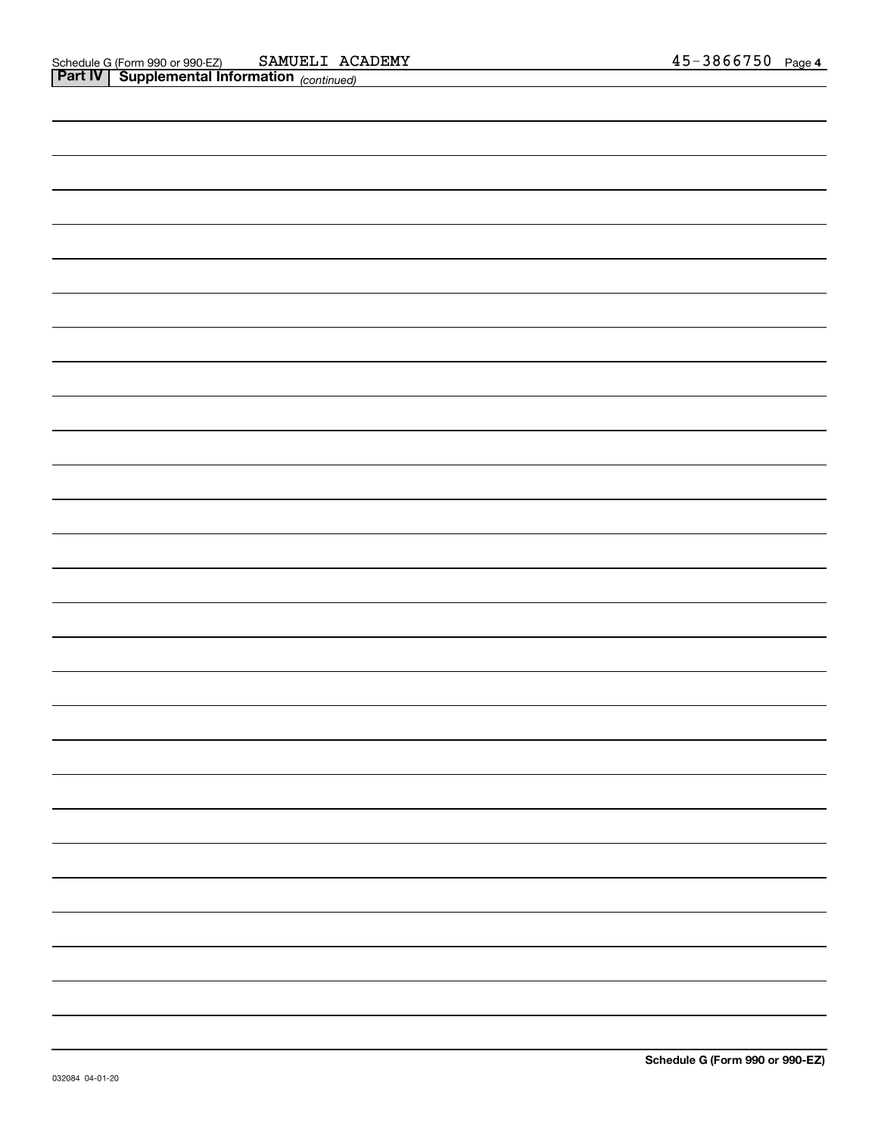| <b>Part IV</b> Supplemental Information (continued) |  |
|-----------------------------------------------------|--|
|                                                     |  |
|                                                     |  |
|                                                     |  |
|                                                     |  |
|                                                     |  |
|                                                     |  |
|                                                     |  |
|                                                     |  |
|                                                     |  |
|                                                     |  |
|                                                     |  |
|                                                     |  |
|                                                     |  |
|                                                     |  |
|                                                     |  |
|                                                     |  |
|                                                     |  |
|                                                     |  |
|                                                     |  |
|                                                     |  |
|                                                     |  |
|                                                     |  |
|                                                     |  |
|                                                     |  |
|                                                     |  |
|                                                     |  |
|                                                     |  |
|                                                     |  |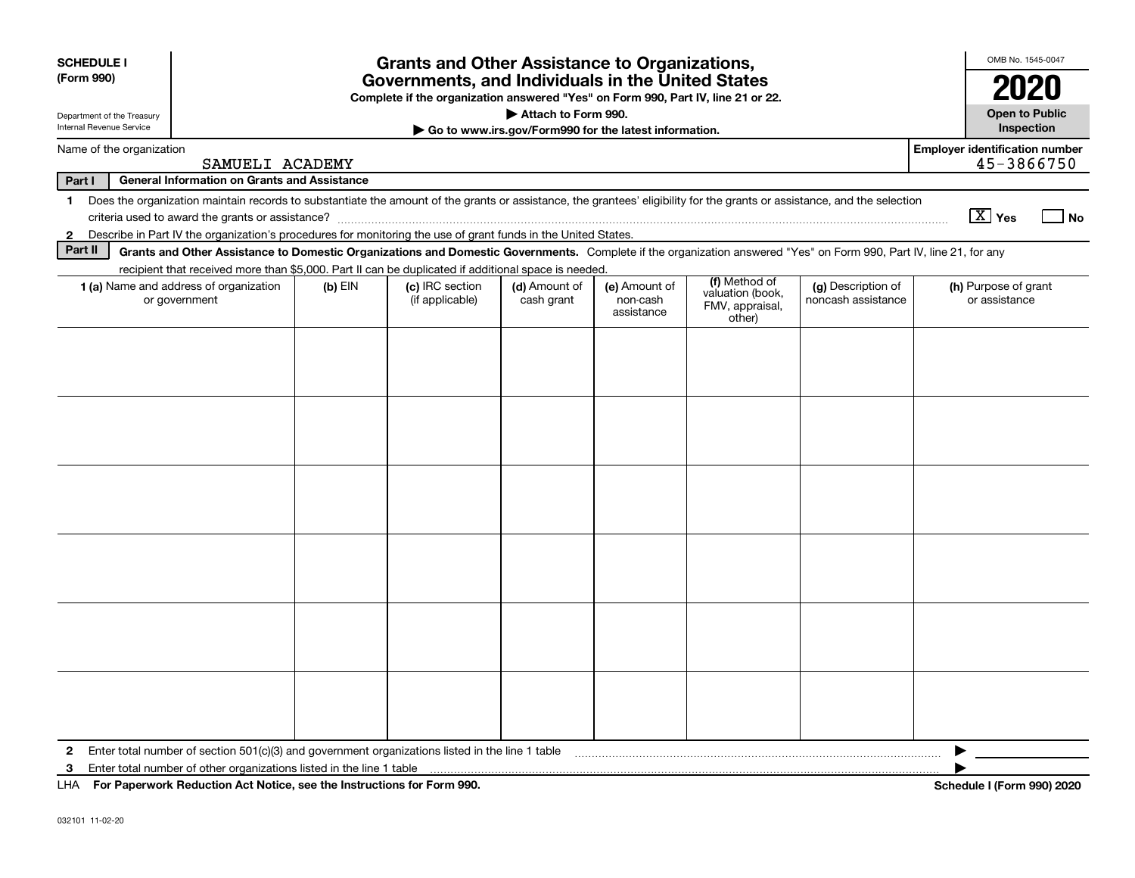| <b>SCHEDULE I</b><br>(Form 990)                        |                                                                                                                                                                                                                                                                           |           | <b>Grants and Other Assistance to Organizations,</b><br>Governments, and Individuals in the United States<br>Complete if the organization answered "Yes" on Form 990, Part IV, line 21 or 22. |                                                       |                                         |                                                                |                                          | OMB No. 1545-0047<br>2020                           |
|--------------------------------------------------------|---------------------------------------------------------------------------------------------------------------------------------------------------------------------------------------------------------------------------------------------------------------------------|-----------|-----------------------------------------------------------------------------------------------------------------------------------------------------------------------------------------------|-------------------------------------------------------|-----------------------------------------|----------------------------------------------------------------|------------------------------------------|-----------------------------------------------------|
| Department of the Treasury<br>Internal Revenue Service |                                                                                                                                                                                                                                                                           |           |                                                                                                                                                                                               | Attach to Form 990.                                   |                                         |                                                                |                                          | <b>Open to Public</b>                               |
| Name of the organization                               |                                                                                                                                                                                                                                                                           |           |                                                                                                                                                                                               | Go to www.irs.gov/Form990 for the latest information. |                                         |                                                                |                                          | Inspection<br><b>Employer identification number</b> |
|                                                        | SAMUELI ACADEMY                                                                                                                                                                                                                                                           |           |                                                                                                                                                                                               |                                                       |                                         |                                                                |                                          | 45-3866750                                          |
| Part I                                                 | <b>General Information on Grants and Assistance</b>                                                                                                                                                                                                                       |           |                                                                                                                                                                                               |                                                       |                                         |                                                                |                                          |                                                     |
|                                                        | 1 Does the organization maintain records to substantiate the amount of the grants or assistance, the grantees' eligibility for the grants or assistance, and the selection                                                                                                |           |                                                                                                                                                                                               |                                                       |                                         |                                                                |                                          | $\boxed{\text{X}}$ Yes<br>_l No                     |
| $\mathbf{2}$<br>Part II                                | Describe in Part IV the organization's procedures for monitoring the use of grant funds in the United States.                                                                                                                                                             |           |                                                                                                                                                                                               |                                                       |                                         |                                                                |                                          |                                                     |
|                                                        | Grants and Other Assistance to Domestic Organizations and Domestic Governments. Complete if the organization answered "Yes" on Form 990, Part IV, line 21, for any<br>recipient that received more than \$5,000. Part II can be duplicated if additional space is needed. |           |                                                                                                                                                                                               |                                                       |                                         |                                                                |                                          |                                                     |
|                                                        | 1 (a) Name and address of organization<br>or government                                                                                                                                                                                                                   | $(b)$ EIN | (c) IRC section<br>(if applicable)                                                                                                                                                            | (d) Amount of<br>cash grant                           | (e) Amount of<br>non-cash<br>assistance | (f) Method of<br>valuation (book,<br>FMV, appraisal,<br>other) | (g) Description of<br>noncash assistance | (h) Purpose of grant<br>or assistance               |
|                                                        |                                                                                                                                                                                                                                                                           |           |                                                                                                                                                                                               |                                                       |                                         |                                                                |                                          |                                                     |
|                                                        |                                                                                                                                                                                                                                                                           |           |                                                                                                                                                                                               |                                                       |                                         |                                                                |                                          |                                                     |
|                                                        |                                                                                                                                                                                                                                                                           |           |                                                                                                                                                                                               |                                                       |                                         |                                                                |                                          |                                                     |
|                                                        |                                                                                                                                                                                                                                                                           |           |                                                                                                                                                                                               |                                                       |                                         |                                                                |                                          |                                                     |
|                                                        |                                                                                                                                                                                                                                                                           |           |                                                                                                                                                                                               |                                                       |                                         |                                                                |                                          |                                                     |
|                                                        |                                                                                                                                                                                                                                                                           |           |                                                                                                                                                                                               |                                                       |                                         |                                                                |                                          |                                                     |
| $\mathbf{2}$                                           | Enter total number of section 501(c)(3) and government organizations listed in the line 1 table                                                                                                                                                                           |           |                                                                                                                                                                                               |                                                       |                                         |                                                                |                                          |                                                     |
| 3                                                      | Enter total number of other organizations listed in the line 1 table                                                                                                                                                                                                      |           |                                                                                                                                                                                               |                                                       |                                         |                                                                |                                          |                                                     |
|                                                        | LHA For Paperwork Reduction Act Notice, see the Instructions for Form 990.                                                                                                                                                                                                |           |                                                                                                                                                                                               |                                                       |                                         |                                                                |                                          | <b>Schedule I (Form 990) 2020</b>                   |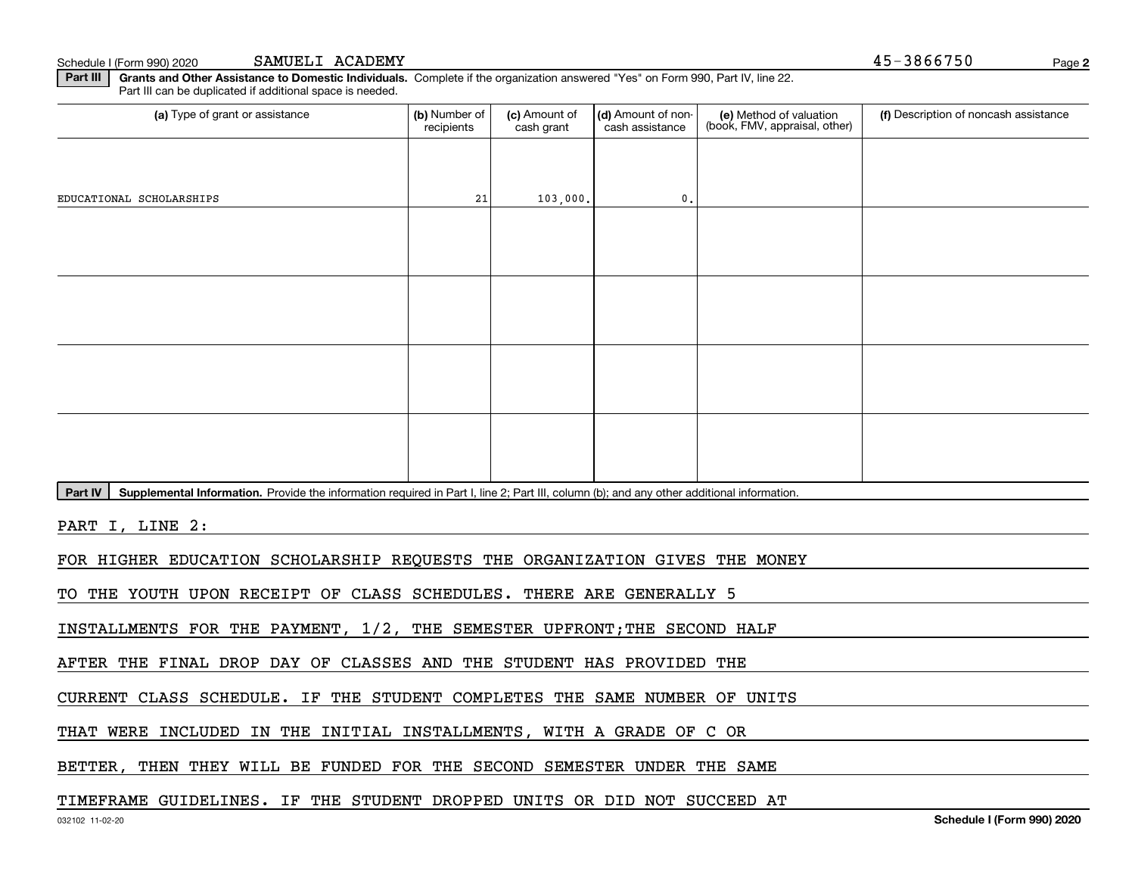Schedule I (Form 990) 2020 SAMUELI ACADEMY **Page 12 and 2010** 1 and 2012 1 and 2012 1 and 2012 1 and 2013 1 and 201 SAMUELI ACADEMY

**2**

**Part III | Grants and Other Assistance to Domestic Individuals. Complete if the organization answered "Yes" on Form 990, Part IV, line 22.** Part III can be duplicated if additional space is needed.

| (a) Type of grant or assistance                                                                                                                      | (b) Number of<br>recipients | (c) Amount of<br>cash grant | (d) Amount of non-<br>cash assistance | (e) Method of valuation<br>(book, FMV, appraisal, other) | (f) Description of noncash assistance |
|------------------------------------------------------------------------------------------------------------------------------------------------------|-----------------------------|-----------------------------|---------------------------------------|----------------------------------------------------------|---------------------------------------|
|                                                                                                                                                      |                             |                             |                                       |                                                          |                                       |
| EDUCATIONAL SCHOLARSHIPS                                                                                                                             | 21                          | 103,000.                    | $\mathbf 0$ .                         |                                                          |                                       |
|                                                                                                                                                      |                             |                             |                                       |                                                          |                                       |
|                                                                                                                                                      |                             |                             |                                       |                                                          |                                       |
|                                                                                                                                                      |                             |                             |                                       |                                                          |                                       |
|                                                                                                                                                      |                             |                             |                                       |                                                          |                                       |
|                                                                                                                                                      |                             |                             |                                       |                                                          |                                       |
|                                                                                                                                                      |                             |                             |                                       |                                                          |                                       |
|                                                                                                                                                      |                             |                             |                                       |                                                          |                                       |
|                                                                                                                                                      |                             |                             |                                       |                                                          |                                       |
| Part IV<br>Supplemental Information. Provide the information required in Part I, line 2; Part III, column (b); and any other additional information. |                             |                             |                                       |                                                          |                                       |
|                                                                                                                                                      |                             |                             |                                       |                                                          |                                       |

PART I, LINE 2:

FOR HIGHER EDUCATION SCHOLARSHIP REQUESTS THE ORGANIZATION GIVES THE MONEY

TO THE YOUTH UPON RECEIPT OF CLASS SCHEDULES. THERE ARE GENERALLY 5

INSTALLMENTS FOR THE PAYMENT, 1/2, THE SEMESTER UPFRONT;THE SECOND HALF

AFTER THE FINAL DROP DAY OF CLASSES AND THE STUDENT HAS PROVIDED THE

CURRENT CLASS SCHEDULE. IF THE STUDENT COMPLETES THE SAME NUMBER OF UNITS

THAT WERE INCLUDED IN THE INITIAL INSTALLMENTS, WITH A GRADE OF C OR

BETTER, THEN THEY WILL BE FUNDED FOR THE SECOND SEMESTER UNDER THE SAME

#### TIMEFRAME GUIDELINES. IF THE STUDENT DROPPED UNITS OR DID NOT SUCCEED AT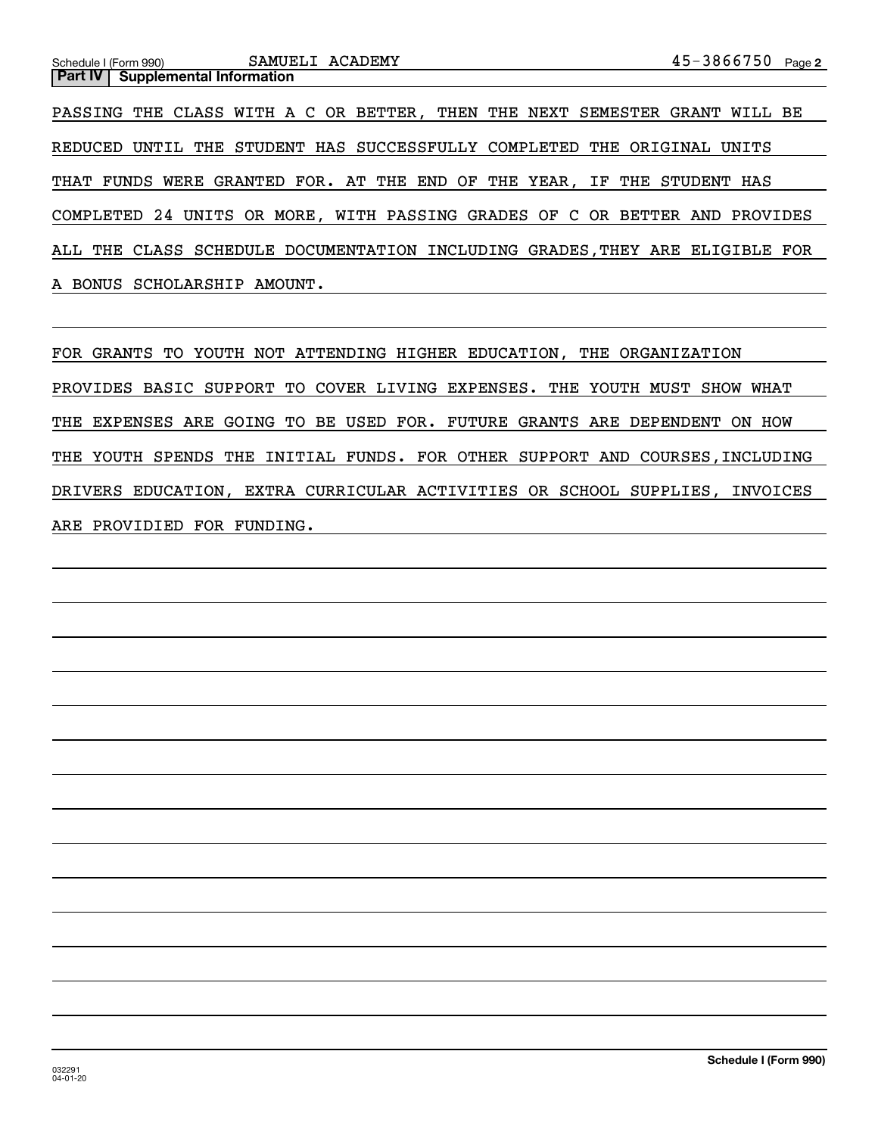## **2**Schedule I (Form 990) Page **Part IV** Supplemental Information PASSING THE CLASS WITH A C OR BETTER, THEN THE NEXT SEMESTER GRANT WILL BE REDUCED UNTIL THE STUDENT HAS SUCCESSFULLY COMPLETED THE ORIGINAL UNITS THAT FUNDS WERE GRANTED FOR. AT THE END OF THE YEAR, IF THE STUDENT HAS COMPLETED 24 UNITS OR MORE, WITH PASSING GRADES OF C OR BETTER AND PROVIDES ALL THE CLASS SCHEDULE DOCUMENTATION INCLUDING GRADES,THEY ARE ELIGIBLE FOR A BONUS SCHOLARSHIP AMOUNT. SAMUELI ACADEMY

FOR GRANTS TO YOUTH NOT ATTENDING HIGHER EDUCATION, THE ORGANIZATION PROVIDES BASIC SUPPORT TO COVER LIVING EXPENSES. THE YOUTH MUST SHOW WHAT THE EXPENSES ARE GOING TO BE USED FOR. FUTURE GRANTS ARE DEPENDENT ON HOW THE YOUTH SPENDS THE INITIAL FUNDS. FOR OTHER SUPPORT AND COURSES,INCLUDING DRIVERS EDUCATION, EXTRA CURRICULAR ACTIVITIES OR SCHOOL SUPPLIES, INVOICES ARE PROVIDIED FOR FUNDING.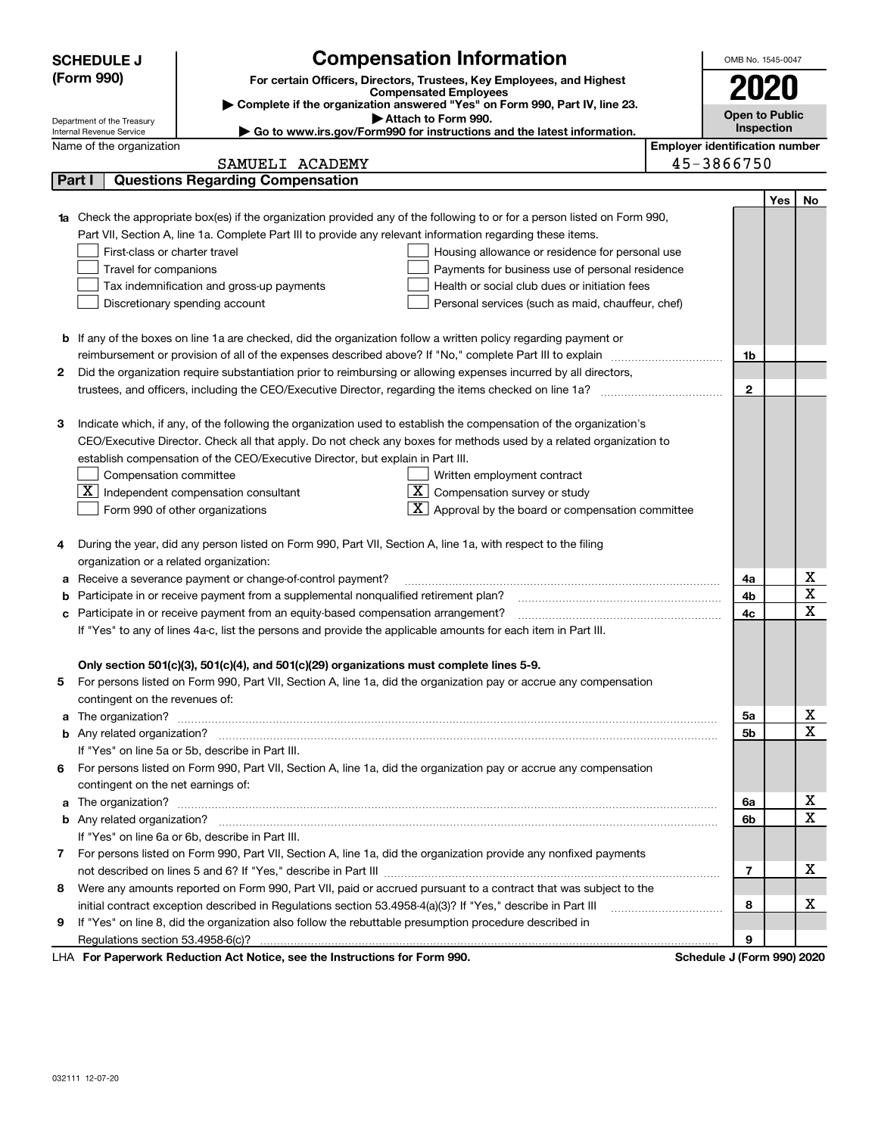|            | <b>SCHEDULE J</b>                                      | <b>Compensation Information</b>                                                                                                                                                                                                      |                                       | OMB No. 1545-0047          |                   |             |
|------------|--------------------------------------------------------|--------------------------------------------------------------------------------------------------------------------------------------------------------------------------------------------------------------------------------------|---------------------------------------|----------------------------|-------------------|-------------|
| (Form 990) |                                                        | For certain Officers, Directors, Trustees, Key Employees, and Highest                                                                                                                                                                | 2020                                  |                            |                   |             |
|            |                                                        | <b>Compensated Employees</b>                                                                                                                                                                                                         |                                       |                            |                   |             |
|            |                                                        | Complete if the organization answered "Yes" on Form 990, Part IV, line 23.<br>Attach to Form 990.                                                                                                                                    |                                       | <b>Open to Public</b>      |                   |             |
|            | Department of the Treasury<br>Internal Revenue Service | ► Go to www.irs.gov/Form990 for instructions and the latest information.                                                                                                                                                             |                                       |                            | <b>Inspection</b> |             |
|            | Name of the organization                               |                                                                                                                                                                                                                                      | <b>Employer identification number</b> |                            |                   |             |
|            |                                                        | SAMUELI ACADEMY                                                                                                                                                                                                                      |                                       | 45-3866750                 |                   |             |
|            | Part I                                                 | <b>Questions Regarding Compensation</b>                                                                                                                                                                                              |                                       |                            |                   |             |
|            |                                                        |                                                                                                                                                                                                                                      |                                       |                            | Yes               | No          |
| 1a         |                                                        | Check the appropriate box(es) if the organization provided any of the following to or for a person listed on Form 990,                                                                                                               |                                       |                            |                   |             |
|            |                                                        | Part VII, Section A, line 1a. Complete Part III to provide any relevant information regarding these items.                                                                                                                           |                                       |                            |                   |             |
|            | First-class or charter travel                          | Housing allowance or residence for personal use                                                                                                                                                                                      |                                       |                            |                   |             |
|            | Travel for companions                                  | Payments for business use of personal residence                                                                                                                                                                                      |                                       |                            |                   |             |
|            |                                                        | Health or social club dues or initiation fees<br>Tax indemnification and gross-up payments                                                                                                                                           |                                       |                            |                   |             |
|            |                                                        | Discretionary spending account<br>Personal services (such as maid, chauffeur, chef)                                                                                                                                                  |                                       |                            |                   |             |
|            |                                                        |                                                                                                                                                                                                                                      |                                       |                            |                   |             |
|            |                                                        | <b>b</b> If any of the boxes on line 1a are checked, did the organization follow a written policy regarding payment or                                                                                                               |                                       |                            |                   |             |
|            |                                                        |                                                                                                                                                                                                                                      |                                       | 1b                         |                   |             |
| 2          |                                                        | Did the organization require substantiation prior to reimbursing or allowing expenses incurred by all directors,                                                                                                                     |                                       |                            |                   |             |
|            |                                                        |                                                                                                                                                                                                                                      |                                       | $\mathbf{2}$               |                   |             |
|            |                                                        |                                                                                                                                                                                                                                      |                                       |                            |                   |             |
| з          |                                                        | Indicate which, if any, of the following the organization used to establish the compensation of the organization's                                                                                                                   |                                       |                            |                   |             |
|            |                                                        | CEO/Executive Director. Check all that apply. Do not check any boxes for methods used by a related organization to                                                                                                                   |                                       |                            |                   |             |
|            |                                                        | establish compensation of the CEO/Executive Director, but explain in Part III.                                                                                                                                                       |                                       |                            |                   |             |
|            | Compensation committee                                 | Written employment contract                                                                                                                                                                                                          |                                       |                            |                   |             |
|            |                                                        | $X$ Independent compensation consultant<br>$ \mathbf{X} $ Compensation survey or study                                                                                                                                               |                                       |                            |                   |             |
|            |                                                        | $ \mathbf{X} $ Approval by the board or compensation committee<br>Form 990 of other organizations                                                                                                                                    |                                       |                            |                   |             |
|            |                                                        |                                                                                                                                                                                                                                      |                                       |                            |                   |             |
| 4          |                                                        | During the year, did any person listed on Form 990, Part VII, Section A, line 1a, with respect to the filing                                                                                                                         |                                       |                            |                   |             |
|            | organization or a related organization:                |                                                                                                                                                                                                                                      |                                       |                            |                   |             |
| а          |                                                        | Receive a severance payment or change-of-control payment?                                                                                                                                                                            |                                       | 4a                         |                   | х           |
| b          |                                                        | Participate in or receive payment from a supplemental nonqualified retirement plan?                                                                                                                                                  |                                       | 4b                         |                   | X           |
| с          |                                                        | Participate in or receive payment from an equity-based compensation arrangement?                                                                                                                                                     |                                       | 4с                         |                   | $\mathbf x$ |
|            |                                                        | If "Yes" to any of lines 4a-c, list the persons and provide the applicable amounts for each item in Part III.                                                                                                                        |                                       |                            |                   |             |
|            |                                                        |                                                                                                                                                                                                                                      |                                       |                            |                   |             |
|            |                                                        | Only section 501(c)(3), 501(c)(4), and 501(c)(29) organizations must complete lines 5-9.                                                                                                                                             |                                       |                            |                   |             |
|            |                                                        | For persons listed on Form 990, Part VII, Section A, line 1a, did the organization pay or accrue any compensation                                                                                                                    |                                       |                            |                   |             |
|            | contingent on the revenues of:                         |                                                                                                                                                                                                                                      |                                       |                            |                   |             |
| a          |                                                        | The organization? <b>With the contract of the contract of the contract of the contract of the contract of the contract of the contract of the contract of the contract of the contract of the contract of the contract of the co</b> |                                       | 5a                         |                   | х           |
|            |                                                        |                                                                                                                                                                                                                                      |                                       | 5b                         |                   | $\mathbf x$ |
|            |                                                        | If "Yes" on line 5a or 5b, describe in Part III.                                                                                                                                                                                     |                                       |                            |                   |             |
| 6          |                                                        | For persons listed on Form 990, Part VII, Section A, line 1a, did the organization pay or accrue any compensation                                                                                                                    |                                       |                            |                   |             |
|            | contingent on the net earnings of:                     |                                                                                                                                                                                                                                      |                                       |                            |                   |             |
| a          |                                                        | The organization? <b>With the organization</b> ? <b>With the organization with the organization? With the organization?</b>                                                                                                          |                                       | 6a                         |                   | х           |
|            |                                                        |                                                                                                                                                                                                                                      |                                       | 6b                         |                   | $\mathbf X$ |
|            |                                                        | If "Yes" on line 6a or 6b, describe in Part III.                                                                                                                                                                                     |                                       |                            |                   |             |
| 7          |                                                        | For persons listed on Form 990, Part VII, Section A, line 1a, did the organization provide any nonfixed payments                                                                                                                     |                                       |                            |                   |             |
|            |                                                        |                                                                                                                                                                                                                                      |                                       | $\overline{\phantom{a}}$   |                   | x           |
| 8          |                                                        | Were any amounts reported on Form 990, Part VII, paid or accrued pursuant to a contract that was subject to the                                                                                                                      |                                       |                            |                   |             |
|            |                                                        | initial contract exception described in Regulations section 53.4958-4(a)(3)? If "Yes," describe in Part III                                                                                                                          |                                       | 8                          |                   | х           |
| 9          |                                                        | If "Yes" on line 8, did the organization also follow the rebuttable presumption procedure described in                                                                                                                               |                                       |                            |                   |             |
|            |                                                        |                                                                                                                                                                                                                                      |                                       | 9                          |                   |             |
|            |                                                        | converte Deduction Act Nation, and the Instructions for Form 000                                                                                                                                                                     |                                       | Cahadula, LIEaum 0001,0000 |                   |             |

LHA For Paperwork Reduction Act Notice, see the Instructions for Form 990. Schedule J (Form 990) 2020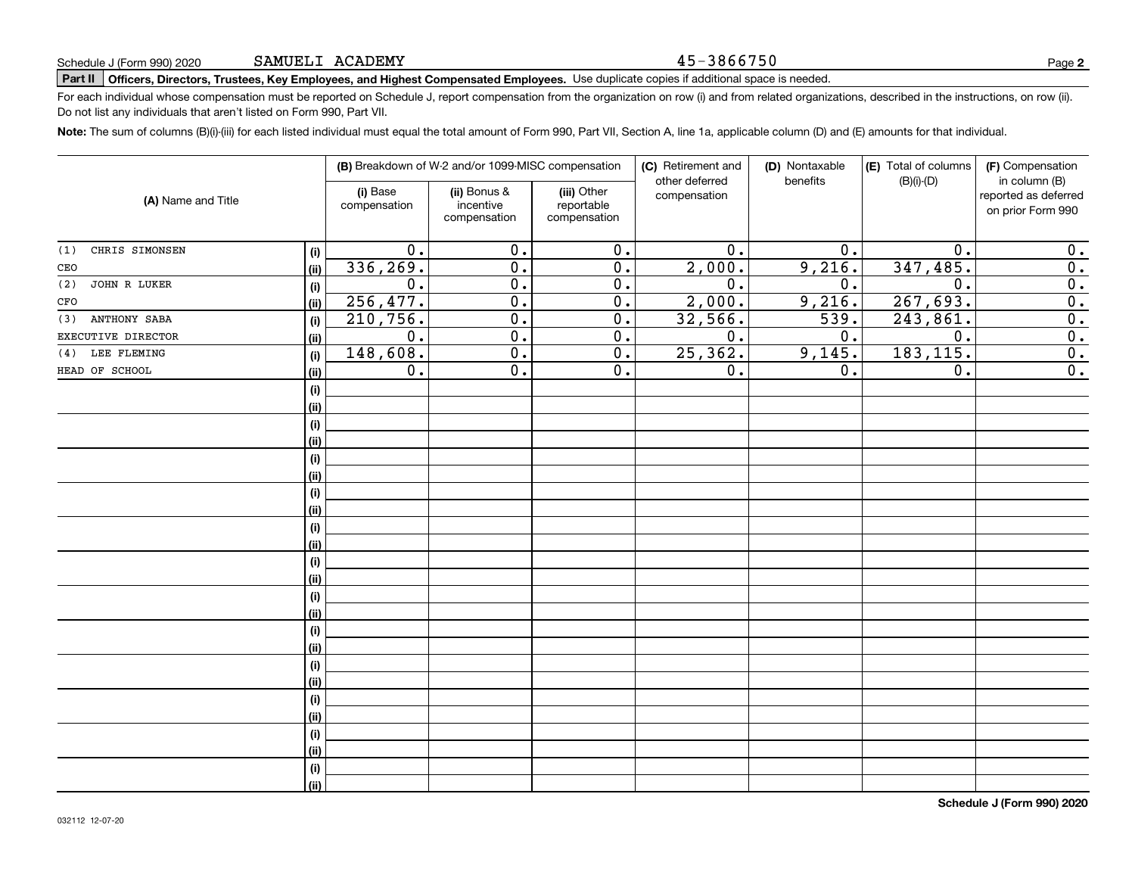#### 45-3866750

**2**

# **Part II Officers, Directors, Trustees, Key Employees, and Highest Compensated Employees.**  Schedule J (Form 990) 2020 Page Use duplicate copies if additional space is needed.

For each individual whose compensation must be reported on Schedule J, report compensation from the organization on row (i) and from related organizations, described in the instructions, on row (ii). Do not list any individuals that aren't listed on Form 990, Part VII.

**Note:**  The sum of columns (B)(i)-(iii) for each listed individual must equal the total amount of Form 990, Part VII, Section A, line 1a, applicable column (D) and (E) amounts for that individual.

|                        |      |                          | (B) Breakdown of W-2 and/or 1099-MISC compensation |                                           | (C) Retirement and<br>other deferred | (D) Nontaxable<br>benefits | (E) Total of columns | (F) Compensation<br>in column (B)         |
|------------------------|------|--------------------------|----------------------------------------------------|-------------------------------------------|--------------------------------------|----------------------------|----------------------|-------------------------------------------|
| (A) Name and Title     |      | (i) Base<br>compensation | (ii) Bonus &<br>incentive<br>compensation          | (iii) Other<br>reportable<br>compensation | compensation                         |                            | $(B)(i)-(D)$         | reported as deferred<br>on prior Form 990 |
| CHRIS SIMONSEN<br>(1)  | (i)  | 0.                       | 0.                                                 | $\overline{0}$ .                          | 0.                                   | $\mathbf 0$ .              | 0.                   | 0.                                        |
| CEO                    | (ii) | 336,269.                 | $\overline{0}$ .                                   | $\overline{0}$ .                          | 2,000.                               | 9,216.                     | 347,485.             | $\overline{\mathbf{0}}$ .                 |
| JOHN R LUKER<br>(2)    | (i)  | 0.                       | $\overline{0}$ .                                   | $\overline{0}$ .                          | 0.                                   | 0.                         | 0.                   | $\overline{0}$ .                          |
| $_{\mbox{\small CFO}}$ | (ii) | 256, 477.                | $\overline{0}$ .                                   | $\overline{0}$ .                          | 2,000.                               | 9,216.                     | 267,693.             | $\overline{0}$ .                          |
| ANTHONY SABA<br>(3)    | (i)  | 210, 756.                | $\overline{0}$ .                                   | $\overline{0}$ .                          | 32,566.                              | 539.                       | 243,861.             | $\overline{\mathbf{0}}$ .                 |
| EXECUTIVE DIRECTOR     | (ii) | $\overline{0}$ .         | $\overline{0}$ .                                   | $\overline{0}$ .                          | $\overline{0}$ .                     | 0.                         | $\overline{0}$ .     | $\overline{\mathbf{0}}$ .                 |
| LEE FLEMING<br>(4)     | (i)  | 148,608.                 | $\overline{0}$ .                                   | $\overline{0}$ .                          | 25, 362.                             | 9,145.                     | 183, 115.            | $\overline{\mathbf{0}}$ .                 |
| HEAD OF SCHOOL         | (ii) | 0.                       | $\overline{0}$ .                                   | 0.                                        | 0.                                   | 0.                         | 0.                   | $\overline{\mathbf{0}}$ .                 |
|                        | (i)  |                          |                                                    |                                           |                                      |                            |                      |                                           |
|                        | (ii) |                          |                                                    |                                           |                                      |                            |                      |                                           |
|                        | (i)  |                          |                                                    |                                           |                                      |                            |                      |                                           |
|                        | (ii) |                          |                                                    |                                           |                                      |                            |                      |                                           |
|                        | (i)  |                          |                                                    |                                           |                                      |                            |                      |                                           |
|                        | (ii) |                          |                                                    |                                           |                                      |                            |                      |                                           |
|                        | (i)  |                          |                                                    |                                           |                                      |                            |                      |                                           |
|                        | (ii) |                          |                                                    |                                           |                                      |                            |                      |                                           |
|                        | (i)  |                          |                                                    |                                           |                                      |                            |                      |                                           |
|                        | (ii) |                          |                                                    |                                           |                                      |                            |                      |                                           |
|                        | (i)  |                          |                                                    |                                           |                                      |                            |                      |                                           |
|                        | (ii) |                          |                                                    |                                           |                                      |                            |                      |                                           |
|                        | (i)  |                          |                                                    |                                           |                                      |                            |                      |                                           |
|                        | (ii) |                          |                                                    |                                           |                                      |                            |                      |                                           |
|                        | (i)  |                          |                                                    |                                           |                                      |                            |                      |                                           |
|                        | (ii) |                          |                                                    |                                           |                                      |                            |                      |                                           |
|                        | (i)  |                          |                                                    |                                           |                                      |                            |                      |                                           |
|                        | (ii) |                          |                                                    |                                           |                                      |                            |                      |                                           |
|                        | (i)  |                          |                                                    |                                           |                                      |                            |                      |                                           |
|                        | (ii) |                          |                                                    |                                           |                                      |                            |                      |                                           |
|                        | (i)  |                          |                                                    |                                           |                                      |                            |                      |                                           |
|                        | (ii) |                          |                                                    |                                           |                                      |                            |                      |                                           |
|                        | (i)  |                          |                                                    |                                           |                                      |                            |                      |                                           |
|                        | (ii) |                          |                                                    |                                           |                                      |                            |                      |                                           |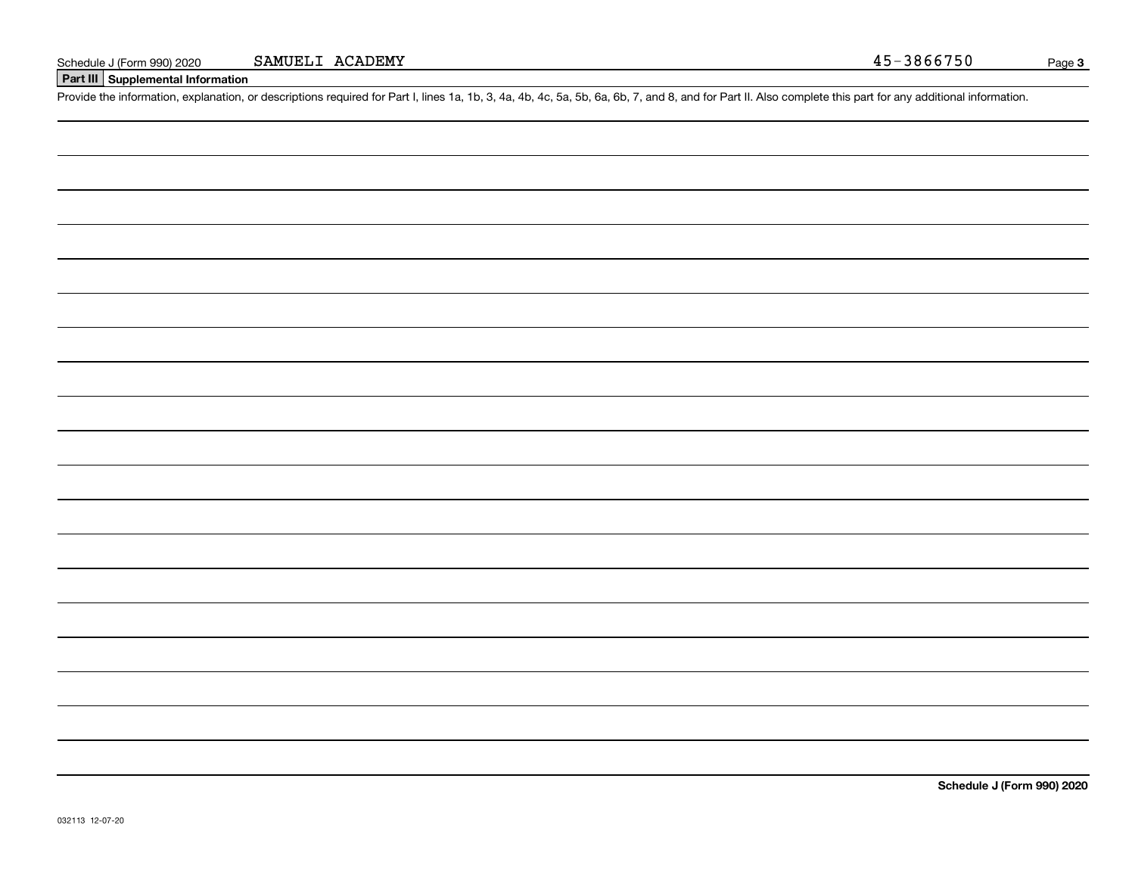#### **Part III Supplemental Information**

Schedule J (Form 990) 2020 **SAMUELI ACADEMY** 45-3866750<br>**Part III** Supplemental Information<br>Provide the information, explanation, or descriptions required for Part I, lines 1a, 1b, 3, 4a, 4b, 4c, 5a, 5b, 6a, 6b, 7, and 8,

**Schedule J (Form 990) 2020**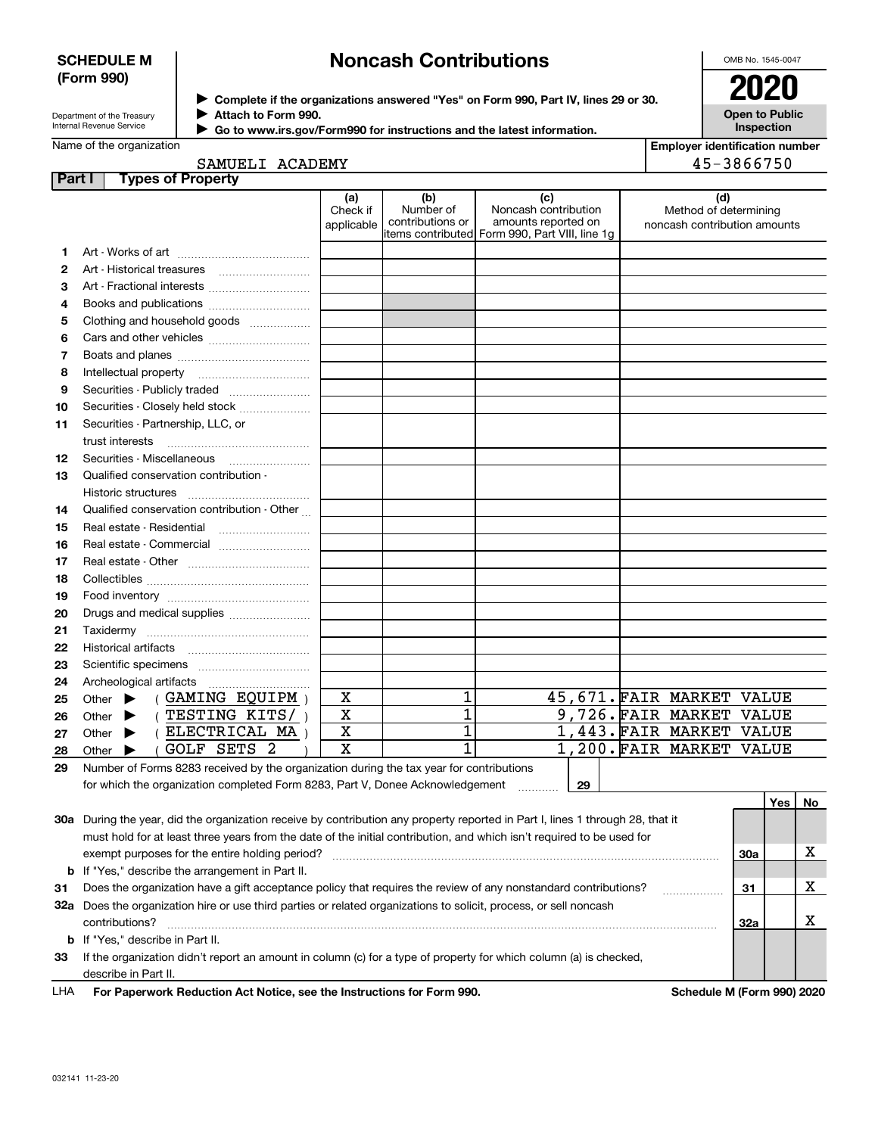#### **SCHEDULE M (Form 990)**

### **Noncash Contributions**

OMB No. 1545-0047

Department of the Treasury Internal Revenue Service

Name of the organization

**Complete if the organizations answered "Yes" on Form 990, Part IV, lines 29 or 30.** <sup>J</sup>**2020 Attach to Form 990.** J

 **Go to www.irs.gov/Form990 for instructions and the latest information.** J

**Open to Public Inspection**

| <b>Employer identification number</b> |
|---------------------------------------|
| 45-3866750                            |

| Part I       | <b>Types of Property</b>                                                                |                               |                                      |                                                                                                      |                                                              |
|--------------|-----------------------------------------------------------------------------------------|-------------------------------|--------------------------------------|------------------------------------------------------------------------------------------------------|--------------------------------------------------------------|
|              |                                                                                         | (a)<br>Check if<br>applicable | (b)<br>Number of<br>contributions or | (c)<br>Noncash contribution<br>amounts reported on<br>items contributed Form 990, Part VIII, line 1g | (d)<br>Method of determining<br>noncash contribution amounts |
| 1.           |                                                                                         |                               |                                      |                                                                                                      |                                                              |
| $\mathbf{2}$ |                                                                                         |                               |                                      |                                                                                                      |                                                              |
| з            | Art - Fractional interests                                                              |                               |                                      |                                                                                                      |                                                              |
| 4            |                                                                                         |                               |                                      |                                                                                                      |                                                              |
| 5            | Clothing and household goods                                                            |                               |                                      |                                                                                                      |                                                              |
| 6            |                                                                                         |                               |                                      |                                                                                                      |                                                              |
| 7            |                                                                                         |                               |                                      |                                                                                                      |                                                              |
| 8            | Intellectual property                                                                   |                               |                                      |                                                                                                      |                                                              |
| 9            | Securities - Publicly traded                                                            |                               |                                      |                                                                                                      |                                                              |
| 10           | Securities - Closely held stock                                                         |                               |                                      |                                                                                                      |                                                              |
| 11           | Securities - Partnership, LLC, or                                                       |                               |                                      |                                                                                                      |                                                              |
|              | trust interests                                                                         |                               |                                      |                                                                                                      |                                                              |
| 12           | Securities - Miscellaneous                                                              |                               |                                      |                                                                                                      |                                                              |
| 13           | Qualified conservation contribution -                                                   |                               |                                      |                                                                                                      |                                                              |
|              | Historic structures                                                                     |                               |                                      |                                                                                                      |                                                              |
| 14           | Qualified conservation contribution - Other                                             |                               |                                      |                                                                                                      |                                                              |
| 15           | Real estate - Residential                                                               |                               |                                      |                                                                                                      |                                                              |
| 16           |                                                                                         |                               |                                      |                                                                                                      |                                                              |
| 17           |                                                                                         |                               |                                      |                                                                                                      |                                                              |
| 18           |                                                                                         |                               |                                      |                                                                                                      |                                                              |
| 19           |                                                                                         |                               |                                      |                                                                                                      |                                                              |
| 20           | Drugs and medical supplies                                                              |                               |                                      |                                                                                                      |                                                              |
| 21           |                                                                                         |                               |                                      |                                                                                                      |                                                              |
| 22           |                                                                                         |                               |                                      |                                                                                                      |                                                              |
| 23           |                                                                                         |                               |                                      |                                                                                                      |                                                              |
| 24           |                                                                                         |                               |                                      |                                                                                                      |                                                              |
| 25           | (GAMING EQUIPM)<br>Other $\blacktriangleright$                                          | X                             | 1                                    |                                                                                                      | 45,671.FAIR MARKET<br>VALUE                                  |
| 26           | (TESTING KITS/)<br>Other $\blacktriangleright$                                          | $\mathbf X$                   | $\overline{1}$                       |                                                                                                      | 9,726. FAIR MARKET VALUE                                     |
| 27           | ( ELECTRICAL MA )<br>Other $\blacktriangleright$                                        | X                             | 1                                    |                                                                                                      | 1,443. FAIR MARKET VALUE                                     |
| 28           | <b>GOLF SETS 2</b><br>Other $\blacktriangleright$                                       | $\overline{\mathbf{x}}$       | $\overline{1}$                       |                                                                                                      | 1,200. FAIR MARKET VALUE                                     |
| 29           | Number of Forms 8283 received by the organization during the tax year for contributions |                               |                                      |                                                                                                      |                                                              |

**29Yes No 30a** During the year, did the organization receive by contribution any property reported in Part I, lines 1 through 28, that it **3132a** Does the organization hire or use third parties or related organizations to solicit, process, or sell noncash **33**If the organization didn't report an amount in column (c) for a type of property for which column (a) is checked, **b** If "Yes," describe the arrangement in Part II. **30a3132a b**If "Yes," describe in Part II. for which the organization completed Form 8283, Part V, Donee Acknowledgement ............. must hold for at least three years from the date of the initial contribution, and which isn't required to be used for exempt purposes for the entire holding period? ~~~~~~~~~~~~~~~~~~~~~~~~~~~~~~~~~~~~~~ Does the organization have a gift acceptance policy that requires the review of any nonstandard contributions? ~~~~~~contributions? ~~~~~~~~~~~~~~~~~~~~~~~~~~~~~~~~~~~~~~~~~~~~~~~~~~~~~~ describe in Part II. X X X

| LHA | For Paperwork Reduction Act Notice, see the Instructions for Form 990. |  |  |  |  |
|-----|------------------------------------------------------------------------|--|--|--|--|
|-----|------------------------------------------------------------------------|--|--|--|--|

**Schedule M (Form 990) 2020**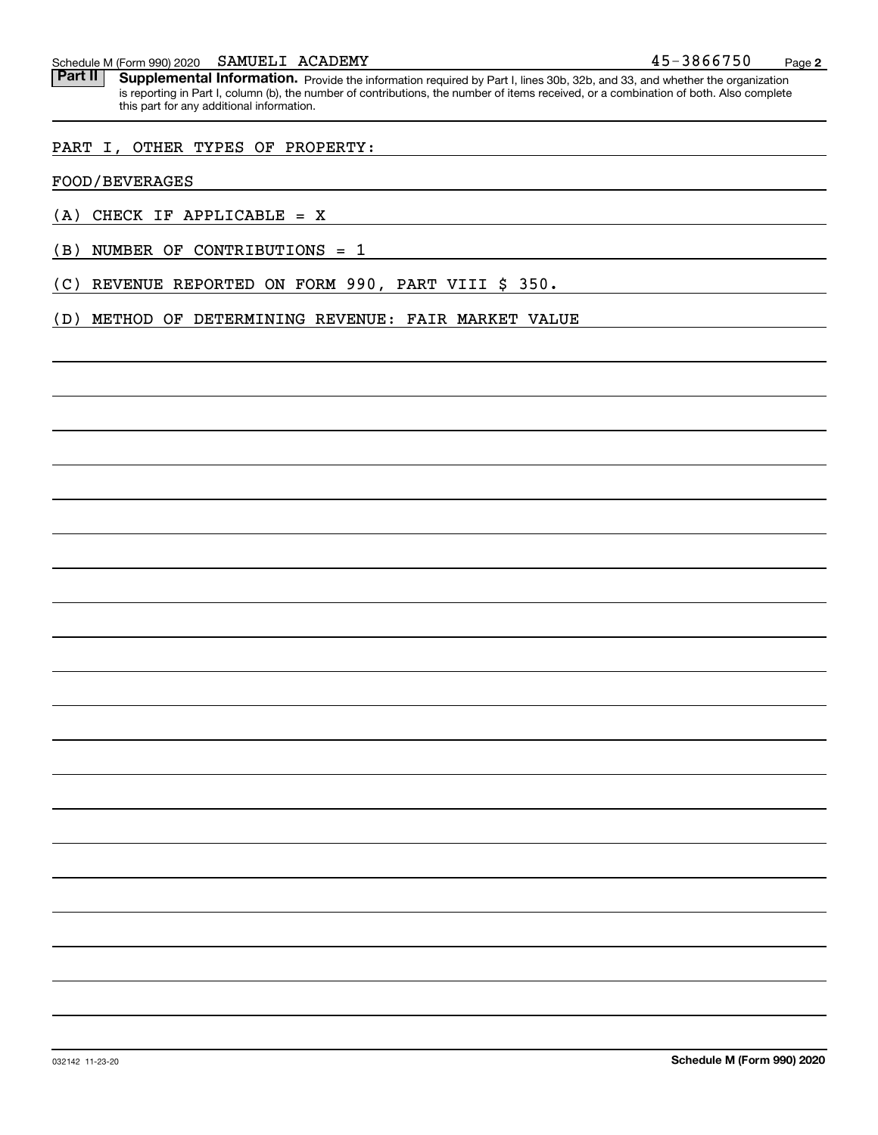Part II | Supplemental Information. Provide the information required by Part I, lines 30b, 32b, and 33, and whether the organization is reporting in Part I, column (b), the number of contributions, the number of items received, or a combination of both. Also complete this part for any additional information.

#### PART I, OTHER TYPES OF PROPERTY:

#### FOOD/BEVERAGES

- (A) CHECK IF APPLICABLE = X
- (B) NUMBER OF CONTRIBUTIONS = 1

(C) REVENUE REPORTED ON FORM 990, PART VIII \$ 350.

(D) METHOD OF DETERMINING REVENUE: FAIR MARKET VALUE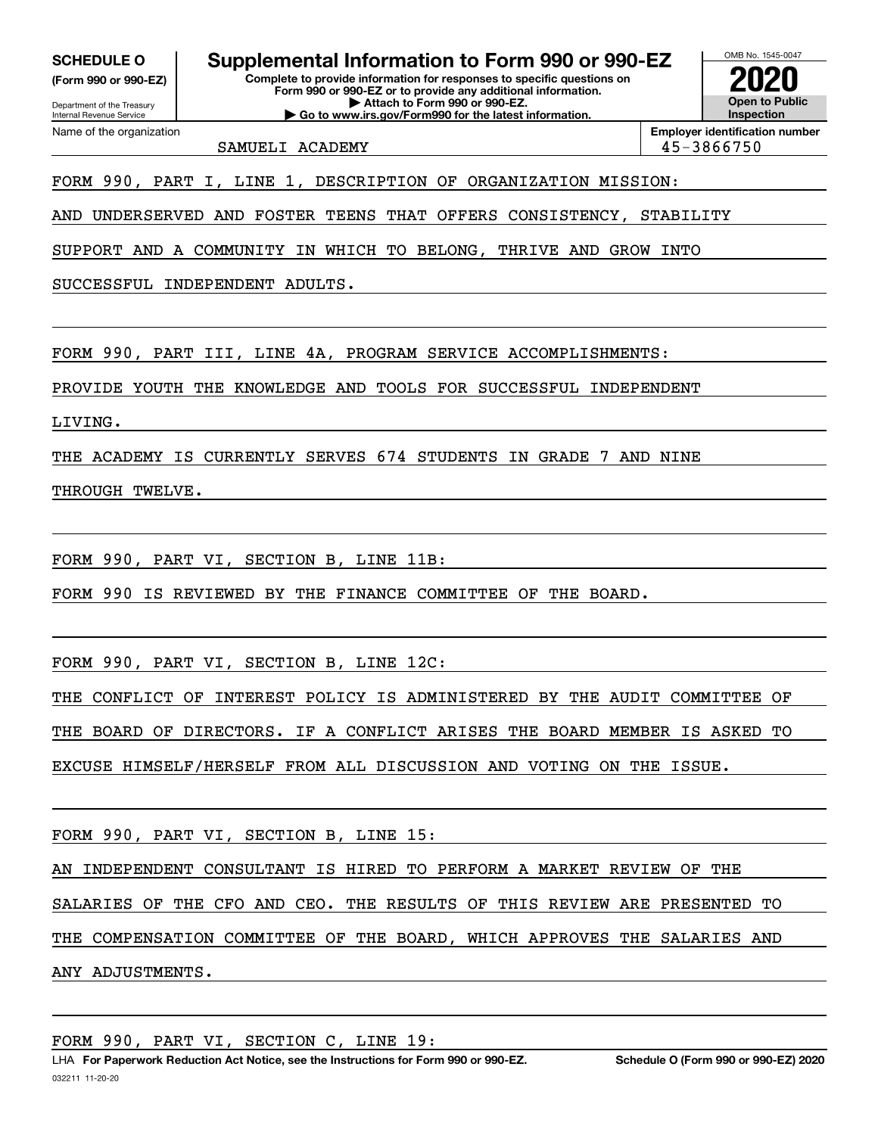**(Form 990 or 990-EZ)**

Department of the Treasury Internal Revenue Service Name of the organization

**SCHEDULE O Supplemental Information to Form 990 or 990-EZ**

**Complete to provide information for responses to specific questions on Form 990 or 990-EZ or to provide any additional information. | Attach to Form 990 or 990-EZ. | Go to www.irs.gov/Form990 for the latest information.**

OMB No. 1545-0047 **Open to Public Inspection2020**

SAMUELI ACADEMY 1999 | 45-3866750

**Employer identification number**

FORM 990, PART I, LINE 1, DESCRIPTION OF ORGANIZATION MISSION:

AND UNDERSERVED AND FOSTER TEENS THAT OFFERS CONSISTENCY, STABILITY

SUPPORT AND A COMMUNITY IN WHICH TO BELONG, THRIVE AND GROW INTO

SUCCESSFUL INDEPENDENT ADULTS.

FORM 990, PART III, LINE 4A, PROGRAM SERVICE ACCOMPLISHMENTS:

PROVIDE YOUTH THE KNOWLEDGE AND TOOLS FOR SUCCESSFUL INDEPENDENT

LIVING.

THE ACADEMY IS CURRENTLY SERVES 674 STUDENTS IN GRADE 7 AND NINE

THROUGH TWELVE.

FORM 990, PART VI, SECTION B, LINE 11B:

FORM 990 IS REVIEWED BY THE FINANCE COMMITTEE OF THE BOARD.

FORM 990, PART VI, SECTION B, LINE 12C:

THE CONFLICT OF INTEREST POLICY IS ADMINISTERED BY THE AUDIT COMMITTEE OF

THE BOARD OF DIRECTORS. IF A CONFLICT ARISES THE BOARD MEMBER IS ASKED TO

EXCUSE HIMSELF/HERSELF FROM ALL DISCUSSION AND VOTING ON THE ISSUE.

FORM 990, PART VI, SECTION B, LINE 15:

AN INDEPENDENT CONSULTANT IS HIRED TO PERFORM A MARKET REVIEW OF THE

SALARIES OF THE CFO AND CEO. THE RESULTS OF THIS REVIEW ARE PRESENTED TO

THE COMPENSATION COMMITTEE OF THE BOARD, WHICH APPROVES THE SALARIES AND

ANY ADJUSTMENTS.

FORM 990, PART VI, SECTION C, LINE 19: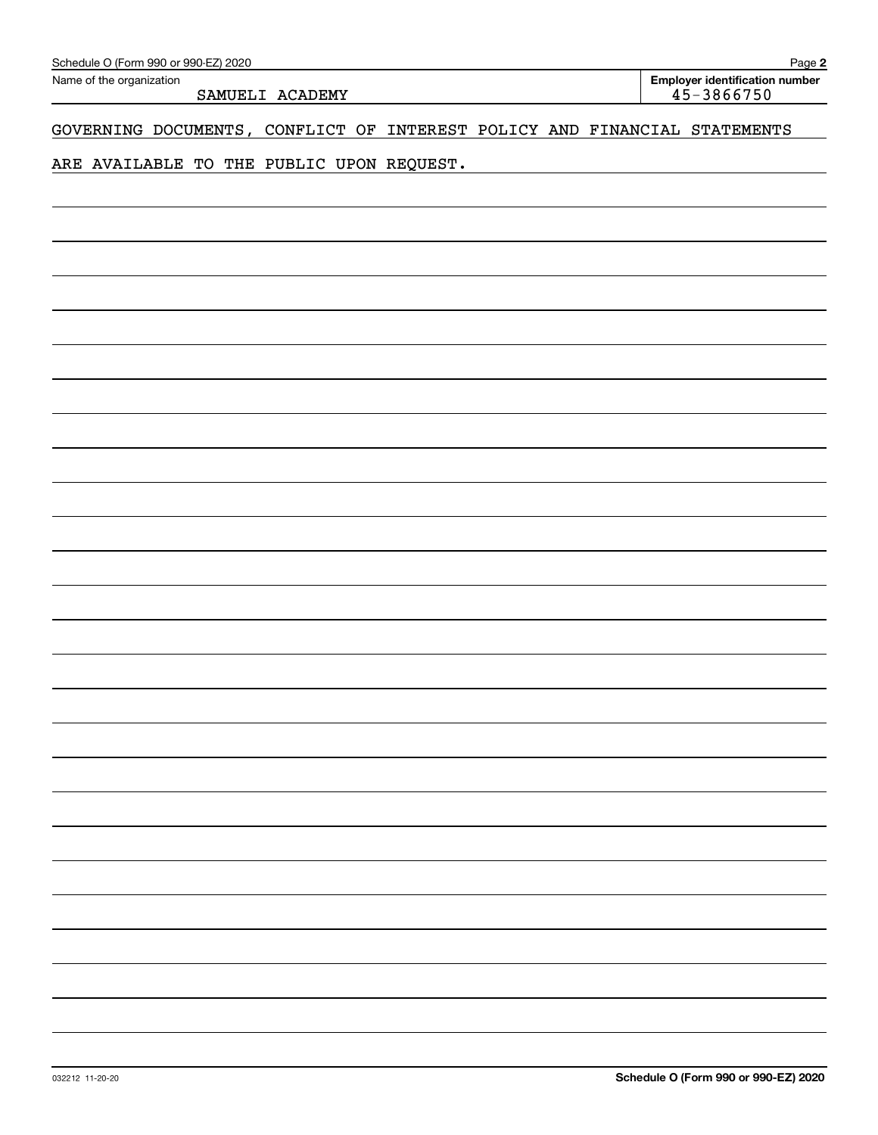| Schedule O (Form 990 or 990-EZ) 2020                                         | Page 2                                              |
|------------------------------------------------------------------------------|-----------------------------------------------------|
| Name of the organization<br>SAMUELI ACADEMY                                  | <b>Employer identification number</b><br>45-3866750 |
| GOVERNING DOCUMENTS, CONFLICT OF<br>INTEREST POLICY AND FINANCIAL STATEMENTS |                                                     |
| ARE AVAILABLE TO THE PUBLIC UPON REQUEST.                                    |                                                     |
|                                                                              |                                                     |
|                                                                              |                                                     |
|                                                                              |                                                     |
|                                                                              |                                                     |
|                                                                              |                                                     |
|                                                                              |                                                     |
|                                                                              |                                                     |
|                                                                              |                                                     |
|                                                                              |                                                     |
|                                                                              |                                                     |
|                                                                              |                                                     |
|                                                                              |                                                     |
|                                                                              |                                                     |
|                                                                              |                                                     |
|                                                                              |                                                     |
|                                                                              |                                                     |
|                                                                              |                                                     |
|                                                                              |                                                     |
|                                                                              |                                                     |
|                                                                              |                                                     |
|                                                                              |                                                     |
|                                                                              |                                                     |
|                                                                              |                                                     |
|                                                                              |                                                     |
|                                                                              |                                                     |
|                                                                              |                                                     |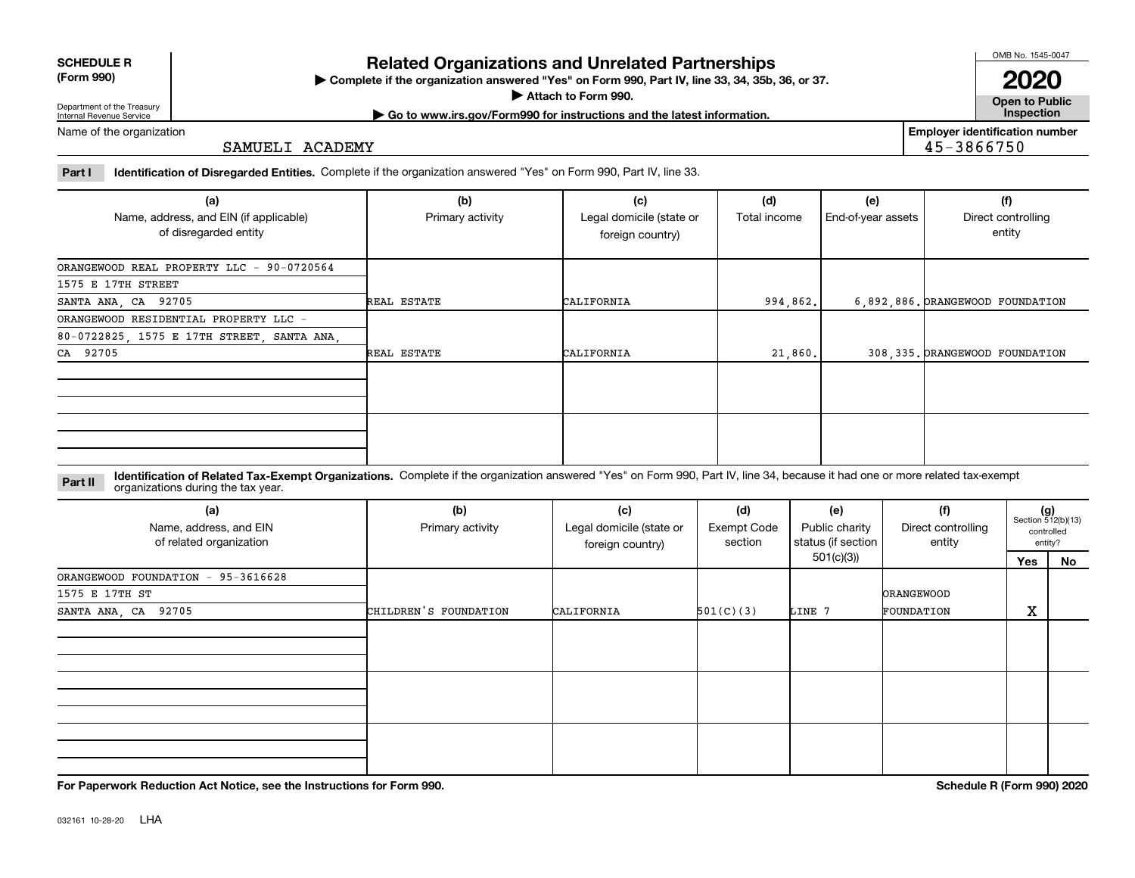| <b>SCHEDULE R</b> |  |
|-------------------|--|
| $P = 0$           |  |

**(Form 990)**

### **Related Organizations and Unrelated Partnerships**

**Complete if the organization answered "Yes" on Form 990, Part IV, line 33, 34, 35b, 36, or 37.** |

**Attach to Form 990.**  |

OMB No. 1545-0047

**Open to Public | Go to www.irs.gov/Form990 for instructions and the latest information. Inspection 2020**

Department of the Treasury Internal Revenue Service Name of the organization

SAMUELI ACADEMY

**Employer identification number** 45-3866750

**Part I Identification of Disregarded Entities.**  Complete if the organization answered "Yes" on Form 990, Part IV, line 33.

| (a)<br>Name, address, and EIN (if applicable) | (b)<br>Primary activity | (c)<br>Legal domicile (state or | (d)<br>Total income | (e)<br>End-of-year assets | (f)<br>Direct controlling        |
|-----------------------------------------------|-------------------------|---------------------------------|---------------------|---------------------------|----------------------------------|
| of disregarded entity                         |                         | foreign country)                |                     |                           | entity                           |
| ORANGEWOOD REAL PROPERTY LLC - 90-0720564     |                         |                                 |                     |                           |                                  |
| 1575 E 17TH STREET                            |                         |                                 |                     |                           |                                  |
| SANTA ANA, CA 92705                           | REAL ESTATE             | CALIFORNIA                      | 994,862.            |                           | 6,892,886. ORANGEWOOD FOUNDATION |
| ORANGEWOOD RESIDENTIAL PROPERTY LLC -         |                         |                                 |                     |                           |                                  |
| 80-0722825, 1575 E 17TH STREET, SANTA ANA,    |                         |                                 |                     |                           |                                  |
| CA 92705                                      | REAL ESTATE             | CALIFORNIA                      | 21,860.             |                           | 308, 335. ORANGEWOOD FOUNDATION  |
|                                               |                         |                                 |                     |                           |                                  |
|                                               |                         |                                 |                     |                           |                                  |
|                                               |                         |                                 |                     |                           |                                  |
|                                               |                         |                                 |                     |                           |                                  |
|                                               |                         |                                 |                     |                           |                                  |
|                                               |                         |                                 |                     |                           |                                  |

**Identification of Related Tax-Exempt Organizations.** Complete if the organization answered "Yes" on Form 990, Part IV, line 34, because it had one or more related tax-exempt **Part II** organizations during the tax year.

| (a)<br>Name, address, and EIN<br>of related organization | (b)<br>Primary activity | (c)<br>Legal domicile (state or<br>foreign country) | (d)<br>Exempt Code<br>section | (e)<br>Public charity<br>status (if section | (f)<br>Direct controlling<br>entity | $(g)$<br>Section 512(b)(13) | controlled<br>entity? |
|----------------------------------------------------------|-------------------------|-----------------------------------------------------|-------------------------------|---------------------------------------------|-------------------------------------|-----------------------------|-----------------------|
|                                                          |                         |                                                     |                               | 501(c)(3))                                  |                                     | Yes                         | No                    |
| ORANGEWOOD FOUNDATION - 95-3616628                       |                         |                                                     |                               |                                             |                                     |                             |                       |
| 1575 E 17TH ST                                           |                         |                                                     |                               |                                             | <b>ORANGEWOOD</b>                   |                             |                       |
| SANTA ANA, CA 92705                                      | CHILDREN'S FOUNDATION   | CALIFORNIA                                          | 501(C)(3)                     | LINE 7                                      | FOUNDATION                          | X                           |                       |
|                                                          |                         |                                                     |                               |                                             |                                     |                             |                       |
|                                                          |                         |                                                     |                               |                                             |                                     |                             |                       |
|                                                          |                         |                                                     |                               |                                             |                                     |                             |                       |

**For Paperwork Reduction Act Notice, see the Instructions for Form 990. Schedule R (Form 990) 2020**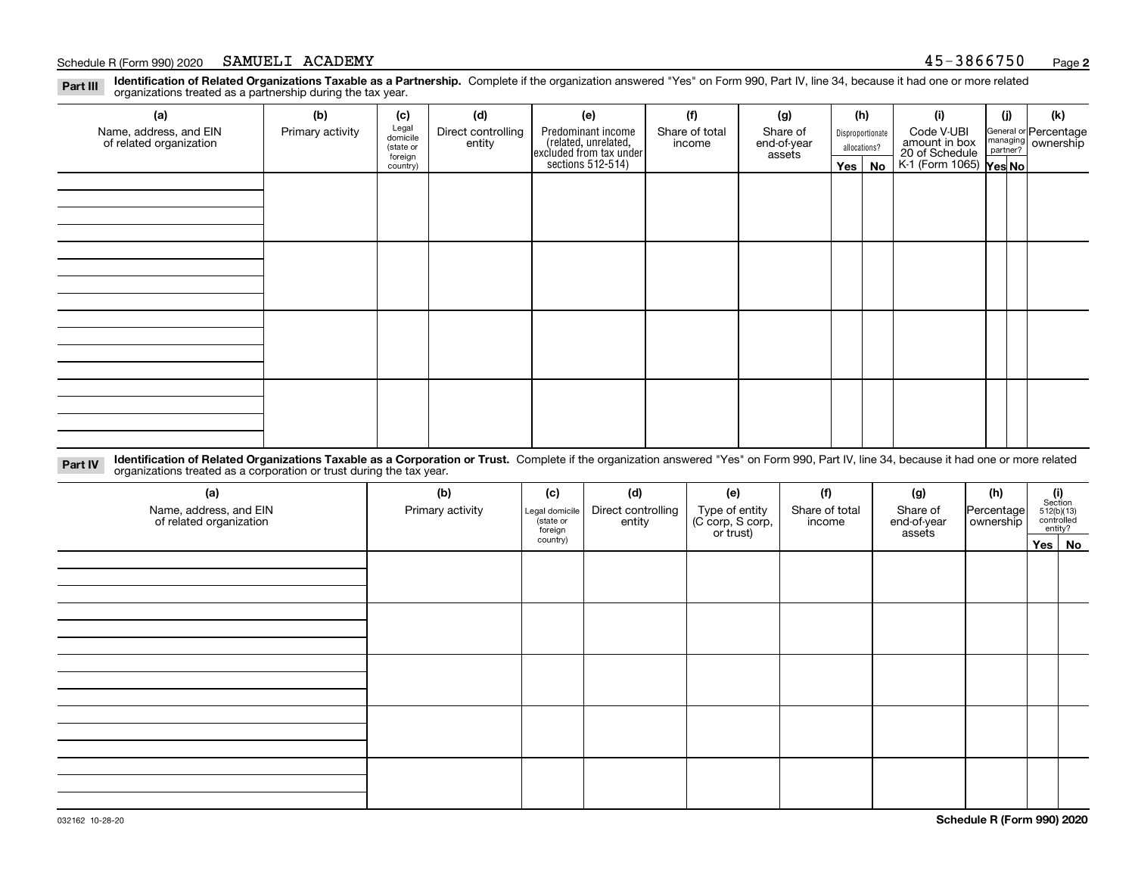#### Schedule R (Form 990) 2020 Page SAMUELI ACADEMY 45-3866750

**Identification of Related Organizations Taxable as a Partnership.** Complete if the organization answered "Yes" on Form 990, Part IV, line 34, because it had one or more related **Part III** organizations treated as a partnership during the tax year.

| (a)                                               | (b)              | (c)                  | (d)                          | (e)                                                                 | (f)                      | (g)                     |         | (h)              | (i)                                       | (j) | (k)                                                       |  |  |  |  |  |  |  |  |  |
|---------------------------------------------------|------------------|----------------------|------------------------------|---------------------------------------------------------------------|--------------------------|-------------------------|---------|------------------|-------------------------------------------|-----|-----------------------------------------------------------|--|--|--|--|--|--|--|--|--|
| Name, address, and EIN<br>of related organization | Primary activity | Legal<br>domicile    | Direct controlling<br>entity | Predominant income                                                  | Share of total<br>income | Share of<br>end-of-year |         | Disproportionate | Code V-UBI<br>amount in box               |     | General or Percentage<br>managing<br>partner?<br>partner? |  |  |  |  |  |  |  |  |  |
|                                                   |                  | (state or<br>foreign |                              |                                                                     |                          | assets                  |         | allocations?     |                                           |     |                                                           |  |  |  |  |  |  |  |  |  |
|                                                   |                  | country)             |                              | related, unrelated,<br>excluded from tax under<br>sections 512-514) |                          |                         | Yes $ $ | No               | 20 of Schedule<br>K-1 (Form 1065) Yes No. |     |                                                           |  |  |  |  |  |  |  |  |  |
|                                                   |                  |                      |                              |                                                                     |                          |                         |         |                  |                                           |     |                                                           |  |  |  |  |  |  |  |  |  |
|                                                   |                  |                      |                              |                                                                     |                          |                         |         |                  |                                           |     |                                                           |  |  |  |  |  |  |  |  |  |
|                                                   |                  |                      |                              |                                                                     |                          |                         |         |                  |                                           |     |                                                           |  |  |  |  |  |  |  |  |  |
|                                                   |                  |                      |                              |                                                                     |                          |                         |         |                  |                                           |     |                                                           |  |  |  |  |  |  |  |  |  |
|                                                   |                  |                      |                              |                                                                     |                          |                         |         |                  |                                           |     |                                                           |  |  |  |  |  |  |  |  |  |
|                                                   |                  |                      |                              |                                                                     |                          |                         |         |                  |                                           |     |                                                           |  |  |  |  |  |  |  |  |  |
|                                                   |                  |                      |                              |                                                                     |                          |                         |         |                  |                                           |     |                                                           |  |  |  |  |  |  |  |  |  |
|                                                   |                  |                      |                              |                                                                     |                          |                         |         |                  |                                           |     |                                                           |  |  |  |  |  |  |  |  |  |
|                                                   |                  |                      |                              |                                                                     |                          |                         |         |                  |                                           |     |                                                           |  |  |  |  |  |  |  |  |  |
|                                                   |                  |                      |                              |                                                                     |                          |                         |         |                  |                                           |     |                                                           |  |  |  |  |  |  |  |  |  |
|                                                   |                  |                      |                              |                                                                     |                          |                         |         |                  |                                           |     |                                                           |  |  |  |  |  |  |  |  |  |
|                                                   |                  |                      |                              |                                                                     |                          |                         |         |                  |                                           |     |                                                           |  |  |  |  |  |  |  |  |  |
|                                                   |                  |                      |                              |                                                                     |                          |                         |         |                  |                                           |     |                                                           |  |  |  |  |  |  |  |  |  |
|                                                   |                  |                      |                              |                                                                     |                          |                         |         |                  |                                           |     |                                                           |  |  |  |  |  |  |  |  |  |
|                                                   |                  |                      |                              |                                                                     |                          |                         |         |                  |                                           |     |                                                           |  |  |  |  |  |  |  |  |  |
|                                                   |                  |                      |                              |                                                                     |                          |                         |         |                  |                                           |     |                                                           |  |  |  |  |  |  |  |  |  |
|                                                   |                  |                      |                              |                                                                     |                          |                         |         |                  |                                           |     |                                                           |  |  |  |  |  |  |  |  |  |

**Identification of Related Organizations Taxable as a Corporation or Trust.** Complete if the organization answered "Yes" on Form 990, Part IV, line 34, because it had one or more related **Part IV** organizations treated as a corporation or trust during the tax year.

| (a)<br>Name, address, and EIN<br>of related organization | (b)<br>Primary activity | (d)<br>(f)<br>(c)<br>(e)<br>(g)<br>Direct controlling<br>Type of entity<br>(C corp, S corp,<br>or trust)<br>Share of total<br>Legal domicile<br>(state or<br>entity<br>income<br>foreign |  | Share of<br>end-of-year<br>assets |  | (h)<br>Percentage<br>ownership | $\begin{array}{c} \textbf{(i)}\\ \text{Section}\\ 512 \text{(b)} \text{(13)}\\ \text{controlled}\\ \text{entity?} \end{array}$ |          |
|----------------------------------------------------------|-------------------------|------------------------------------------------------------------------------------------------------------------------------------------------------------------------------------------|--|-----------------------------------|--|--------------------------------|--------------------------------------------------------------------------------------------------------------------------------|----------|
|                                                          |                         | country)                                                                                                                                                                                 |  |                                   |  |                                |                                                                                                                                | Yes   No |
|                                                          |                         |                                                                                                                                                                                          |  |                                   |  |                                |                                                                                                                                |          |
|                                                          |                         |                                                                                                                                                                                          |  |                                   |  |                                |                                                                                                                                |          |
|                                                          |                         |                                                                                                                                                                                          |  |                                   |  |                                |                                                                                                                                |          |
|                                                          |                         |                                                                                                                                                                                          |  |                                   |  |                                |                                                                                                                                |          |
|                                                          |                         |                                                                                                                                                                                          |  |                                   |  |                                |                                                                                                                                |          |
|                                                          |                         |                                                                                                                                                                                          |  |                                   |  |                                |                                                                                                                                |          |
|                                                          |                         |                                                                                                                                                                                          |  |                                   |  |                                |                                                                                                                                |          |
|                                                          |                         |                                                                                                                                                                                          |  |                                   |  |                                |                                                                                                                                |          |
|                                                          |                         |                                                                                                                                                                                          |  |                                   |  |                                |                                                                                                                                |          |
|                                                          |                         |                                                                                                                                                                                          |  |                                   |  |                                |                                                                                                                                |          |
|                                                          |                         |                                                                                                                                                                                          |  |                                   |  |                                |                                                                                                                                |          |
|                                                          |                         |                                                                                                                                                                                          |  |                                   |  |                                |                                                                                                                                |          |
|                                                          |                         |                                                                                                                                                                                          |  |                                   |  |                                |                                                                                                                                |          |
|                                                          |                         |                                                                                                                                                                                          |  |                                   |  |                                |                                                                                                                                |          |
|                                                          |                         |                                                                                                                                                                                          |  |                                   |  |                                |                                                                                                                                |          |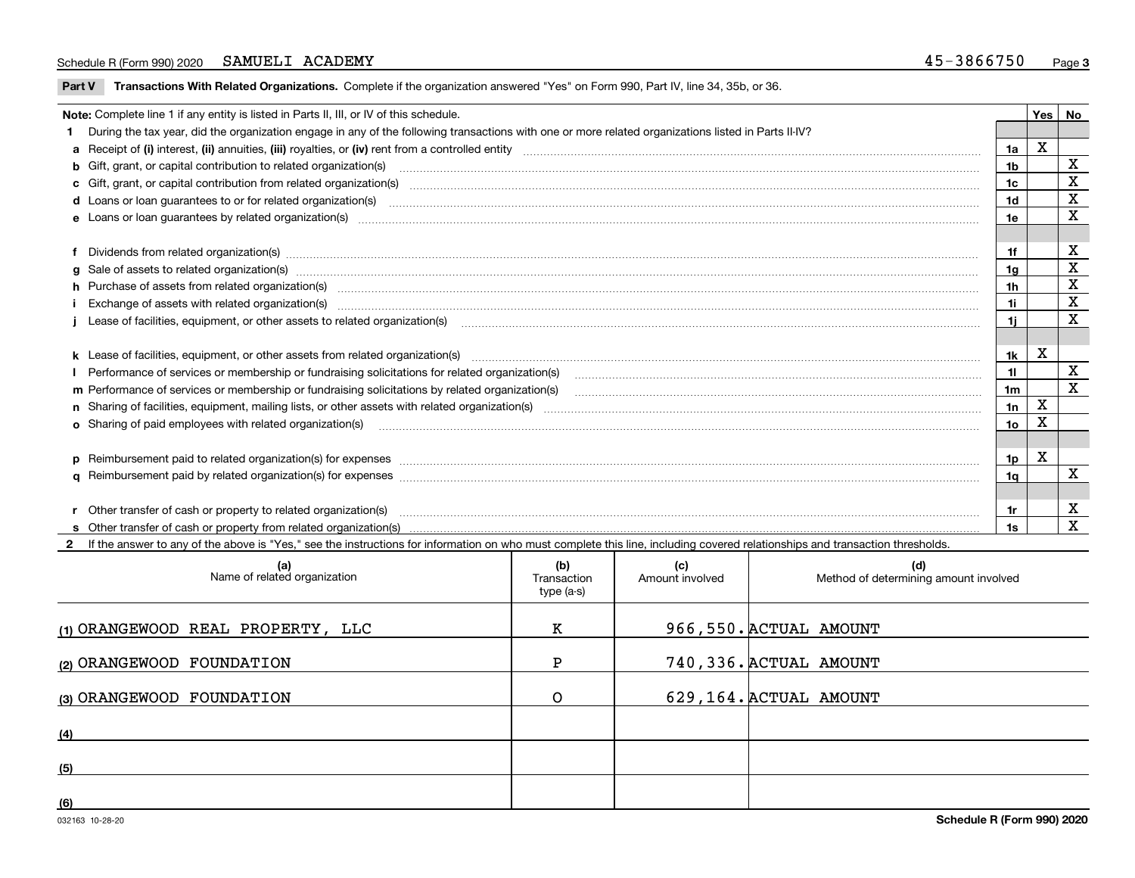#### Schedule R (Form 990) 2020 Page SAMUELI ACADEMY 45-3866750

 $\overline{\phantom{a}}$ 

**Part V** T**ransactions With Related Organizations.** Complete if the organization answered "Yes" on Form 990, Part IV, line 34, 35b, or 36.

| Note: Complete line 1 if any entity is listed in Parts II, III, or IV of this schedule.                                                                                                                                        |                | Yes | No           |
|--------------------------------------------------------------------------------------------------------------------------------------------------------------------------------------------------------------------------------|----------------|-----|--------------|
| 1 During the tax year, did the organization engage in any of the following transactions with one or more related organizations listed in Parts II-IV?                                                                          |                |     |              |
|                                                                                                                                                                                                                                | 1a             | X   |              |
| b Gift, grant, or capital contribution to related organization(s) manufaction contribution of the contribution to related organization(s) manufaction contribution to related organization(s)                                  | 1b             |     | X            |
| c Gift, grant, or capital contribution from related organization(s) material contents and contribution from related organization(s) material contents and content of the content of the content of content of content of the c | 1c             |     | X            |
| <b>d</b> Loans or loan quarantees to or for related organization(s)                                                                                                                                                            | 1 <sub>d</sub> |     | X            |
|                                                                                                                                                                                                                                | 1e             |     | $\mathbf x$  |
|                                                                                                                                                                                                                                |                |     |              |
| f Dividends from related organization(s) www.assession.com/www.assession.com/www.assession.com/www.assession.com/www.assession.com/www.assession.com/www.assession.com/www.assession.com/www.assession.com/www.assession.com/w | 1f             |     | х            |
| g Sale of assets to related organization(s) www.assettion.com/www.assettion.com/www.assettion.com/www.assettion.com/www.assettion.com/www.assettion.com/www.assettion.com/www.assettion.com/www.assettion.com/www.assettion.co | 1a             |     | х            |
| h Purchase of assets from related organization(s) manufactured content to content the content of the content of the content of the content of the content of the content of the content of the content of the content of the c | 1h             |     | X            |
| Exchange of assets with related organization(s) www.assettion.com/www.assettion.com/www.assettion.com/www.assettion.com/www.assettion.com/www.assettion.com/www.assettion.com/www.assettion.com/www.assettion.com/www.assettio | 1i             |     | $\mathbf X$  |
|                                                                                                                                                                                                                                | 1i.            |     | X            |
|                                                                                                                                                                                                                                |                |     |              |
|                                                                                                                                                                                                                                | 1k             | X   |              |
|                                                                                                                                                                                                                                | 11             |     | X            |
| m Performance of services or membership or fundraising solicitations by related organization(s)                                                                                                                                | 1m             |     | $\mathbf{x}$ |
|                                                                                                                                                                                                                                | 1n             | X   |              |
| <b>o</b> Sharing of paid employees with related organization(s)                                                                                                                                                                | 1о             | Χ   |              |
|                                                                                                                                                                                                                                |                |     |              |
| p Reimbursement paid to related organization(s) for expenses [11111] [12] manufacture manufacture manufacture manufacture manufacture manufacture manufacture manufacture manufacture manufacture manufacture manufacture manu | 1p             | х   |              |
|                                                                                                                                                                                                                                | 1a             |     | X            |
|                                                                                                                                                                                                                                |                |     |              |
| r Other transfer of cash or property to related organization(s)                                                                                                                                                                | 1r             |     | X            |
|                                                                                                                                                                                                                                | 1s             |     | X            |
| 2 If the answer to any of the above is "Yes," see the instructions for information on who must complete this line, including covered relationships and transaction thresholds.                                                 |                |     |              |

| (a)<br>Name of related organization | (b)<br>Transaction<br>type (a-s) | (c)<br>Amount involved | (d)<br>Method of determining amount involved |
|-------------------------------------|----------------------------------|------------------------|----------------------------------------------|
| (1) ORANGEWOOD REAL PROPERTY, LLC   | к                                |                        | 966,550. ACTUAL AMOUNT                       |
| (2) ORANGEWOOD FOUNDATION           | P                                |                        | 740, 336. ACTUAL AMOUNT                      |
| (3) ORANGEWOOD FOUNDATION           | Ο                                |                        | 629,164. ACTUAL AMOUNT                       |
| (4)                                 |                                  |                        |                                              |
| (5)                                 |                                  |                        |                                              |
| (6)                                 |                                  |                        |                                              |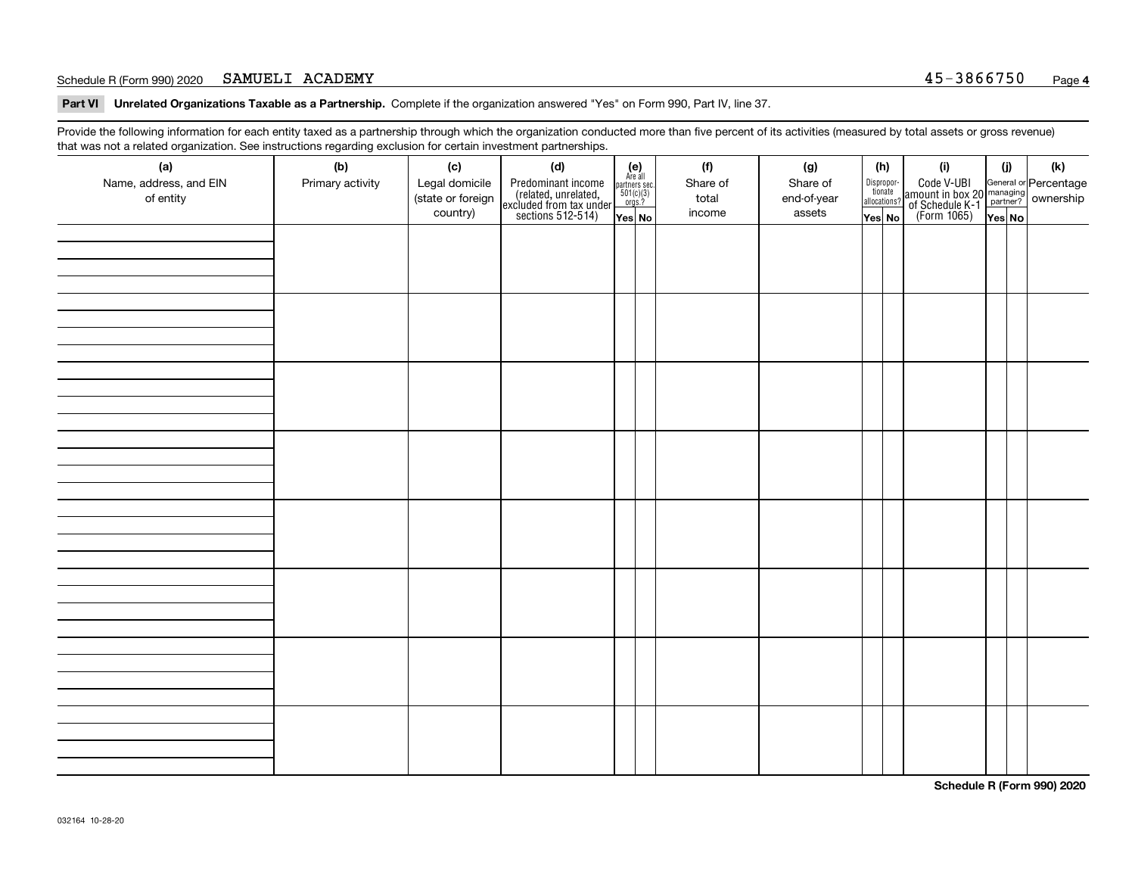#### Schedule R (Form 990) 2020 SAMUELI ACADEMY 3000 SAMUEL ACADEMY SAMUELI ACADEMY

**Part VI Unrelated Organizations Taxable as a Partnership. Complete if the organization answered "Yes" on Form 990, Part IV, line 37.** 

Provide the following information for each entity taxed as a partnership through which the organization conducted more than five percent of its activities (measured by total assets or gross revenue) that was not a related organization. See instructions regarding exclusion for certain investment partnerships.

| $\overline{\phantom{0}}$<br>(a)<br>Name, address, and EIN<br>of entity | ັ<br>ັ<br>(b)<br>Primary activity | (c)<br>Legal domicile<br>(state or foreign<br>country) | (d)<br>Predominant income<br>(related, unrelated,<br>excluded from tax under<br>sections 512-514) | (e)<br>Are all<br>$\begin{array}{c}\n\text{partners} & \text{sec.} \\ 501(c)(3) & \text{orgs.?} \n\end{array}$<br>Yes No | (f)<br>Share of<br>total<br>income | (g)<br>Share of<br>end-of-year<br>assets | (h)<br>Dispropor-<br>tionate<br>allocations?<br>Yes No | (i)<br>Code V-UBI<br>  amount in box 20 managing<br>  of Schedule K-1 partner? ownership<br>  of Schedule K-1 partner? ownership<br>  Yes No | (i)<br>Yes No | (k) |
|------------------------------------------------------------------------|-----------------------------------|--------------------------------------------------------|---------------------------------------------------------------------------------------------------|--------------------------------------------------------------------------------------------------------------------------|------------------------------------|------------------------------------------|--------------------------------------------------------|----------------------------------------------------------------------------------------------------------------------------------------------|---------------|-----|
|                                                                        |                                   |                                                        |                                                                                                   |                                                                                                                          |                                    |                                          |                                                        |                                                                                                                                              |               |     |
|                                                                        |                                   |                                                        |                                                                                                   |                                                                                                                          |                                    |                                          |                                                        |                                                                                                                                              |               |     |
|                                                                        |                                   |                                                        |                                                                                                   |                                                                                                                          |                                    |                                          |                                                        |                                                                                                                                              |               |     |
|                                                                        |                                   |                                                        |                                                                                                   |                                                                                                                          |                                    |                                          |                                                        |                                                                                                                                              |               |     |
|                                                                        |                                   |                                                        |                                                                                                   |                                                                                                                          |                                    |                                          |                                                        |                                                                                                                                              |               |     |
|                                                                        |                                   |                                                        |                                                                                                   |                                                                                                                          |                                    |                                          |                                                        |                                                                                                                                              |               |     |
|                                                                        |                                   |                                                        |                                                                                                   |                                                                                                                          |                                    |                                          |                                                        |                                                                                                                                              |               |     |
|                                                                        |                                   |                                                        |                                                                                                   |                                                                                                                          |                                    |                                          |                                                        |                                                                                                                                              |               |     |

**Schedule R (Form 990) 2020**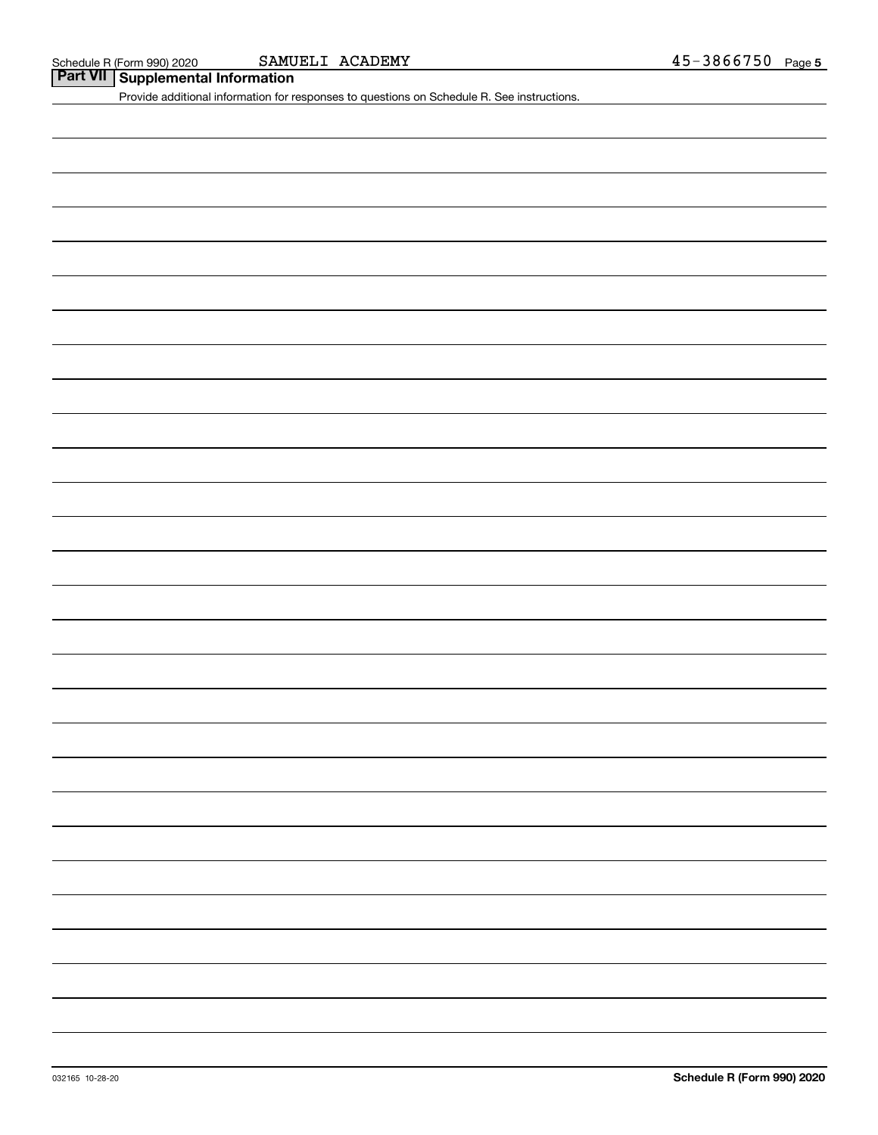**<u>Part VII</u> Supplemental Information**<br> **Part VII Supplemental Information** 

Provide additional information for responses to questions on Schedule R. See instructions.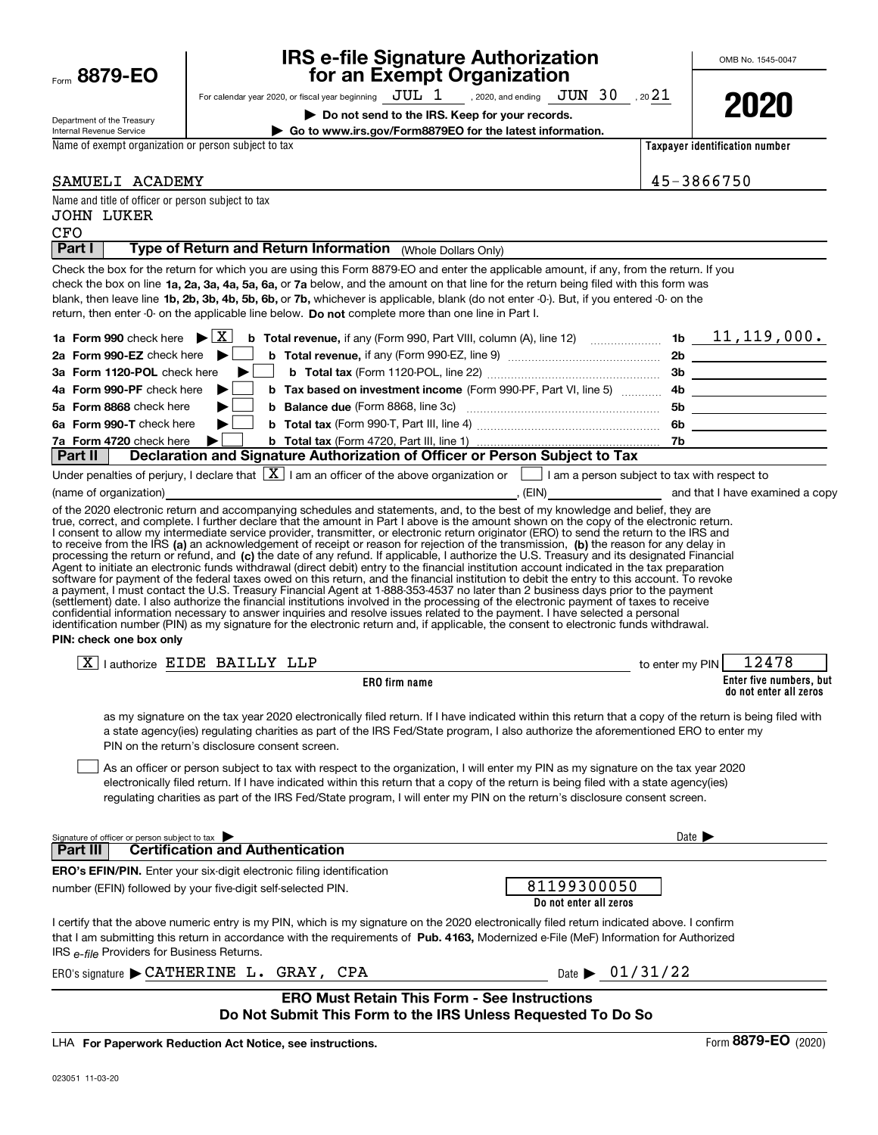| Department of the Treasury                                                                                                                                                                                                                                                                   |                                                                                                                                                                                                                                                                                                                                                                                                                                                                                                                                                                                                                                                                                                                                                                                                                                                                                                                                                                                                                                                                                                                                                                                                                                                                                                                                                                                                                                                                                                                                                                                                                                                                                                                                                                                                                                                                                                                                                                                                               | Do not send to the IRS. Keep for your records.                                                                                                                                                     |                                         |                            | LULU                                              |
|----------------------------------------------------------------------------------------------------------------------------------------------------------------------------------------------------------------------------------------------------------------------------------------------|---------------------------------------------------------------------------------------------------------------------------------------------------------------------------------------------------------------------------------------------------------------------------------------------------------------------------------------------------------------------------------------------------------------------------------------------------------------------------------------------------------------------------------------------------------------------------------------------------------------------------------------------------------------------------------------------------------------------------------------------------------------------------------------------------------------------------------------------------------------------------------------------------------------------------------------------------------------------------------------------------------------------------------------------------------------------------------------------------------------------------------------------------------------------------------------------------------------------------------------------------------------------------------------------------------------------------------------------------------------------------------------------------------------------------------------------------------------------------------------------------------------------------------------------------------------------------------------------------------------------------------------------------------------------------------------------------------------------------------------------------------------------------------------------------------------------------------------------------------------------------------------------------------------------------------------------------------------------------------------------------------------|----------------------------------------------------------------------------------------------------------------------------------------------------------------------------------------------------|-----------------------------------------|----------------------------|---------------------------------------------------|
| Internal Revenue Service                                                                                                                                                                                                                                                                     |                                                                                                                                                                                                                                                                                                                                                                                                                                                                                                                                                                                                                                                                                                                                                                                                                                                                                                                                                                                                                                                                                                                                                                                                                                                                                                                                                                                                                                                                                                                                                                                                                                                                                                                                                                                                                                                                                                                                                                                                               | Go to www.irs.gov/Form8879EO for the latest information.                                                                                                                                           |                                         |                            |                                                   |
| Name of exempt organization or person subject to tax                                                                                                                                                                                                                                         |                                                                                                                                                                                                                                                                                                                                                                                                                                                                                                                                                                                                                                                                                                                                                                                                                                                                                                                                                                                                                                                                                                                                                                                                                                                                                                                                                                                                                                                                                                                                                                                                                                                                                                                                                                                                                                                                                                                                                                                                               |                                                                                                                                                                                                    |                                         |                            | Taxpayer identification number                    |
| SAMUELI ACADEMY                                                                                                                                                                                                                                                                              |                                                                                                                                                                                                                                                                                                                                                                                                                                                                                                                                                                                                                                                                                                                                                                                                                                                                                                                                                                                                                                                                                                                                                                                                                                                                                                                                                                                                                                                                                                                                                                                                                                                                                                                                                                                                                                                                                                                                                                                                               |                                                                                                                                                                                                    |                                         | 45-3866750                 |                                                   |
| Name and title of officer or person subject to tax                                                                                                                                                                                                                                           |                                                                                                                                                                                                                                                                                                                                                                                                                                                                                                                                                                                                                                                                                                                                                                                                                                                                                                                                                                                                                                                                                                                                                                                                                                                                                                                                                                                                                                                                                                                                                                                                                                                                                                                                                                                                                                                                                                                                                                                                               |                                                                                                                                                                                                    |                                         |                            |                                                   |
| JOHN LUKER<br>CFO                                                                                                                                                                                                                                                                            |                                                                                                                                                                                                                                                                                                                                                                                                                                                                                                                                                                                                                                                                                                                                                                                                                                                                                                                                                                                                                                                                                                                                                                                                                                                                                                                                                                                                                                                                                                                                                                                                                                                                                                                                                                                                                                                                                                                                                                                                               |                                                                                                                                                                                                    |                                         |                            |                                                   |
| Part I                                                                                                                                                                                                                                                                                       | Type of Return and Return Information (Whole Dollars Only)                                                                                                                                                                                                                                                                                                                                                                                                                                                                                                                                                                                                                                                                                                                                                                                                                                                                                                                                                                                                                                                                                                                                                                                                                                                                                                                                                                                                                                                                                                                                                                                                                                                                                                                                                                                                                                                                                                                                                    |                                                                                                                                                                                                    |                                         |                            |                                                   |
| 1a Form 990 check here $\blacktriangleright \boxed{X}$<br>2a Form 990-EZ check here $\blacktriangleright$<br>3a Form 1120-POL check here<br>4a Form 990-PF check here<br>5a Form 8868 check here<br>6a Form 990-T check here<br>7a Form 4720 check here<br>Part II<br>(name of organization) | Check the box for the return for which you are using this Form 8879-EO and enter the applicable amount, if any, from the return. If you<br>check the box on line 1a, 2a, 3a, 4a, 5a, 6a, or 7a below, and the amount on that line for the return being filed with this form was<br>blank, then leave line 1b, 2b, 3b, 4b, 5b, 6b, or 7b, whichever is applicable, blank (do not enter -0-). But, if you entered -0- on the<br>return, then enter -0- on the applicable line below. Do not complete more than one line in Part I.<br>▶<br>Declaration and Signature Authorization of Officer or Person Subject to Tax<br>Under penalties of perjury, I declare that $\boxed{\mathbf{X}}$ I am an officer of the above organization or $\boxed{\phantom{\mathbf{X}}}$ I am a person subject to tax with respect to<br>(EIN) and that I have examined a copy<br>of the 2020 electronic return and accompanying schedules and statements, and, to the best of my knowledge and belief, they are<br>true, correct, and complete. I further declare that the amount in Part I above is the amount shown on the copy of the electronic return.<br>I consent to allow my intermediate service provider, transmitter, or electronic return originator (ERO) to send the return to the IRS and<br>to receive from the IRS (a) an acknowledgement of receipt or reason for rejection of the transmission, (b) the reason for any delay in<br>processing the return or refund, and (c) the date of any refund. If applicable, I authorize the U.S. Treasury and its designated Financial<br>Agent to initiate an electronic funds withdrawal (direct debit) entry to the financial institution account indicated in the tax preparation<br>software for payment of the federal taxes owed on this return, and the financial institution to debit the entry to this account. To revoke<br>a payment, I must contact the U.S. Treasury Financial Agent at 1-888-353-4537 no later than 2 business days prior to the payment | <b>b</b> Total revenue, if any (Form 990, Part VIII, column (A), line 12) $\ldots$ 10 $\ldots$ 10 $\ldots$ 11, 119, 000.<br><b>b</b> Tax based on investment income (Form 990-PF, Part VI, line 5) |                                         |                            | 5b _____________________<br>6b                    |
| PIN: check one box only                                                                                                                                                                                                                                                                      | (settlement) date. I also authorize the financial institutions involved in the processing of the electronic payment of taxes to receive<br>confidential information necessary to answer inquiries and resolve issues related to the payment. I have selected a personal<br>identification number (PIN) as my signature for the electronic return and, if applicable, the consent to electronic funds withdrawal.                                                                                                                                                                                                                                                                                                                                                                                                                                                                                                                                                                                                                                                                                                                                                                                                                                                                                                                                                                                                                                                                                                                                                                                                                                                                                                                                                                                                                                                                                                                                                                                              |                                                                                                                                                                                                    |                                         |                            |                                                   |
|                                                                                                                                                                                                                                                                                              | $X$   authorize EIDE BAILLY LLP                                                                                                                                                                                                                                                                                                                                                                                                                                                                                                                                                                                                                                                                                                                                                                                                                                                                                                                                                                                                                                                                                                                                                                                                                                                                                                                                                                                                                                                                                                                                                                                                                                                                                                                                                                                                                                                                                                                                                                               |                                                                                                                                                                                                    | <b>Example 1</b> Street to enter my PIN |                            | 12478                                             |
|                                                                                                                                                                                                                                                                                              |                                                                                                                                                                                                                                                                                                                                                                                                                                                                                                                                                                                                                                                                                                                                                                                                                                                                                                                                                                                                                                                                                                                                                                                                                                                                                                                                                                                                                                                                                                                                                                                                                                                                                                                                                                                                                                                                                                                                                                                                               | <b>ERO</b> firm name                                                                                                                                                                               |                                         |                            | Enter five numbers, but<br>do not enter all zeros |
|                                                                                                                                                                                                                                                                                              | as my signature on the tax year 2020 electronically filed return. If I have indicated within this return that a copy of the return is being filed with<br>a state agency(ies) regulating charities as part of the IRS Fed/State program, I also authorize the aforementioned ERO to enter my<br>PIN on the return's disclosure consent screen.<br>As an officer or person subject to tax with respect to the organization, I will enter my PIN as my signature on the tax year 2020<br>electronically filed return. If I have indicated within this return that a copy of the return is being filed with a state agency(ies)<br>regulating charities as part of the IRS Fed/State program, I will enter my PIN on the return's disclosure consent screen.                                                                                                                                                                                                                                                                                                                                                                                                                                                                                                                                                                                                                                                                                                                                                                                                                                                                                                                                                                                                                                                                                                                                                                                                                                                     |                                                                                                                                                                                                    |                                         |                            |                                                   |
| Signature of officer or person subject to tax<br><b>Part III</b>                                                                                                                                                                                                                             | <b>Certification and Authentication</b>                                                                                                                                                                                                                                                                                                                                                                                                                                                                                                                                                                                                                                                                                                                                                                                                                                                                                                                                                                                                                                                                                                                                                                                                                                                                                                                                                                                                                                                                                                                                                                                                                                                                                                                                                                                                                                                                                                                                                                       |                                                                                                                                                                                                    |                                         | Date $\blacktriangleright$ |                                                   |
|                                                                                                                                                                                                                                                                                              | <b>ERO's EFIN/PIN.</b> Enter your six-digit electronic filing identification                                                                                                                                                                                                                                                                                                                                                                                                                                                                                                                                                                                                                                                                                                                                                                                                                                                                                                                                                                                                                                                                                                                                                                                                                                                                                                                                                                                                                                                                                                                                                                                                                                                                                                                                                                                                                                                                                                                                  |                                                                                                                                                                                                    |                                         |                            |                                                   |
|                                                                                                                                                                                                                                                                                              | number (EFIN) followed by your five-digit self-selected PIN.                                                                                                                                                                                                                                                                                                                                                                                                                                                                                                                                                                                                                                                                                                                                                                                                                                                                                                                                                                                                                                                                                                                                                                                                                                                                                                                                                                                                                                                                                                                                                                                                                                                                                                                                                                                                                                                                                                                                                  |                                                                                                                                                                                                    | 81199300050<br>Do not enter all zeros   |                            |                                                   |
| IRS e-file Providers for Business Returns.                                                                                                                                                                                                                                                   | I certify that the above numeric entry is my PIN, which is my signature on the 2020 electronically filed return indicated above. I confirm<br>that I am submitting this return in accordance with the requirements of Pub. 4163, Modernized e-File (MeF) Information for Authorized                                                                                                                                                                                                                                                                                                                                                                                                                                                                                                                                                                                                                                                                                                                                                                                                                                                                                                                                                                                                                                                                                                                                                                                                                                                                                                                                                                                                                                                                                                                                                                                                                                                                                                                           |                                                                                                                                                                                                    |                                         |                            |                                                   |
|                                                                                                                                                                                                                                                                                              | ERO's signature $\blacktriangleright$ CATHERINE L. GRAY, CPA                                                                                                                                                                                                                                                                                                                                                                                                                                                                                                                                                                                                                                                                                                                                                                                                                                                                                                                                                                                                                                                                                                                                                                                                                                                                                                                                                                                                                                                                                                                                                                                                                                                                                                                                                                                                                                                                                                                                                  |                                                                                                                                                                                                    | Date $\triangleright$ 01/31/22          |                            |                                                   |
|                                                                                                                                                                                                                                                                                              |                                                                                                                                                                                                                                                                                                                                                                                                                                                                                                                                                                                                                                                                                                                                                                                                                                                                                                                                                                                                                                                                                                                                                                                                                                                                                                                                                                                                                                                                                                                                                                                                                                                                                                                                                                                                                                                                                                                                                                                                               | <b>ERO Must Retain This Form - See Instructions</b><br>Do Not Submit This Form to the IRS Unless Requested To Do So                                                                                |                                         |                            |                                                   |
|                                                                                                                                                                                                                                                                                              | LHA For Paperwork Reduction Act Notice, see instructions.                                                                                                                                                                                                                                                                                                                                                                                                                                                                                                                                                                                                                                                                                                                                                                                                                                                                                                                                                                                                                                                                                                                                                                                                                                                                                                                                                                                                                                                                                                                                                                                                                                                                                                                                                                                                                                                                                                                                                     |                                                                                                                                                                                                    |                                         |                            | Form 8879-EO (2020)                               |

For calendar year 2020, or fiscal year beginning  $\rm\,JUL~$   $1$   $\rm\,$  , 2020, and ending  $\rm\,JUN~$   $30$   $\rm\,$  , 20 $21$ 

**for an Exempt Organization**

**IRS e-file Signature Authorization**

OMB No. 1545-0047

**2020**

LHA For Paperwork Reduction Act Notice, see instructions.

Form **8879-EO**